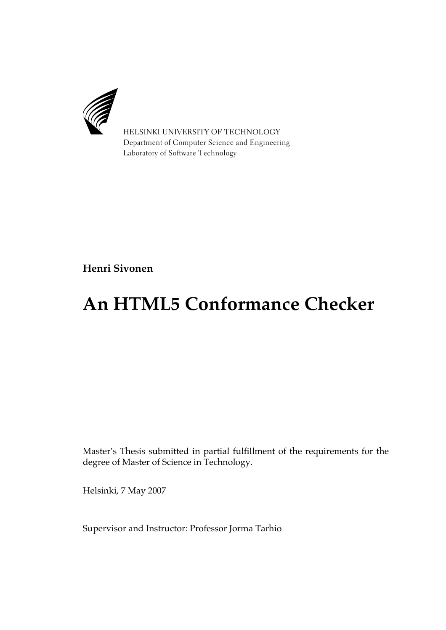

HELSINKI UNIVERSITY OF TECHNOLOGY Department of Computer Science and Engineering Laboratory of Software Technology

**Henri Sivonen**

# **An HTML5 Conformance Checker**

Master's Thesis submitted in partial fulfillment of the requirements for the degree of Master of Science in Technology.

Helsinki, 7 May 2007

Supervisor and Instructor: Professor Jorma Tarhio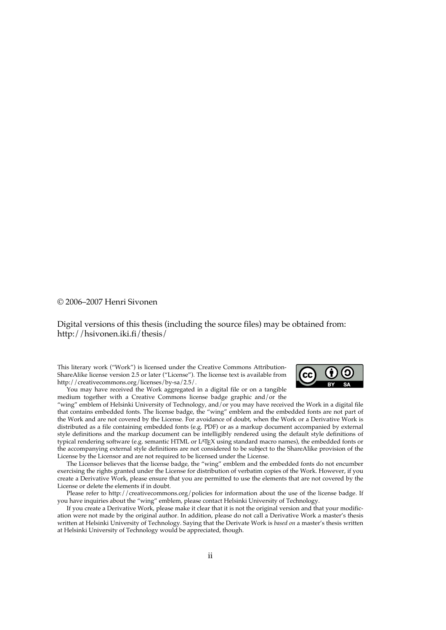#### © 2006–2007 Henri Sivonen

#### Digital versions of this thesis (including the source files) may be obtained from: <http://hsivonen.iki.fi/thesis/>

This literary work ("Work") is licensed under the Creative Commons Attribution-ShareAlike license version 2.5 or later ("License"). The license text is available from <http://creativecommons.org/licenses/by-sa/2.5/>.



You may have received the Work aggregated in a digital file or on a tangible medium together with a Creative Commons license badge graphic and/or the

"wing" emblem of Helsinki University of Technology, and/or you may have received the Work in a digital file that contains embedded fonts. The license badge, the "wing" emblem and the embedded fonts are not part of the Work and are not covered by the License. For avoidance of doubt, when the Work or a Derivative Work is distributed as a file containing embedded fonts (e.g. PDF) or as a markup document accompanied by external style definitions and the markup document can be intelligibly rendered using the default style definitions of typical rendering software (e.g. semantic HTML or LATEX using standard macro names), the embedded fonts or the accompanying external style definitions are not considered to be subject to the ShareAlike provision of the License by the Licensor and are not required to be licensed under the License.

The Licensor believes that the license badge, the "wing" emblem and the embedded fonts do not encumber exercising the rights granted under the License for distribution of verbatim copies of the Work. However, if you create a Derivative Work, please ensure that you are permitted to use the elements that are not covered by the License or delete the elements if in doubt.

Please refer to <http://creativecommons.org/policies> for information about the use of the license badge. If you have inquiries about the "wing" emblem, please contact [Helsinki University of Technology.](http://www.tkk.fi/)

If you create a Derivative Work, please make it clear that it is not the original version and that your modification were not made by the original author. In addition, please do not call a Derivative Work a master's thesis written at Helsinki University of Technology. Saying that the Derivate Work is *based on* a master's thesis written at Helsinki University of Technology would be appreciated, though.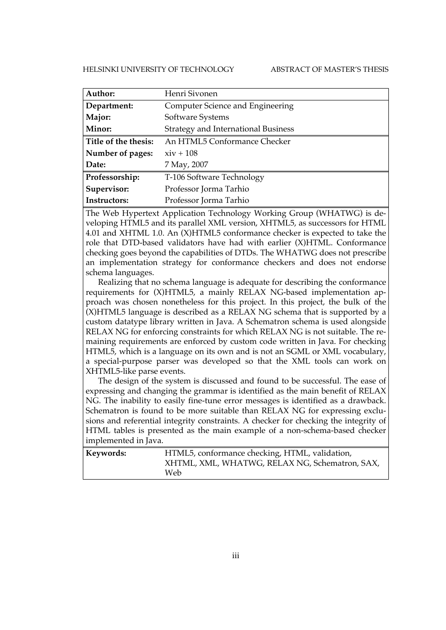#### HELSINKI UNIVERSITY OF TECHNOLOGY ABSTRACT OF MASTER'S THESIS

| Author:              | Henri Sivonen                              |
|----------------------|--------------------------------------------|
| Department:          | Computer Science and Engineering           |
| Major:               | Software Systems                           |
| Minor:               | <b>Strategy and International Business</b> |
| Title of the thesis: | An HTML5 Conformance Checker               |
| Number of pages:     | $xiv + 108$                                |
| Date:                | 7 May, 2007                                |
| Professorship:       | T-106 Software Technology                  |
| Supervisor:          | Professor Jorma Tarhio                     |
| Instructors:         | Professor Jorma Tarhio                     |

The Web Hypertext Application Technology Working Group (WHATWG) is developing HTML5 and its parallel XML version, XHTML5, as successors for HTML 4.01 and XHTML 1.0. An (X)HTML5 conformance checker is expected to take the role that DTD-based validators have had with earlier (X)HTML. Conformance checking goes beyond the capabilities of DTDs. The WHATWG does not prescribe an implementation strategy for conformance checkers and does not endorse schema languages.

Realizing that no schema language is adequate for describing the conformance requirements for (X)HTML5, a mainly RELAX NG-based implementation approach was chosen nonetheless for this project. In this project, the bulk of the (X)HTML5 language is described as a RELAX NG schema that is supported by a custom datatype library written in Java. A Schematron schema is used alongside RELAX NG for enforcing constraints for which RELAX NG is not suitable. The remaining requirements are enforced by custom code written in Java. For checking HTML5, which is a language on its own and is not an SGML or XML vocabulary, a special-purpose parser was developed so that the XML tools can work on XHTML5-like parse events.

The design of the system is discussed and found to be successful. The ease of expressing and changing the grammar is identified as the main benefit of RELAX NG. The inability to easily fine-tune error messages is identified as a drawback. Schematron is found to be more suitable than RELAX NG for expressing exclusions and referential integrity constraints. A checker for checking the integrity of HTML tables is presented as the main example of a non-schema-based checker implemented in Java.

| Keywords: | HTML5, conformance checking, HTML, validation, |
|-----------|------------------------------------------------|
| Web.      | XHTML, XML, WHATWG, RELAX NG, Schematron, SAX, |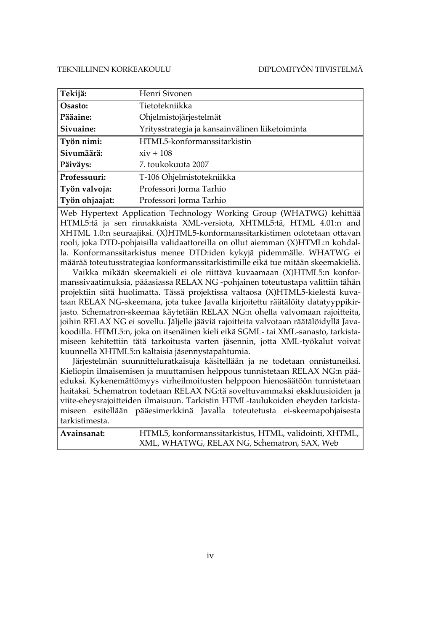| Tekijä:        | Henri Sivonen                                   |
|----------------|-------------------------------------------------|
| Osasto:        | Tietotekniikka                                  |
| Pääaine:       | Ohjelmistojärjestelmät                          |
| Sivuaine:      | Yritysstrategia ja kansainvälinen liiketoiminta |
| Työn nimi:     | HTML5-konformanssitarkistin                     |
| Sivumäärä:     | $xiv + 108$                                     |
| Päiväys:       | 7. toukokuuta 2007                              |
| Professuuri:   | T-106 Ohjelmistotekniikka                       |
| Työn valvoja:  | Professori Jorma Tarhio                         |
| Työn ohjaajat: | Professori Jorma Tarhio                         |

Web Hypertext Application Technology Working Group (WHATWG) kehittää HTML5:tä ja sen rinnakkaista XML-versiota, XHTML5:tä, HTML 4.01:n and XHTML 1.0:n seuraajiksi. (X)HTML5-konformanssitarkistimen odotetaan ottavan rooli, joka DTD-pohjaisilla validaattoreilla on ollut aiemman (X)HTML:n kohdalla. Konformanssitarkistus menee DTD:iden kykyjä pidemmälle. WHATWG ei määrää toteutusstrategiaa konformanssitarkistimille eikä tue mitään skeemakieliä.

Vaikka mikään skeemakieli ei ole riittävä kuvaamaan (X)HTML5:n konformanssivaatimuksia, pääasiassa RELAX NG -pohjainen toteutustapa valittiin tähän projektiin siitä huolimatta. Tässä projektissa valtaosa (X)HTML5-kielestä kuvataan RELAX NG-skeemana, jota tukee Javalla kirjoitettu räätälöity datatyyppikirjasto. Schematron-skeemaa käytetään RELAX NG:n ohella valvomaan rajoitteita, joihin RELAX NG ei sovellu. Jäljelle jääviä rajoitteita valvotaan räätälöidyllä Javakoodilla. HTML5:n, joka on itsenäinen kieli eikä SGML- tai XML-sanasto, tarkistamiseen kehitettiin tätä tarkoitusta varten jäsennin, jotta XML-työkalut voivat kuunnella XHTML5:n kaltaisia jäsennystapahtumia.

Järjestelmän suunnitteluratkaisuja käsitellään ja ne todetaan onnistuneiksi. Kieliopin ilmaisemisen ja muuttamisen helppous tunnistetaan RELAX NG:n pääeduksi. Kykenemättömyys virheilmoitusten helppoon hienosäätöön tunnistetaan haitaksi. Schematron todetaan RELAX NG:tä soveltuvammaksi ekskluusioiden ja viite-eheysrajoitteiden ilmaisuun. Tarkistin HTML-taulukoiden eheyden tarkistamiseen esitellään pääesimerkkinä Javalla toteutetusta ei-skeemapohjaisesta tarkistimesta.

| Avainsanat: | HTML5, konformanssitarkistus, HTML, validointi, XHTML, |
|-------------|--------------------------------------------------------|
|             | XML, WHATWG, RELAX NG, Schematron, SAX, Web            |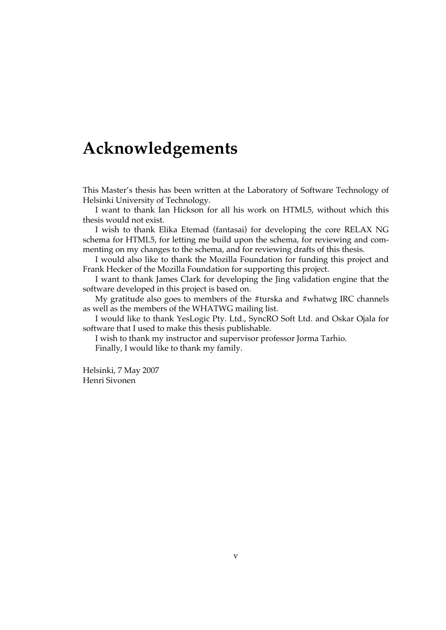# **Acknowledgements**

This Master's thesis has been written at the Laboratory of Software Technology of Helsinki University of Technology.

I want to thank Ian Hickson for all his work on HTML5, without which this thesis would not exist.

I wish to thank Elika Etemad (fantasai) for developing the core RELAX NG schema for HTML5, for letting me build upon the schema, for reviewing and commenting on my changes to the schema, and for reviewing drafts of this thesis.

I would also like to thank the Mozilla Foundation for funding this project and Frank Hecker of the Mozilla Foundation for supporting this project.

I want to thank James Clark for developing the Jing validation engine that the software developed in this project is based on.

My gratitude also goes to members of the #turska and #whatwg IRC channels as well as the members of the WHATWG mailing list.

I would like to thank YesLogic Pty. Ltd., SyncRO Soft Ltd. and Oskar Ojala for software that I used to make this thesis publishable.

I wish to thank my instructor and supervisor professor Jorma Tarhio.

Finally, I would like to thank my family.

Helsinki, 7 May 2007 Henri Sivonen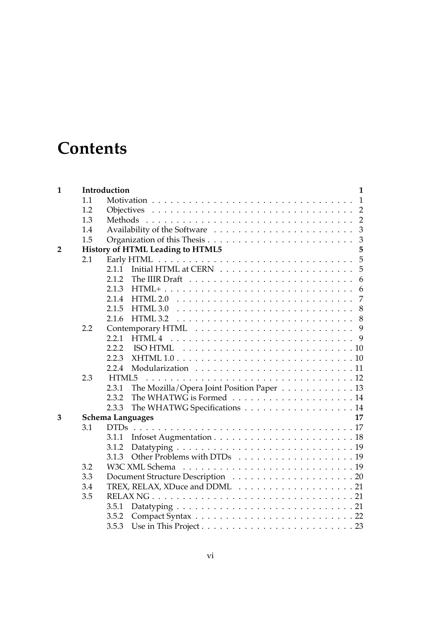# **Contents**

| $\mathbf{1}$   |     | Introduction<br>$\mathbf{1}$                                                                     |  |  |
|----------------|-----|--------------------------------------------------------------------------------------------------|--|--|
|                | 1.1 | $\mathbf{1}$                                                                                     |  |  |
|                | 1.2 | $\overline{2}$                                                                                   |  |  |
|                | 1.3 | $\overline{2}$                                                                                   |  |  |
|                | 1.4 | 3                                                                                                |  |  |
|                | 1.5 | $\overline{3}$                                                                                   |  |  |
| $\overline{2}$ |     | History of HTML Leading to HTML5<br>5                                                            |  |  |
|                | 2.1 | 5                                                                                                |  |  |
|                |     | 5<br>2.1.1                                                                                       |  |  |
|                |     | 2.1.2<br>The IIIR Draft $\dots \dots \dots \dots \dots \dots \dots \dots \dots \dots \dots$<br>6 |  |  |
|                |     | 2.1.3<br>6                                                                                       |  |  |
|                |     | 7<br>2.1.4<br>HTML 2.0                                                                           |  |  |
|                |     | 2.1.5<br>HTML 3.0<br>8                                                                           |  |  |
|                |     | 2.1.6<br>HTML 3.2<br>8                                                                           |  |  |
|                | 2.2 | 9                                                                                                |  |  |
|                |     | HTML <sub>4</sub><br>2.2.1<br>9                                                                  |  |  |
|                |     | 2.2.2<br><b>ISO HTML</b>                                                                         |  |  |
|                |     | 2.2.3                                                                                            |  |  |
|                |     | 2.2.4                                                                                            |  |  |
|                | 2.3 | HTML5                                                                                            |  |  |
|                |     | The Mozilla/Opera Joint Position Paper 13<br>2.3.1                                               |  |  |
|                |     | 2.3.2                                                                                            |  |  |
|                |     | The WHATWG Specifications 14<br>2.3.3                                                            |  |  |
| 3              |     | <b>Schema Languages</b><br>17                                                                    |  |  |
|                | 3.1 | <b>DTDs</b>                                                                                      |  |  |
|                |     | 3.1.1                                                                                            |  |  |
|                |     | 3.1.2                                                                                            |  |  |
|                |     | 3.1.3                                                                                            |  |  |
|                | 3.2 |                                                                                                  |  |  |
|                | 3.3 |                                                                                                  |  |  |
|                | 3.4 |                                                                                                  |  |  |
|                | 3.5 |                                                                                                  |  |  |
|                |     | 3.5.1                                                                                            |  |  |
|                |     | 3.5.2                                                                                            |  |  |
|                |     | 3.5.3                                                                                            |  |  |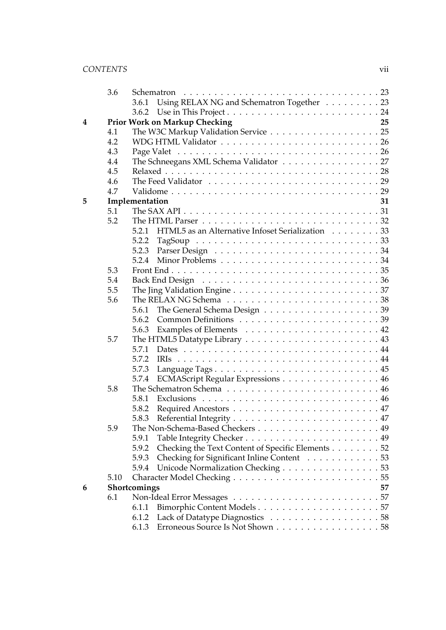|   | 3.6  |                                                                                                      |
|---|------|------------------------------------------------------------------------------------------------------|
|   |      | Using RELAX NG and Schematron Together 23<br>3.6.1                                                   |
|   |      | 3.6.2                                                                                                |
| 4 |      | <b>Prior Work on Markup Checking</b><br>25                                                           |
|   | 4.1  | The W3C Markup Validation Service 25                                                                 |
|   | 4.2  |                                                                                                      |
|   | 4.3  |                                                                                                      |
|   | 4.4  | The Schneegans XML Schema Validator 27                                                               |
|   | 4.5  |                                                                                                      |
|   | 4.6  | The Feed Validator $\ldots \ldots \ldots \ldots \ldots \ldots \ldots \ldots \ldots \ldots$           |
|   | 4.7  |                                                                                                      |
| 5 |      | Implementation<br>31                                                                                 |
|   | 5.1  | The SAX API $\ldots \ldots \ldots \ldots \ldots \ldots \ldots \ldots \ldots \ldots \ldots \ldots 31$ |
|   | 5.2  | The HTML Parser $\ldots \ldots \ldots \ldots \ldots \ldots \ldots \ldots \ldots \ldots 32$           |
|   |      | HTML5 as an Alternative Infoset Serialization 33<br>5.2.1                                            |
|   |      | 5.2.2                                                                                                |
|   |      | 5.2.3                                                                                                |
|   |      | 5.2.4                                                                                                |
|   | 5.3  |                                                                                                      |
|   | 5.4  |                                                                                                      |
|   | 5.5  | The Jing Validation Engine $\ldots \ldots \ldots \ldots \ldots \ldots \ldots \ldots \ldots 37$       |
|   | 5.6  |                                                                                                      |
|   |      | 5.6.1                                                                                                |
|   |      | 5.6.2                                                                                                |
|   |      | 5.6.3                                                                                                |
|   | 5.7  |                                                                                                      |
|   |      | 5.7.1                                                                                                |
|   |      | 5.7.2<br><b>IRIs</b>                                                                                 |
|   |      | Language Tags 45<br>5.7.3                                                                            |
|   |      | ECMAScript Regular Expressions 46<br>5.7.4                                                           |
|   | 5.8  |                                                                                                      |
|   |      | 5.8.1                                                                                                |
|   |      | 5.8.2                                                                                                |
|   |      | 5.8.3                                                                                                |
|   | 5.9  |                                                                                                      |
|   |      | 5.9.1                                                                                                |
|   |      | Checking the Text Content of Specific Elements 52<br>5.9.2                                           |
|   |      | Checking for Significant Inline Content 53<br>5.9.3                                                  |
|   |      | Unicode Normalization Checking 53<br>5.9.4                                                           |
|   | 5.10 |                                                                                                      |
| 6 |      | Shortcomings<br>57                                                                                   |
|   | 6.1  |                                                                                                      |
|   |      | Bimorphic Content Models57<br>6.1.1                                                                  |
|   |      | 6.1.2                                                                                                |
|   |      | Erroneous Source Is Not Shown 58<br>6.1.3                                                            |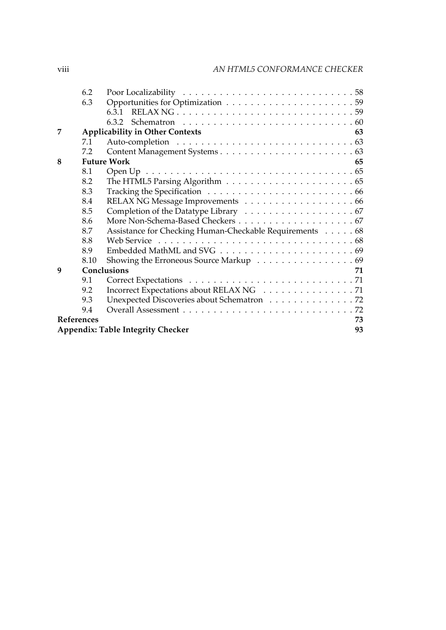|   | 6.2              |                                                         |  |
|---|------------------|---------------------------------------------------------|--|
|   | 6.3              |                                                         |  |
|   |                  | 6.3.1                                                   |  |
|   |                  |                                                         |  |
| 7 |                  | <b>Applicability in Other Contexts</b><br>63            |  |
|   | 7.1              |                                                         |  |
|   | 7.2              |                                                         |  |
| 8 |                  | <b>Future Work</b><br>65                                |  |
|   | 8.1              |                                                         |  |
|   | 8.2              |                                                         |  |
|   | 8.3              |                                                         |  |
|   | 8.4              |                                                         |  |
|   | 8.5              |                                                         |  |
|   | 8.6              |                                                         |  |
|   | 8.7              | Assistance for Checking Human-Checkable Requirements 68 |  |
|   | 8.8              |                                                         |  |
|   | 8.9              |                                                         |  |
|   | 8.10             | Showing the Erroneous Source Markup 69                  |  |
| 9 |                  | Conclusions<br>71                                       |  |
|   | 9.1              |                                                         |  |
|   | 9.2              | Incorrect Expectations about RELAX NG 71                |  |
|   | 9.3              | Unexpected Discoveries about Schematron 72              |  |
|   | 9.4              |                                                         |  |
|   | References<br>73 |                                                         |  |
|   |                  | <b>Appendix: Table Integrity Checker</b><br>93          |  |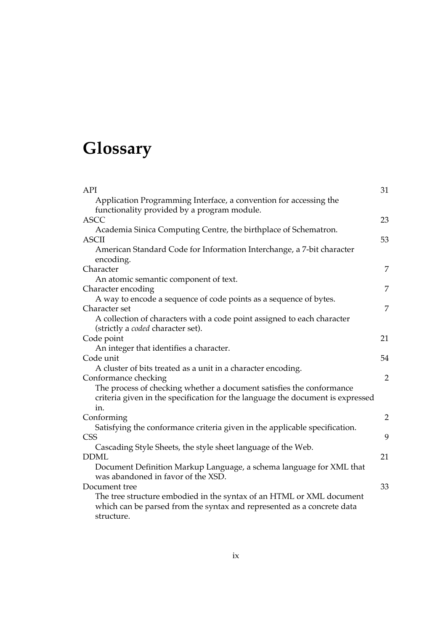# **Glossary**

| API                                                                                                                                                    | 31             |
|--------------------------------------------------------------------------------------------------------------------------------------------------------|----------------|
| Application Programming Interface, a convention for accessing the                                                                                      |                |
| functionality provided by a program module.                                                                                                            |                |
| <b>ASCC</b>                                                                                                                                            | 23             |
| Academia Sinica Computing Centre, the birthplace of Schematron.                                                                                        |                |
| <b>ASCII</b>                                                                                                                                           | 53             |
| American Standard Code for Information Interchange, a 7-bit character<br>encoding.                                                                     |                |
| Character                                                                                                                                              | 7              |
| An atomic semantic component of text.                                                                                                                  |                |
| Character encoding                                                                                                                                     | 7              |
| A way to encode a sequence of code points as a sequence of bytes.                                                                                      |                |
| Character set                                                                                                                                          | 7              |
| A collection of characters with a code point assigned to each character<br>(strictly a <i>coded</i> character set).                                    |                |
| Code point                                                                                                                                             | 21             |
| An integer that identifies a character.                                                                                                                |                |
| Code unit                                                                                                                                              | 54             |
| A cluster of bits treated as a unit in a character encoding.                                                                                           |                |
| Conformance checking                                                                                                                                   | $\overline{2}$ |
| The process of checking whether a document satisfies the conformance<br>criteria given in the specification for the language the document is expressed |                |
| in.                                                                                                                                                    |                |
| Conforming                                                                                                                                             | $\overline{2}$ |
| Satisfying the conformance criteria given in the applicable specification.                                                                             |                |
| <b>CSS</b>                                                                                                                                             | 9              |
| Cascading Style Sheets, the style sheet language of the Web.                                                                                           |                |
| <b>DDML</b>                                                                                                                                            | 21             |
| Document Definition Markup Language, a schema language for XML that<br>was abandoned in favor of the XSD.                                              |                |
| Document tree                                                                                                                                          | 33             |
| The tree structure embodied in the syntax of an HTML or XML document<br>which can be parsed from the syntax and represented as a concrete data         |                |
| structure.                                                                                                                                             |                |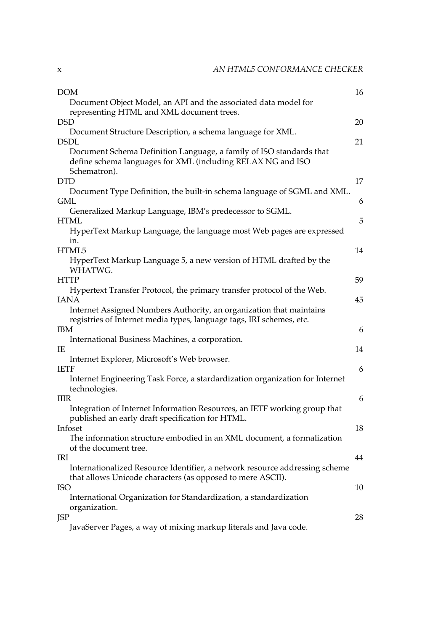| <b>DOM</b>                                                                                                                                         | 16 |
|----------------------------------------------------------------------------------------------------------------------------------------------------|----|
| Document Object Model, an API and the associated data model for                                                                                    |    |
| representing HTML and XML document trees.                                                                                                          |    |
| <b>DSD</b>                                                                                                                                         | 20 |
| Document Structure Description, a schema language for XML.<br><b>DSDL</b>                                                                          | 21 |
| Document Schema Definition Language, a family of ISO standards that<br>define schema languages for XML (including RELAX NG and ISO<br>Schematron). |    |
| <b>DTD</b>                                                                                                                                         | 17 |
| Document Type Definition, the built-in schema language of SGML and XML.                                                                            |    |
| <b>GML</b>                                                                                                                                         | 6  |
| Generalized Markup Language, IBM's predecessor to SGML.                                                                                            |    |
| <b>HTML</b>                                                                                                                                        | 5  |
| HyperText Markup Language, the language most Web pages are expressed<br>in.                                                                        |    |
| HTML5                                                                                                                                              | 14 |
| HyperText Markup Language 5, a new version of HTML drafted by the<br>WHATWG.                                                                       |    |
| <b>HTTP</b>                                                                                                                                        | 59 |
| Hypertext Transfer Protocol, the primary transfer protocol of the Web.                                                                             |    |
| <b>IANA</b>                                                                                                                                        | 45 |
| Internet Assigned Numbers Authority, an organization that maintains<br>registries of Internet media types, language tags, IRI schemes, etc.        |    |
| <b>IBM</b>                                                                                                                                         | 6  |
| International Business Machines, a corporation.                                                                                                    |    |
| IE                                                                                                                                                 | 14 |
| Internet Explorer, Microsoft's Web browser.                                                                                                        |    |
| <b>IETF</b>                                                                                                                                        | 6  |
| Internet Engineering Task Force, a stardardization organization for Internet<br>technologies.                                                      |    |
| <b>IIIR</b>                                                                                                                                        | 6  |
| Integration of Internet Information Resources, an IETF working group that                                                                          |    |
| published an early draft specification for HTML.<br>Infoset                                                                                        | 18 |
| The information structure embodied in an XML document, a formalization                                                                             |    |
| of the document tree.                                                                                                                              |    |
| IRI                                                                                                                                                | 44 |
| Internationalized Resource Identifier, a network resource addressing scheme<br>that allows Unicode characters (as opposed to mere ASCII).          |    |
| <b>ISO</b>                                                                                                                                         | 10 |
| International Organization for Standardization, a standardization                                                                                  |    |
| organization.                                                                                                                                      |    |
| <b>JSP</b>                                                                                                                                         | 28 |
| IavaCarvar Pages, a way of mixing marken literals and Java sode                                                                                    |    |

JavaServer Pages, a way of mixing markup literals and Java code.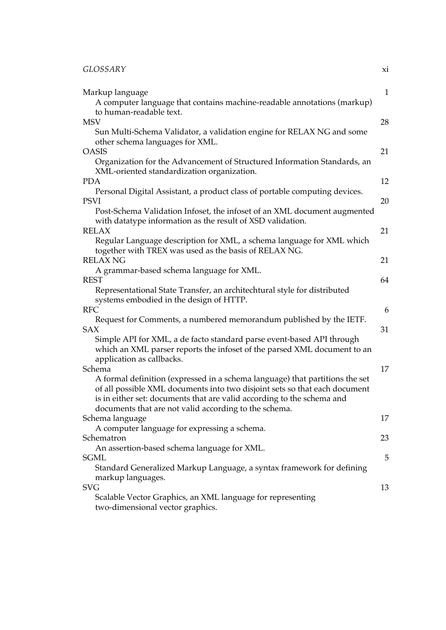| Markup language<br>A computer language that contains machine-readable annotations (markup)                                                                                                                                                                                                    | $\mathbf{1}$ |
|-----------------------------------------------------------------------------------------------------------------------------------------------------------------------------------------------------------------------------------------------------------------------------------------------|--------------|
| to human-readable text.<br><b>MSV</b><br>Sun Multi-Schema Validator, a validation engine for RELAX NG and some                                                                                                                                                                                | 28           |
| other schema languages for XML.<br><b>OASIS</b><br>Organization for the Advancement of Structured Information Standards, an                                                                                                                                                                   | 21           |
| XML-oriented standardization organization.<br><b>PDA</b>                                                                                                                                                                                                                                      | 12           |
| Personal Digital Assistant, a product class of portable computing devices.                                                                                                                                                                                                                    |              |
| <b>PSVI</b><br>Post-Schema Validation Infoset, the infoset of an XML document augmented<br>with datatype information as the result of XSD validation.                                                                                                                                         | 20           |
| <b>RELAX</b><br>Regular Language description for XML, a schema language for XML which                                                                                                                                                                                                         | 21           |
| together with TREX was used as the basis of RELAX NG.<br><b>RELAX NG</b>                                                                                                                                                                                                                      | 21           |
| A grammar-based schema language for XML.<br><b>REST</b>                                                                                                                                                                                                                                       | 64           |
| Representational State Transfer, an architechtural style for distributed<br>systems embodied in the design of HTTP.                                                                                                                                                                           |              |
| <b>RFC</b>                                                                                                                                                                                                                                                                                    | 6            |
| Request for Comments, a numbered memorandum published by the IETF.<br><b>SAX</b>                                                                                                                                                                                                              | 31           |
| Simple API for XML, a de facto standard parse event-based API through<br>which an XML parser reports the infoset of the parsed XML document to an<br>application as callbacks.                                                                                                                |              |
| Schema                                                                                                                                                                                                                                                                                        | 17           |
| A formal definition (expressed in a schema language) that partitions the set<br>of all possible XML documents into two disjoint sets so that each document<br>is in either set: documents that are valid according to the schema and<br>documents that are not valid according to the schema. |              |
| Schema language<br>A computer language for expressing a schema.                                                                                                                                                                                                                               | 17           |
| Schematron                                                                                                                                                                                                                                                                                    | 23           |
| An assertion-based schema language for XML.                                                                                                                                                                                                                                                   |              |
| <b>SGML</b>                                                                                                                                                                                                                                                                                   | 5            |
| Standard Generalized Markup Language, a syntax framework for defining<br>markup languages.                                                                                                                                                                                                    |              |
| <b>SVG</b>                                                                                                                                                                                                                                                                                    | 13           |
| Scalable Vector Graphics, an XML language for representing<br>two-dimensional vector graphics.                                                                                                                                                                                                |              |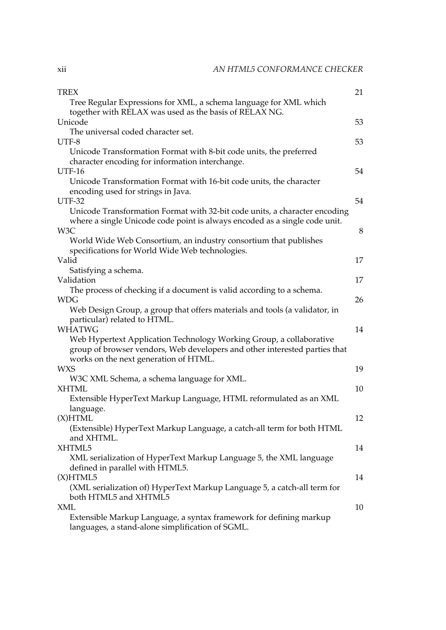| <b>TREX</b>                                                                | 21 |
|----------------------------------------------------------------------------|----|
| Tree Regular Expressions for XML, a schema language for XML which          |    |
| together with RELAX was used as the basis of RELAX NG.                     |    |
| Unicode                                                                    | 53 |
| The universal coded character set.                                         |    |
| UTF-8                                                                      | 53 |
| Unicode Transformation Format with 8-bit code units, the preferred         |    |
| character encoding for information interchange.                            |    |
| <b>UTF-16</b>                                                              | 54 |
| Unicode Transformation Format with 16-bit code units, the character        |    |
| encoding used for strings in Java.                                         |    |
| <b>UTF-32</b>                                                              | 54 |
| Unicode Transformation Format with 32-bit code units, a character encoding |    |
| where a single Unicode code point is always encoded as a single code unit. |    |
| W3C                                                                        | 8  |
| World Wide Web Consortium, an industry consortium that publishes           |    |
| specifications for World Wide Web technologies.                            |    |
| Valid                                                                      | 17 |
| Satisfying a schema.                                                       |    |
| Validation                                                                 | 17 |
| The process of checking if a document is valid according to a schema.      |    |
| <b>WDG</b>                                                                 | 26 |
| Web Design Group, a group that offers materials and tools (a validator, in |    |
| particular) related to HTML.                                               |    |
| <b>WHATWG</b>                                                              | 14 |
| Web Hypertext Application Technology Working Group, a collaborative        |    |
| group of browser vendors, Web developers and other interested parties that |    |
| works on the next generation of HTML.                                      |    |
| <b>WXS</b>                                                                 | 19 |
| W3C XML Schema, a schema language for XML.                                 |    |
| <b>XHTML</b>                                                               | 10 |
| Extensible HyperText Markup Language, HTML reformulated as an XML          |    |
| language.                                                                  |    |
| $(X)$ HTML                                                                 | 12 |
| (Extensible) HyperText Markup Language, a catch-all term for both HTML     |    |
| and XHTML.                                                                 |    |
| XHTML5                                                                     | 14 |
| XML serialization of HyperText Markup Language 5, the XML language         |    |
| defined in parallel with HTML5.                                            |    |
| (X)HTML5                                                                   | 14 |
| (XML serialization of) HyperText Markup Language 5, a catch-all term for   |    |
| both HTML5 and XHTML5                                                      |    |
| XML                                                                        | 10 |
| Extensible Markup Language, a syntax framework for defining markup         |    |
| languages, a stand-alone simplification of SGML.                           |    |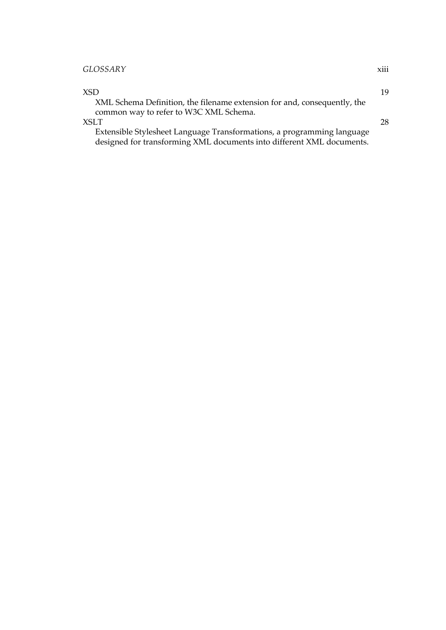#### *GLOSSARY* xiii

 $XSD$  19 XML Schema Definition, the filename extension for and, consequently, the common way to refer to W3C XML Schema.  $XSLT$  28 Extensible Stylesheet Language Transformations, a programming language designed for transforming XML documents into different XML documents.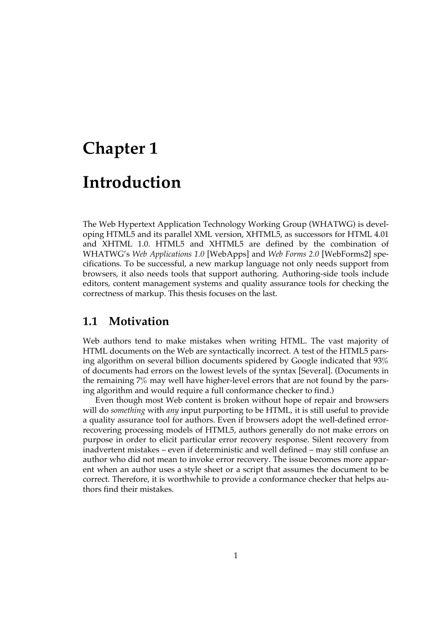# <span id="page-14-0"></span>**Chapter 1 Introduction**

The Web Hypertext Application Technology Working Group (WHATWG) is developing HTML5 and its parallel XML version, XHTML5, as successors for HTML 4.01 and XHTML 1.0. HTML5 and XHTML5 are defined by the combination of WHATWG's *Web Applications 1.0* [\[WebApps\]](#page-101-0) and *Web Forms 2.0* [\[WebForms2\]](#page-101-0) specifications. To be successful, a new markup language not only needs support from browsers, it also needs tools that support authoring. Authoring-side tools include editors, content management systems and quality assurance tools for checking the correctness of markup. This thesis focuses on the last.

#### **1.1 Motivation**

Web authors tend to make mistakes when writing HTML. The vast majority of HTML documents on the Web are syntactically incorrect. A test of the HTML5 parsing algorithm on several billion documents spidered by Google indicated that 93% of documents had errors on the lowest levels of the syntax [\[Several\]](#page-98-0). (Documents in the remaining 7% may well have higher-level errors that are not found by the parsing algorithm and would require a full conformance checker to find.)

Even though most Web content is broken without hope of repair and browsers will do *something* with *any* input purporting to be HTML, it is still useful to provide a quality assurance tool for authors. Even if browsers adopt the well-defined errorrecovering processing models of HTML5, authors generally do not make errors on purpose in order to elicit particular error recovery response. Silent recovery from inadvertent mistakes – even if deterministic and well defined – may still confuse an author who did not mean to invoke error recovery. The issue becomes more apparent when an author uses a style sheet or a script that assumes the document to be correct. Therefore, it is worthwhile to provide a conformance checker that helps authors find their mistakes.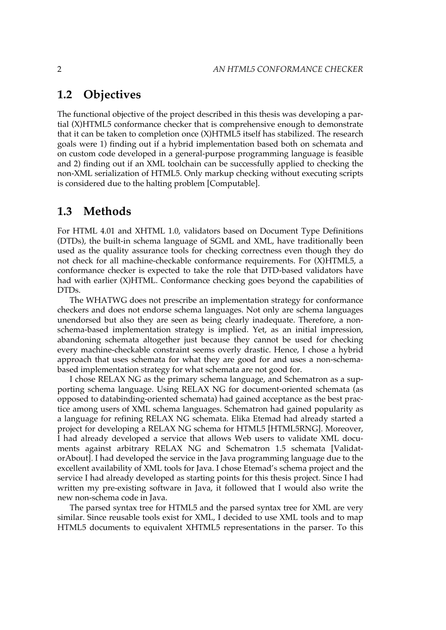#### <span id="page-15-0"></span>**1.2 Objectives**

The functional objective of the project described in this thesis was developing a partial (X)HTML5 conformance checker that is comprehensive enough to demonstrate that it can be taken to completion once (X)HTML5 itself has stabilized. The research goals were 1) finding out if a hybrid implementation based both on schemata and on custom code developed in a general-purpose programming language is feasible and 2) finding out if an XML toolchain can be successfully applied to checking the non-XML serialization of HTML5. Only markup checking without executing scripts is considered due to the halting problem [\[Computable\].](#page-87-0)

#### **1.3 Methods**

For HTML 4.01 and XHTML 1.0, validators based on Document Type Definitions (DTDs), the built-in schema language of SGML and XML, have traditionally been used as the quality assurance tools for checking correctness even though they do not check for all machine-checkable conformance requirements. For (X)HTML5, a conformance checker is expected to take the role that DTD-based validators have had with earlier (X)HTML. Conformance checking goes beyond the capabilities of DTDs.

The WHATWG does not prescribe an implementation strategy for conformance checkers and does not endorse schema languages. Not only are schema languages unendorsed but also they are seen as being clearly inadequate. Therefore, a nonschema-based implementation strategy is implied. Yet, as an initial impression, abandoning schemata altogether just because they cannot be used for checking every machine-checkable constraint seems overly drastic. Hence, I chose a hybrid approach that uses schemata for what they are good for and uses a non-schemabased implementation strategy for what schemata are not good for.

I chose RELAX NG as the primary schema language, and Schematron as a supporting schema language. Using RELAX NG for document-oriented schemata (as opposed to databinding-oriented schemata) had gained acceptance as the best practice among users of XML schema languages. Schematron had gained popularity as a language for refining RELAX NG schemata. Elika Etemad had already started a project for developing a RELAX NG schema for HTML5 [\[HTML5RNG\]](#page-90-0). Moreover, I had already developed a service that allows Web users to validate XML documents against arbitrary RELAX NG and Schematron 1.5 schemata [\[Validat](#page-100-0)[orAbout\]](#page-100-0). I had developed the service in the Java programming language due to the excellent availability of XML tools for Java. I chose Etemad's schema project and the service I had already developed as starting points for this thesis project. Since I had written my pre-existing software in Java, it followed that I would also write the new non-schema code in Java.

The parsed syntax tree for HTML5 and the parsed syntax tree for XML are very similar. Since reusable tools exist for XML, I decided to use XML tools and to map HTML5 documents to equivalent XHTML5 representations in the parser. To this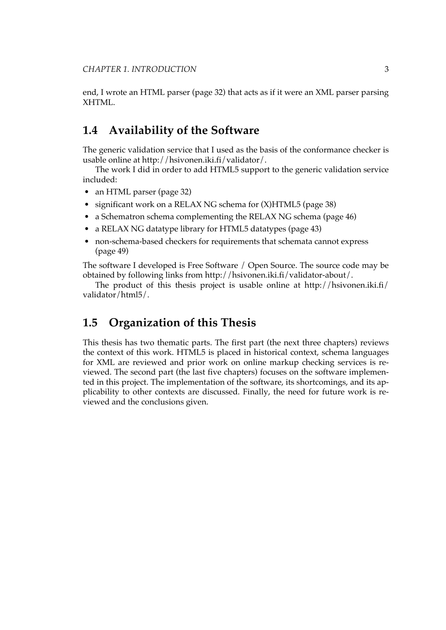<span id="page-16-0"></span>end, I wrote an [HTML](#page-45-0) parser (page 32) that acts as if it were an XML parser parsing XHTML.

### **1.4 Availability of the Software**

The generic validation service that I used as the basis of the conformance checker is usable online at <http://hsivonen.iki.fi/validator/>.

The work I did in order to add HTML5 support to the generic validation service included:

- an HTML parser [\(page 32\)](#page-45-0)
- significant work on [a RELAX NG schema for](#page-51-0) (X)HTML5 (page 38)
- [a Schematron schema complementing the RELAX NG schema](#page-59-0) (page 46)
- [a RELAX NG datatype library for](#page-56-0) HTML5 datatypes (page 43)
- [non-schema-based checkers for requirements that schemata cannot express](#page-62-0) [\(page 49\)](#page-62-0)

The software I developed is Free Software / Open Source. The source code may be obtained by following links from <http://hsivonen.iki.fi/validator-about/>.

The product of this thesis project is usable online at [http://hsivonen.iki.fi/](http://hsivonen.iki.fi/validator/html5/) [validator/html5/.](http://hsivonen.iki.fi/validator/html5/)

#### **1.5 Organization of this Thesis**

This thesis has two thematic parts. The first part (the next three chapters) reviews the context of this work. HTML5 is placed in historical context, schema languages for XML are reviewed and prior work on online markup checking services is reviewed. The second part (the last five chapters) focuses on the software implemented in this project. The implementation of the software, its shortcomings, and its applicability to other contexts are discussed. Finally, the need for future work is reviewed and the conclusions given.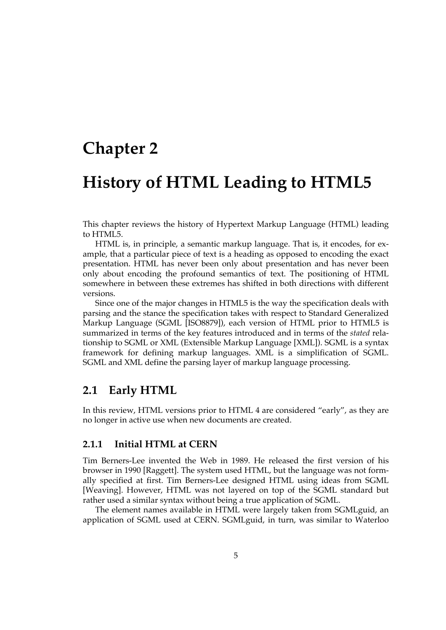### <span id="page-18-0"></span>**Chapter 2**

# **History of HTML Leading to HTML5**

This chapter reviews the history of Hypertext Markup Language (HTML) leading to HTML5.

HTML is, in principle, a semantic markup language. That is, it encodes, for example, that a particular piece of text is a heading as opposed to encoding the exact presentation. HTML has never been only about presentation and has never been only about encoding the profound semantics of text. The positioning of HTML somewhere in between these extremes has shifted in both directions with different versions.

Since one of the major changes in HTML5 is the way the specification deals with parsing and the stance the specification takes with respect to Standard Generalized Markup Language (SGML [\[ISO8879\]\)](#page-91-0), each version of HTML prior to HTML5 is summarized in terms of the key features introduced and in terms of the *stated* relationship to SGML or XML (Extensible Markup Language [\[XML\]\)](#page-103-0). SGML is a syntax framework for defining markup languages. XML is a simplification of SGML. SGML and XML define the parsing layer of markup language processing.

#### **2.1 Early HTML**

In this review, HTML versions prior to HTML 4 are considered "early", as they are no longer in active use when new documents are created.

#### **2.1.1 Initial HTML at CERN**

Tim Berners-Lee invented the Web in 1989. He released the first version of his browser in 1990 [\[Raggett\].](#page-94-0) The system used HTML, but the language was not formally specified at first. Tim Berners-Lee designed HTML using ideas from SGML [\[Weaving\].](#page-101-0) However, HTML was not layered on top of the SGML standard but rather used a similar syntax without being a true application of SGML.

The element names available in HTML were largely taken from SGMLguid, an application of SGML used at CERN. SGMLguid, in turn, was similar to Waterloo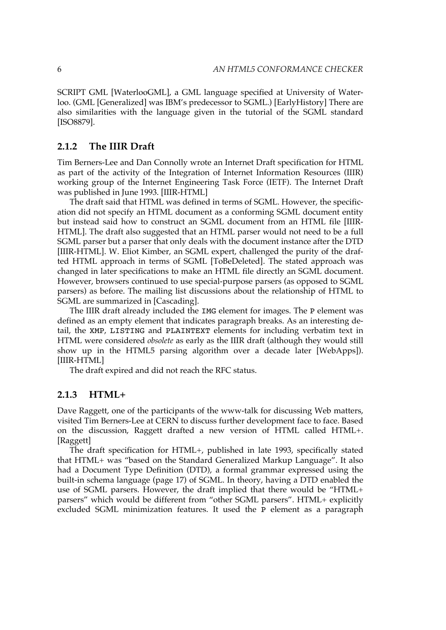<span id="page-19-0"></span>SCRIPT GML [\[WaterlooGML\]](#page-100-0), a GML language specified at University of Waterloo. (GML [\[Generalized\]](#page-89-0) was IBM's predecessor to SGML.) [\[EarlyHistory\]](#page-88-0) There are also similarities with the language given in the tutorial of the SGML standard [\[ISO8879\].](#page-91-0)

#### **2.1.2 The IIIR Draft**

Tim Berners-Lee and Dan Connolly wrote an Internet Draft specification for HTML as part of the activity of the Integration of Internet Information Resources (IIIR) working group of the Internet Engineering Task Force (IETF). The Internet Draft was published in June 1993. [\[IIIR-HTML\]](#page-90-0)

The draft said that HTML was defined in terms of SGML. However, the specification did not specify an HTML document as a conforming SGML document entity but instead said how to construct an SGML document from an HTML file [\[IIIR-](#page-90-0)[HTML\]](#page-90-0). The draft also suggested that an HTML parser would not need to be a full SGML parser but a parser that only deals with the document instance after the DTD [\[IIIR-HTML\]](#page-90-0). W. Eliot Kimber, an SGML expert, challenged the purity of the drafted HTML approach in terms of SGML [\[ToBeDeleted\].](#page-99-0) The stated approach was changed in later specifications to make an HTML file directly an SGML document. However, browsers continued to use special-purpose parsers (as opposed to SGML parsers) as before. The mailing list discussions about the relationship of HTML to SGML are summarized in [\[Cascading\].](#page-86-0)

The IIIR draft already included the IMG element for images. The P element was defined as an empty element that indicates paragraph breaks. As an interesting detail, the XMP, LISTING and PLAINTEXT elements for including verbatim text in HTML were considered *obsolete* as early as the IIIR draft (although they would still show up in the HTML5 parsing algorithm over a decade later [\[WebApps\]](#page-101-0)). [\[IIIR-HTML\]](#page-90-0)

The draft expired and did not reach the RFC status.

#### **2.1.3 HTML+**

Dave Raggett, one of the participants of the www-talk for discussing Web matters, visited Tim Berners-Lee at CERN to discuss further development face to face. Based on the discussion, Raggett drafted a new version of HTML called HTML+. [\[Raggett\]](#page-94-0)

The draft specification for HTML+, published in late 1993, specifically stated that HTML+ was "based on the Standard Generalized Markup Language". It also had a Document Type Definition (DTD), a formal grammar expressed using the built-in schema [language](#page-30-0) (page 17) of SGML. In theory, having a DTD enabled the use of SGML parsers. However, the draft implied that there would be "HTML+ parsers" which would be different from "other SGML parsers". HTML+ explicitly excluded SGML minimization features. It used the P element as a paragraph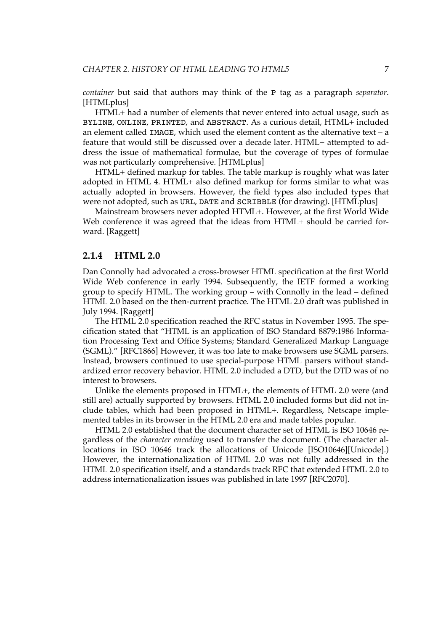<span id="page-20-0"></span>*container* but said that authors may think of the P tag as a paragraph *separator*. [\[HTMLplus\]](#page-90-0)

HTML+ had a number of elements that never entered into actual usage, such as BYLINE, ONLINE, PRINTED, and ABSTRACT. As a curious detail, HTML+ included an element called IMAGE, which used the element content as the alternative text – a feature that would still be discussed over a decade later. HTML+ attempted to address the issue of mathematical formulae, but the coverage of types of formulae was not particularly comprehensive. [\[HTMLplus\]](#page-90-0)

HTML+ defined markup for tables. The table markup is roughly what was later adopted in HTML 4. HTML+ also defined markup for forms similar to what was actually adopted in browsers. However, the field types also included types that were not adopted, such as URL, DATE and SCRIBBLE (for drawing). [\[HTMLplus\]](#page-90-0)

Mainstream browsers never adopted HTML+. However, at the first World Wide Web conference it was agreed that the ideas from HTML+ should be carried forward. [\[Raggett\]](#page-94-0)

#### **2.1.4 HTML 2.0**

Dan Connolly had advocated a cross-browser HTML specification at the first World Wide Web conference in early 1994. Subsequently, the IETF formed a working group to specify HTML. The working group – with Connolly in the lead – defined HTML 2.0 based on the then-current practice. The HTML 2.0 draft was published in July 1994. [\[Raggett\]](#page-94-0)

The HTML 2.0 specification reached the RFC status in November 1995. The specification stated that "HTML is an application of ISO Standard 8879:1986 Information Processing Text and Office Systems; Standard Generalized Markup Language (SGML)." [\[RFC1866\]](#page-95-0) However, it was too late to make browsers use SGML parsers. Instead, browsers continued to use special-purpose HTML parsers without standardized error recovery behavior. HTML 2.0 included a DTD, but the DTD was of no interest to browsers.

Unlike the elements proposed in HTML+, the elements of HTML 2.0 were (and still are) actually supported by browsers. HTML 2.0 included forms but did not include tables, which had been proposed in HTML+. Regardless, Netscape implemented tables in its browser in the HTML 2.0 era and made tables popular.

HTML 2.0 established that the document character set of HTML is ISO 10646 regardless of the *character encoding* used to transfer the document. (The character allocations in ISO 10646 track the allocations of Unicode [\[ISO10646\]](#page-90-0)[\[Unicode\]](#page-99-0).) However, the internationalization of HTML 2.0 was not fully addressed in the HTML 2.0 specification itself, and a standards track RFC that extended HTML 2.0 to address internationalization issues was published in late 1997 [\[RFC2070\]](#page-95-0).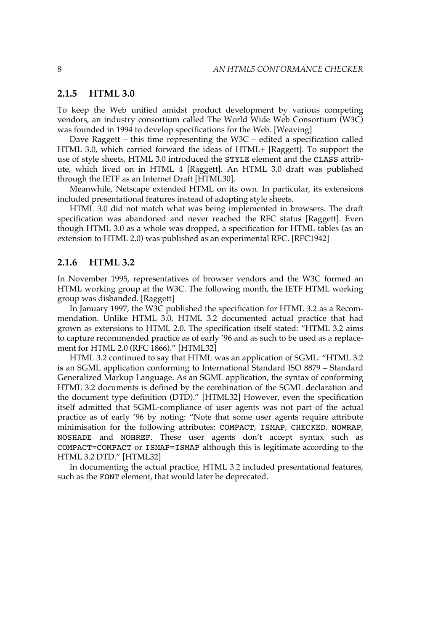#### <span id="page-21-0"></span>**2.1.5 HTML 3.0**

To keep the Web unified amidst product development by various competing vendors, an industry consortium called The World Wide Web Consortium (W3C) was founded in 1994 to develop specifications for the Web. [\[Weaving\]](#page-101-0)

Dave Raggett – this time representing the W3C – edited a specification called HTML 3.0, which carried forward the ideas of HTML+ [\[Raggett\].](#page-94-0) To support the use of style sheets, HTML 3.0 introduced the STYLE element and the CLASS attribute, which lived on in HTML 4 [\[Raggett\]](#page-94-0). An HTML 3.0 draft was published through the IETF as an Internet Draft [\[HTML30\]](#page-89-0).

Meanwhile, Netscape extended HTML on its own. In particular, its extensions included presentational features instead of adopting style sheets.

HTML 3.0 did not match what was being implemented in browsers. The draft specification was abandoned and never reached the RFC status [\[Raggett\]](#page-94-0). Even though HTML 3.0 as a whole was dropped, a specification for HTML tables (as an extension to HTML 2.0) was published as an experimental RFC. [\[RFC1942\]](#page-95-0)

#### **2.1.6 HTML 3.2**

In November 1995, representatives of browser vendors and the W3C formed an HTML working group at the W3C. The following month, the IETF HTML working group was disbanded. [\[Raggett\]](#page-94-0)

In January 1997, the W3C published the specification for HTML 3.2 as a Recommendation. Unlike HTML 3.0, HTML 3.2 documented actual practice that had grown as extensions to HTML 2.0. The specification itself stated: "HTML 3.2 aims to capture recommended practice as of early '96 and as such to be used as a replacement for HTML 2.0 (RFC 1866)." [\[HTML32\]](#page-89-0)

HTML 3.2 continued to say that HTML was an application of SGML: "HTML 3.2 is an SGML application conforming to International Standard ISO 8879 – Standard Generalized Markup Language. As an SGML application, the syntax of conforming HTML 3.2 documents is defined by the combination of the SGML declaration and the document type definition (DTD)." [\[HTML32\]](#page-89-0) However, even the specification itself admitted that SGML-compliance of user agents was not part of the actual practice as of early '96 by noting: "Note that some user agents require attribute minimisation for the following attributes: COMPACT, ISMAP, CHECKED, NOWRAP, NOSHADE and NOHREF. These user agents don't accept syntax such as COMPACT=COMPACT or ISMAP=ISMAP although this is legitimate according to the HTML 3.2 DTD." [\[HTML32\]](#page-89-0)

In documenting the actual practice, HTML 3.2 included presentational features, such as the FONT element, that would later be deprecated.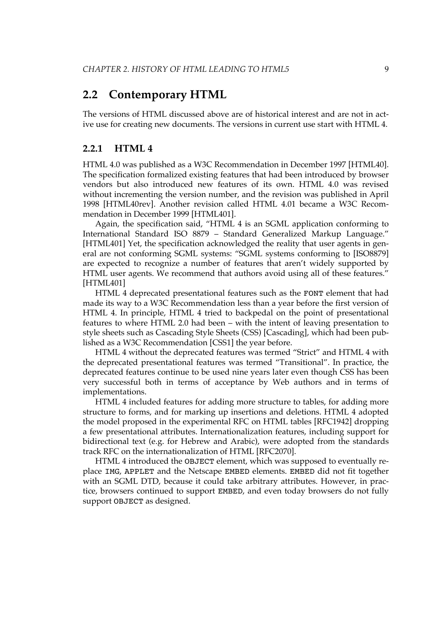#### <span id="page-22-0"></span>**2.2 Contemporary HTML**

The versions of HTML discussed above are of historical interest and are not in active use for creating new documents. The versions in current use start with HTML 4.

#### **2.2.1 HTML 4**

HTML 4.0 was published as a W3C Recommendation in December 1997 [\[HTML40\].](#page-89-0) The specification formalized existing features that had been introduced by browser vendors but also introduced new features of its own. HTML 4.0 was revised without incrementing the version number, and the revision was published in April 1998 [\[HTML40rev\].](#page-90-0) Another revision called HTML 4.01 became a W3C Recommendation in December 1999 [\[HTML401\]](#page-89-0).

Again, the specification said, "HTML 4 is an SGML application conforming to International Standard ISO 8879 – Standard Generalized Markup Language." [\[HTML401\]](#page-89-0) Yet, the specification acknowledged the reality that user agents in general are not conforming SGML systems: "SGML systems conforming to [\[ISO8879\]](#page-91-0) are expected to recognize a number of features that aren't widely supported by HTML user agents. We recommend that authors avoid using all of these features." [\[HTML401\]](#page-89-0)

HTML 4 deprecated presentational features such as the FONT element that had made its way to a W3C Recommendation less than a year before the first version of HTML 4. In principle, HTML 4 tried to backpedal on the point of presentational features to where HTML 2.0 had been – with the intent of leaving presentation to style sheets such as Cascading Style Sheets (CSS) [\[Cascading\],](#page-86-0) which had been published as a W3C Recommendation [\[CSS1\]](#page-87-0) the year before.

HTML 4 without the deprecated features was termed "Strict" and HTML 4 with the deprecated presentational features was termed "Transitional". In practice, the deprecated features continue to be used nine years later even though CSS has been very successful both in terms of acceptance by Web authors and in terms of implementations.

HTML 4 included features for adding more structure to tables, for adding more structure to forms, and for marking up insertions and deletions. HTML 4 adopted the model proposed in the experimental RFC on HTML tables [\[RFC1942\]](#page-95-0) dropping a few presentational attributes. Internationalization features, including support for bidirectional text (e.g. for Hebrew and Arabic), were adopted from the standards track RFC on the internationalization of HTML [\[RFC2070\]](#page-95-0).

HTML 4 introduced the OBJECT element, which was supposed to eventually replace IMG, APPLET and the Netscape EMBED elements. EMBED did not fit together with an SGML DTD, because it could take arbitrary attributes. However, in practice, browsers continued to support EMBED, and even today browsers do not fully support OBJECT as designed.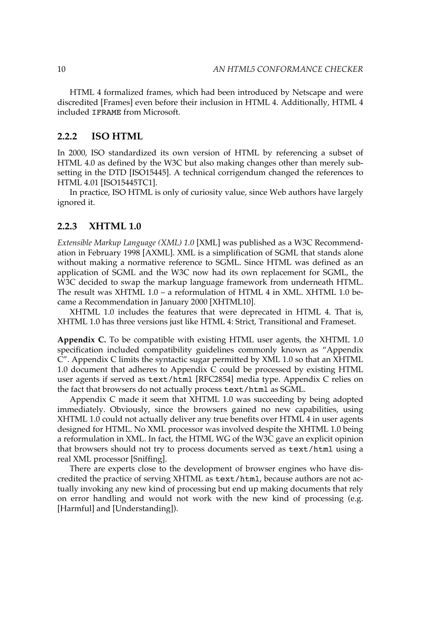<span id="page-23-0"></span>HTML 4 formalized frames, which had been introduced by Netscape and were discredited [\[Frames\]](#page-88-0) even before their inclusion in HTML 4. Additionally, HTML 4 included IFRAME from Microsoft.

#### **2.2.2 ISO HTML**

In 2000, ISO standardized its own version of HTML by referencing a subset of HTML 4.0 as defined by the W3C but also making changes other than merely subsetting in the DTD [\[ISO15445\]](#page-91-0). A technical corrigendum changed the references to HTML 4.01 [\[ISO15445TC1\]](#page-91-0).

In practice, ISO HTML is only of curiosity value, since Web authors have largely ignored it.

#### **2.2.3 XHTML 1.0**

*Extensible Markup Language (XML) 1.0* [\[XML\]](#page-103-0) was published as a W3C Recommendation in February 1998 [\[AXML\]](#page-86-0). XML is a simplification of SGML that stands alone without making a normative reference to SGML. Since HTML was defined as an application of SGML and the W3C now had its own replacement for SGML, the W3C decided to swap the markup language framework from underneath HTML. The result was XHTML 1.0 – a reformulation of HTML 4 in XML. XHTML 1.0 became a Recommendation in January 2000 [\[XHTML10\]](#page-102-0).

XHTML 1.0 includes the features that were deprecated in HTML 4. That is, XHTML 1.0 has three versions just like HTML 4: Strict, Transitional and Frameset.

**Appendix C.** To be compatible with existing HTML user agents, the XHTML 1.0 specification included compatibility guidelines commonly known as "Appendix C". Appendix C limits the syntactic sugar permitted by XML 1.0 so that an XHTML 1.0 document that adheres to Appendix C could be processed by existing HTML user agents if served as text/html [\[RFC2854\]](#page-96-0) media type. Appendix C relies on the fact that browsers do not actually process text/html as SGML.

Appendix C made it seem that XHTML 1.0 was succeeding by being adopted immediately. Obviously, since the browsers gained no new capabilities, using XHTML 1.0 could not actually deliver any true benefits over HTML 4 in user agents designed for HTML. No XML processor was involved despite the XHTML 1.0 being a reformulation in XML. In fact, the HTML WG of the W3C gave an explicit opinion that browsers should not try to process documents served as text/html using a real XML processor [\[Sniffing\]](#page-98-0).

There are experts close to the development of browser engines who have discredited the practice of serving XHTML as text/html, because authors are not actually invoking any new kind of processing but end up making documents that rely on error handling and would not work with the new kind of processing (e.g. [\[Harmful\]](#page-89-0) and [\[Understanding\]](#page-99-0)).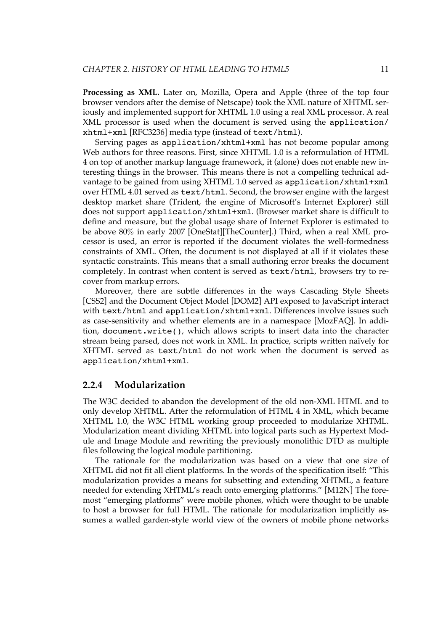<span id="page-24-0"></span>**Processing as XML.** Later on, Mozilla, Opera and Apple (three of the top four browser vendors after the demise of Netscape) took the XML nature of XHTML seriously and implemented support for XHTML 1.0 using a real XML processor. A real XML processor is used when the document is served using the application/ xhtml+xml [\[RFC3236\]](#page-96-0) media type (instead of text/html).

Serving pages as application/xhtml+xml has not become popular among Web authors for three reasons. First, since XHTML 1.0 is a reformulation of HTML 4 on top of another markup language framework, it (alone) does not enable new interesting things in the browser. This means there is not a compelling technical advantage to be gained from using XHTML 1.0 served as application/xhtml+xml over HTML 4.01 served as text/html. Second, the browser engine with the largest desktop market share (Trident, the engine of Microsoft's Internet Explorer) still does not support application/xhtml+xml. (Browser market share is difficult to define and measure, but the global usage share of Internet Explorer is estimated to be above 80% in early 2007 [\[OneStat\]](#page-94-0)[\[TheCounter\].](#page-99-0)) Third, when a real XML processor is used, an error is reported if the document violates the well-formedness constraints of XML. Often, the document is not displayed at all if it violates these syntactic constraints. This means that a small authoring error breaks the document completely. In contrast when content is served as text/html, browsers try to recover from markup errors.

Moreover, there are subtle differences in the ways Cascading Style Sheets [\[CSS2\]](#page-87-0) and the Document Object Model [\[DOM2\]](#page-88-0) API exposed to JavaScript interact with text/html and application/xhtml+xml. Differences involve issues such as case-sensitivity and whether elements are in a namespace [\[MozFAQ\].](#page-93-0) In addition, document.write(), which allows scripts to insert data into the character stream being parsed, does not work in XML. In practice, scripts written naïvely for XHTML served as text/html do not work when the document is served as application/xhtml+xml.

#### **2.2.4 Modularization**

The W3C decided to abandon the development of the old non-XML HTML and to only develop XHTML. After the reformulation of HTML 4 in XML, which became XHTML 1.0, the W3C HTML working group proceeded to modularize XHTML. Modularization meant dividing XHTML into logical parts such as Hypertext Module and Image Module and rewriting the previously monolithic DTD as multiple files following the logical module partitioning.

The rationale for the modularization was based on a view that one size of XHTML did not fit all client platforms. In the words of the specification itself: "This modularization provides a means for subsetting and extending XHTML, a feature needed for extending XHTML's reach onto emerging platforms." [\[M12N\]](#page-92-0) The foremost "emerging platforms" were mobile phones, which were thought to be unable to host a browser for full HTML. The rationale for modularization implicitly assumes a walled garden-style world view of the owners of mobile phone networks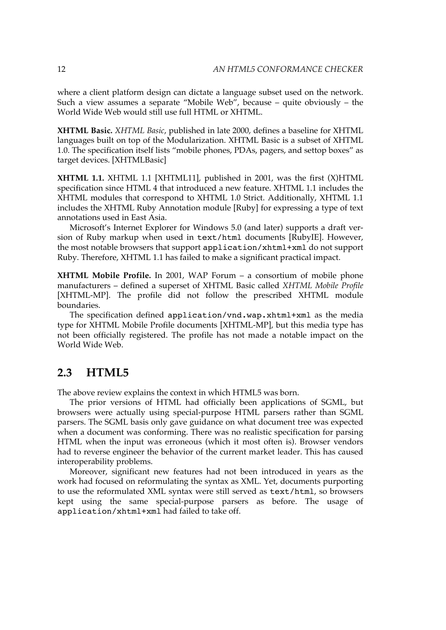<span id="page-25-0"></span>where a client platform design can dictate a language subset used on the network. Such a view assumes a separate "Mobile Web", because – quite obviously – the World Wide Web would still use full HTML or XHTML.

**XHTML Basic.** *XHTML Basic*, published in late 2000, defines a baseline for XHTML languages built on top of the Modularization. XHTML Basic is a subset of XHTML 1.0. The specification itself lists "mobile phones, PDAs, pagers, and settop boxes" as target devices. [\[XHTMLBasic\]](#page-102-0)

**XHTML 1.1.** XHTML 1.1 [\[XHTML11\]](#page-102-0), published in 2001, was the first (X)HTML specification since HTML 4 that introduced a new feature. XHTML 1.1 includes the XHTML modules that correspond to XHTML 1.0 Strict. Additionally, XHTML 1.1 includes the XHTML Ruby Annotation module [\[Ruby\]](#page-97-0) for expressing a type of text annotations used in East Asia.

Microsoft's Internet Explorer for Windows 5.0 (and later) supports a draft version of Ruby markup when used in text/html documents [\[RubyIE\]](#page-97-0). However, the most notable browsers that support application/xhtml+xml do not support Ruby. Therefore, XHTML 1.1 has failed to make a significant practical impact.

**XHTML Mobile Profile.** In 2001, WAP Forum – a consortium of mobile phone manufacturers – defined a superset of XHTML Basic called *XHTML Mobile Profile* [\[XHTML-MP\].](#page-102-0) The profile did not follow the prescribed XHTML module boundaries.

The specification defined application/vnd.wap.xhtml+xml as the media type for XHTML Mobile Profile documents [\[XHTML-MP\],](#page-102-0) but this media type has not been officially registered. The profile has not made a notable impact on the World Wide Web.

#### **2.3 HTML5**

The above review explains the context in which HTML5 was born.

The prior versions of HTML had officially been applications of SGML, but browsers were actually using special-purpose HTML parsers rather than SGML parsers. The SGML basis only gave guidance on what document tree was expected when a document was conforming. There was no realistic specification for parsing HTML when the input was erroneous (which it most often is). Browser vendors had to reverse engineer the behavior of the current market leader. This has caused interoperability problems.

Moreover, significant new features had not been introduced in years as the work had focused on reformulating the syntax as XML. Yet, documents purporting to use the reformulated XML syntax were still served as text/html, so browsers kept using the same special-purpose parsers as before. The usage of application/xhtml+xml had failed to take off.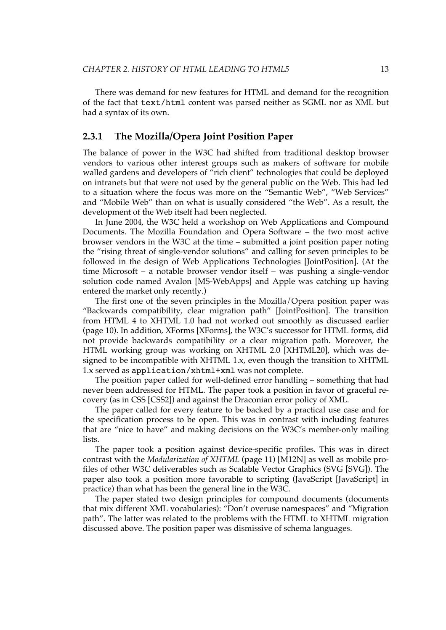<span id="page-26-0"></span>There was demand for new features for HTML and demand for the recognition of the fact that text/html content was parsed neither as SGML nor as XML but had a syntax of its own.

#### **2.3.1 The Mozilla/Opera Joint Position Paper**

The balance of power in the W3C had shifted from traditional desktop browser vendors to various other interest groups such as makers of software for mobile walled gardens and developers of "rich client" technologies that could be deployed on intranets but that were not used by the general public on the Web. This had led to a situation where the focus was more on the "Semantic Web", "Web Services" and "Mobile Web" than on what is usually considered "the Web". As a result, the development of the Web itself had been neglected.

In June 2004, the W3C held a workshop on Web Applications and Compound Documents. The Mozilla Foundation and Opera Software – the two most active browser vendors in the W3C at the time – submitted a joint position paper noting the "rising threat of single-vendor solutions" and calling for seven principles to be followed in the design of Web Applications Technologies [\[JointPosition\].](#page-92-0) (At the time Microsoft – a notable browser vendor itself – was pushing a single-vendor solution code named Avalon [\[MS-WebApps\]](#page-93-0) and Apple was catching up having entered the market only recently.)

The first one of the seven principles in the Mozilla/Opera position paper was "Backwards compatibility, clear migration path" [\[JointPosition\].](#page-92-0) The transition from HTML 4 to XHTML 1.0 had not worked out smoothly as [discussed](#page-23-0) earlier [\(page](#page-23-0) 10). In addition, XForms [\[XForms\],](#page-102-0) the W3C's successor for HTML forms, did not provide backwards compatibility or a clear migration path. Moreover, the HTML working group was working on XHTML 2.0 [\[XHTML20\]](#page-102-0), which was designed to be incompatible with XHTML 1.x, even though the transition to XHTML 1.x served as application/xhtml+xml was not complete.

The position paper called for well-defined error handling – something that had never been addressed for HTML. The paper took a position in favor of graceful recovery (as in CSS [\[CSS2\]](#page-87-0)) and against the Draconian error policy of XML.

The paper called for every feature to be backed by a practical use case and for the specification process to be open. This was in contrast with including features that are "nice to have" and making decisions on the W3C's member-only mailing lists.

The paper took a position against device-specific profiles. This was in direct contrast with the *[Modularization](#page-24-0) of XHTML* (page 11) [\[M12N\]](#page-92-0) as well as mobile profiles of other W3C deliverables such as Scalable Vector Graphics (SVG [\[SVG\]](#page-99-0)). The paper also took a position more favorable to scripting (JavaScript [\[JavaScript\]](#page-91-0) in practice) than what has been the general line in the W3C.

The paper stated two design principles for compound documents (documents that mix different XML vocabularies): "Don't overuse namespaces" and "Migration path". The latter was related to the problems with the HTML to XHTML migration discussed above. The position paper was dismissive of schema languages.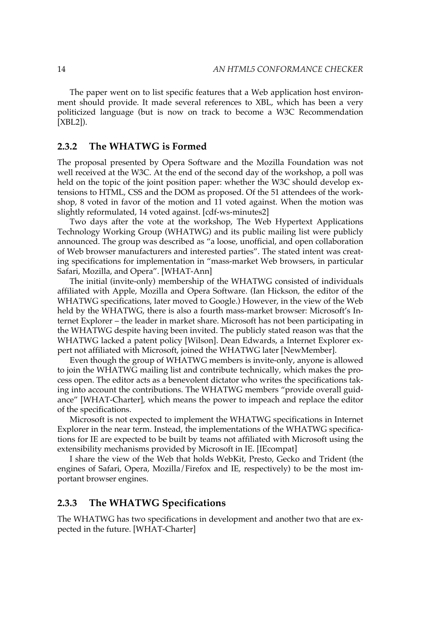<span id="page-27-0"></span>The paper went on to list specific features that a Web application host environment should provide. It made several references to XBL, which has been a very politicized language (but is now on track to become a W3C Recommendation [\[XBL2\]](#page-102-0)).

#### **2.3.2 The WHATWG is Formed**

The proposal presented by Opera Software and the Mozilla Foundation was not well received at the W3C. At the end of the second day of the workshop, a poll was held on the topic of the joint position paper: whether the W3C should develop extensions to HTML, CSS and the DOM as proposed. Of the 51 attendees of the workshop, 8 voted in favor of the motion and 11 voted against. When the motion was slightly reformulated, 14 voted against. [\[cdf-ws-minutes2\]](#page-86-0)

Two days after the vote at the workshop, The Web Hypertext Applications Technology Working Group (WHATWG) and its public mailing list were publicly announced. The group was described as "a loose, unofficial, and open collaboration of Web browser manufacturers and interested parties". The stated intent was creating specifications for implementation in "mass-market Web browsers, in particular Safari, Mozilla, and Opera". [\[WHAT-Ann\]](#page-101-0)

The initial (invite-only) membership of the WHATWG consisted of individuals affiliated with Apple, Mozilla and Opera Software. (Ian Hickson, the editor of the WHATWG specifications, later moved to Google.) However, in the view of the Web held by the WHATWG, there is also a fourth mass-market browser: Microsoft's Internet Explorer – the leader in market share. Microsoft has not been participating in the WHATWG despite having been invited. The publicly stated reason was that the WHATWG lacked a patent policy [\[Wilson\]](#page-101-0). Dean Edwards, a Internet Explorer expert not affiliated with Microsoft, joined the WHATWG later [\[NewMember\].](#page-93-0)

Even though the group of WHATWG members is invite-only, anyone is allowed to join the WHATWG mailing list and contribute technically, which makes the process open. The editor acts as a benevolent dictator who writes the specifications taking into account the contributions. The WHATWG members "provide overall guidance" [\[WHAT-Charter\]](#page-101-0), which means the power to impeach and replace the editor of the specifications.

Microsoft is not expected to implement the WHATWG specifications in Internet Explorer in the near term. Instead, the implementations of the WHATWG specifications for IE are expected to be built by teams not affiliated with Microsoft using the extensibility mechanisms provided by Microsoft in IE. [\[IEcompat\]](#page-90-0)

I share the view of the Web that holds WebKit, Presto, Gecko and Trident (the engines of Safari, Opera, Mozilla/Firefox and IE, respectively) to be the most important browser engines.

#### **2.3.3 The WHATWG Specifications**

The WHATWG has two specifications in development and another two that are expected in the future. [\[WHAT-Charter\]](#page-101-0)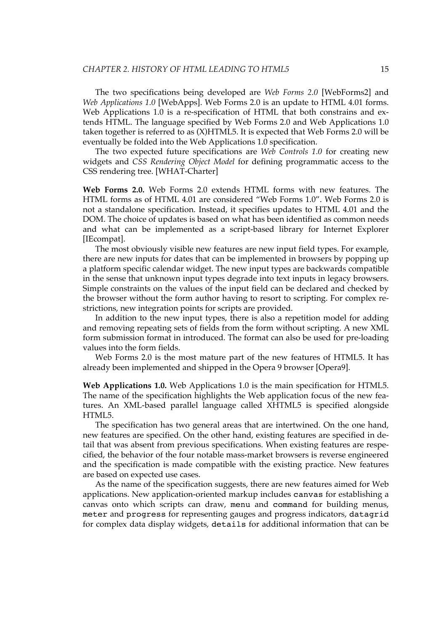The two specifications being developed are *Web Forms 2.0* [\[WebForms2\]](#page-101-0) and *Web Applications 1.0* [\[WebApps\]](#page-101-0). Web Forms 2.0 is an update to HTML 4.01 forms. Web Applications 1.0 is a re-specification of HTML that both constrains and extends HTML. The language specified by Web Forms 2.0 and Web Applications 1.0 taken together is referred to as (X)HTML5. It is expected that Web Forms 2.0 will be eventually be folded into the Web Applications 1.0 specification.

The two expected future specifications are *Web Controls 1.0* for creating new widgets and *CSS Rendering Object Model* for defining programmatic access to the CSS rendering tree. [\[WHAT-Charter\]](#page-101-0)

**Web Forms 2.0.** Web Forms 2.0 extends HTML forms with new features. The HTML forms as of HTML 4.01 are considered "Web Forms 1.0". Web Forms 2.0 is not a standalone specification. Instead, it specifies updates to HTML 4.01 and the DOM. The choice of updates is based on what has been identified as common needs and what can be implemented as a script-based library for Internet Explorer [\[IEcompat\].](#page-90-0)

The most obviously visible new features are new input field types. For example, there are new inputs for dates that can be implemented in browsers by popping up a platform specific calendar widget. The new input types are backwards compatible in the sense that unknown input types degrade into text inputs in legacy browsers. Simple constraints on the values of the input field can be declared and checked by the browser without the form author having to resort to scripting. For complex restrictions, new integration points for scripts are provided.

In addition to the new input types, there is also a repetition model for adding and removing repeating sets of fields from the form without scripting. A new XML form submission format in introduced. The format can also be used for pre-loading values into the form fields.

Web Forms 2.0 is the most mature part of the new features of HTML5. It has already been implemented and shipped in the Opera 9 browser [\[Opera9\].](#page-94-0)

**Web Applications 1.0.** Web Applications 1.0 is the main specification for HTML5. The name of the specification highlights the Web application focus of the new features. An XML-based parallel language called XHTML5 is specified alongside HTML5.

The specification has two general areas that are intertwined. On the one hand, new features are specified. On the other hand, existing features are specified in detail that was absent from previous specifications. When existing features are respecified, the behavior of the four notable mass-market browsers is reverse engineered and the specification is made compatible with the existing practice. New features are based on expected use cases.

As the name of the specification suggests, there are new features aimed for Web applications. New application-oriented markup includes canvas for establishing a canvas onto which scripts can draw, menu and command for building menus, meter and progress for representing gauges and progress indicators, datagrid for complex data display widgets, details for additional information that can be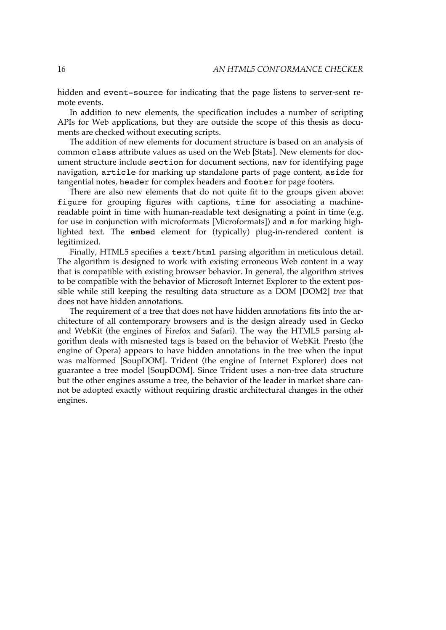<span id="page-29-0"></span>hidden and event-source for indicating that the page listens to server-sent remote events.

In addition to new elements, the specification includes a number of scripting APIs for Web applications, but they are outside the scope of this thesis as documents are checked without executing scripts.

The addition of new elements for document structure is based on an analysis of common class attribute values as used on the Web [\[Stats\]](#page-98-0). New elements for document structure include section for document sections, nav for identifying page navigation, article for marking up standalone parts of page content, aside for tangential notes, header for complex headers and footer for page footers.

There are also new elements that do not quite fit to the groups given above: figure for grouping figures with captions, time for associating a machinereadable point in time with human-readable text designating a point in time (e.g. for use in conjunction with microformats [\[Microformats\]\)](#page-93-0) and m for marking highlighted text. The embed element for (typically) plug-in-rendered content is legitimized.

Finally, HTML5 specifies a text/html parsing algorithm in meticulous detail. The algorithm is designed to work with existing erroneous Web content in a way that is compatible with existing browser behavior. In general, the algorithm strives to be compatible with the behavior of Microsoft Internet Explorer to the extent possible while still keeping the resulting data structure as a DOM [\[DOM2\]](#page-88-0) *tree* that does not have hidden annotations.

The requirement of a tree that does not have hidden annotations fits into the architecture of all contemporary browsers and is the design already used in Gecko and WebKit (the engines of Firefox and Safari). The way the HTML5 parsing algorithm deals with misnested tags is based on the behavior of WebKit. Presto (the engine of Opera) appears to have hidden annotations in the tree when the input was malformed [\[SoupDOM\]](#page-98-0). Trident (the engine of Internet Explorer) does not guarantee a tree model [\[SoupDOM\]](#page-98-0). Since Trident uses a non-tree data structure but the other engines assume a tree, the behavior of the leader in market share cannot be adopted exactly without requiring drastic architectural changes in the other engines.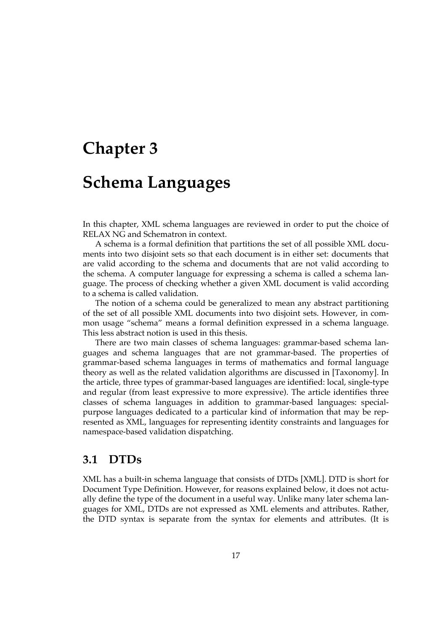### <span id="page-30-0"></span>**Chapter 3**

### **Schema Languages**

In this chapter, XML schema languages are reviewed in order to put the choice of RELAX NG and Schematron in context.

A schema is a formal definition that partitions the set of all possible XML documents into two disjoint sets so that each document is in either set: documents that are valid according to the schema and documents that are not valid according to the schema. A computer language for expressing a schema is called a schema language. The process of checking whether a given XML document is valid according to a schema is called validation.

The notion of a schema could be generalized to mean any abstract partitioning of the set of all possible XML documents into two disjoint sets. However, in common usage "schema" means a formal definition expressed in a schema language. This less abstract notion is used in this thesis.

There are two main classes of schema languages: grammar-based schema languages and schema languages that are not grammar-based. The properties of grammar-based schema languages in terms of mathematics and formal language theory as well as the related validation algorithms are discussed in [\[Taxonomy\].](#page-99-0) In the article, three types of grammar-based languages are identified: local, single-type and regular (from least expressive to more expressive). The article identifies three classes of schema languages in addition to grammar-based languages: specialpurpose languages dedicated to a particular kind of information that may be represented as XML, languages for representing identity constraints and languages for namespace-based validation dispatching.

#### **3.1 DTDs**

XML has a built-in schema language that consists of DTDs [\[XML\].](#page-103-0) DTD is short for Document Type Definition. However, for reasons explained below, it does not actually define the type of the document in a useful way. Unlike many later schema languages for XML, DTDs are not expressed as XML elements and attributes. Rather, the DTD syntax is separate from the syntax for elements and attributes. (It is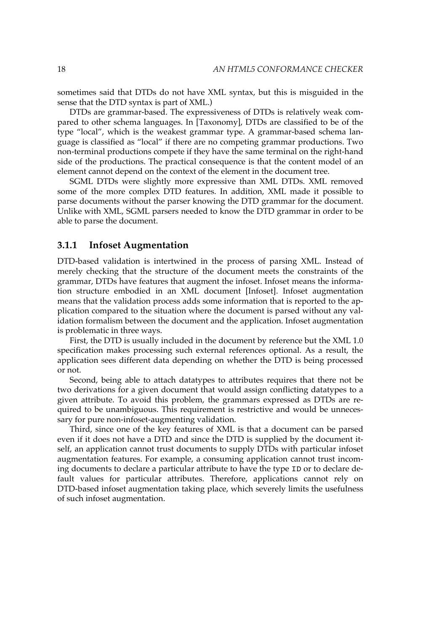<span id="page-31-0"></span>sometimes said that DTDs do not have XML syntax, but this is misguided in the sense that the DTD syntax is part of XML.)

DTDs are grammar-based. The expressiveness of DTDs is relatively weak compared to other schema languages. In [\[Taxonomy\]](#page-99-0), DTDs are classified to be of the type "local", which is the weakest grammar type. A grammar-based schema language is classified as "local" if there are no competing grammar productions. Two non-terminal productions compete if they have the same terminal on the right-hand side of the productions. The practical consequence is that the content model of an element cannot depend on the context of the element in the document tree.

SGML DTDs were slightly more expressive than XML DTDs. XML removed some of the more complex DTD features. In addition, XML made it possible to parse documents without the parser knowing the DTD grammar for the document. Unlike with XML, SGML parsers needed to know the DTD grammar in order to be able to parse the document.

#### **3.1.1 Infoset Augmentation**

DTD-based validation is intertwined in the process of parsing XML. Instead of merely checking that the structure of the document meets the constraints of the grammar, DTDs have features that augment the infoset. Infoset means the information structure embodied in an XML document [\[Infoset\]](#page-90-0). Infoset augmentation means that the validation process adds some information that is reported to the application compared to the situation where the document is parsed without any validation formalism between the document and the application. Infoset augmentation is problematic in three ways.

First, the DTD is usually included in the document by reference but the XML 1.0 specification makes processing such external references optional. As a result, the application sees different data depending on whether the DTD is being processed or not.

Second, being able to attach datatypes to attributes requires that there not be two derivations for a given document that would assign conflicting datatypes to a given attribute. To avoid this problem, the grammars expressed as DTDs are required to be unambiguous. This requirement is restrictive and would be unnecessary for pure non-infoset-augmenting validation.

Third, since one of the key features of XML is that a document can be parsed even if it does not have a DTD and since the DTD is supplied by the document itself, an application cannot trust documents to supply DTDs with particular infoset augmentation features. For example, a consuming application cannot trust incoming documents to declare a particular attribute to have the type ID or to declare default values for particular attributes. Therefore, applications cannot rely on DTD-based infoset augmentation taking place, which severely limits the usefulness of such infoset augmentation.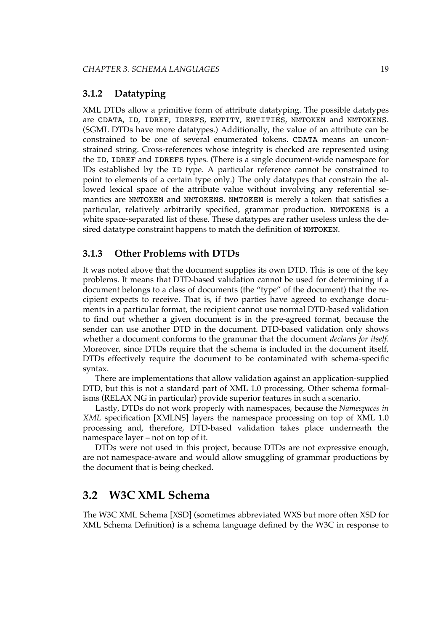#### <span id="page-32-0"></span>**3.1.2 Datatyping**

XML DTDs allow a primitive form of attribute datatyping. The possible datatypes are CDATA, ID, IDREF, IDREFS, ENTITY, ENTITIES, NMTOKEN and NMTOKENS. (SGML DTDs have more datatypes.) Additionally, the value of an attribute can be constrained to be one of several enumerated tokens. CDATA means an unconstrained string. Cross-references whose integrity is checked are represented using the ID, IDREF and IDREFS types. (There is a single document-wide namespace for IDs established by the ID type. A particular reference cannot be constrained to point to elements of a certain type only.) The only datatypes that constrain the allowed lexical space of the attribute value without involving any referential semantics are NMTOKEN and NMTOKENS. NMTOKEN is merely a token that satisfies a particular, relatively arbitrarily specified, grammar production. NMTOKENS is a white space-separated list of these. These datatypes are rather useless unless the desired datatype constraint happens to match the definition of NMTOKEN.

#### **3.1.3 Other Problems with DTDs**

It was noted above that the document supplies its own DTD. This is one of the key problems. It means that DTD-based validation cannot be used for determining if a document belongs to a class of documents (the "type" of the document) that the recipient expects to receive. That is, if two parties have agreed to exchange documents in a particular format, the recipient cannot use normal DTD-based validation to find out whether a given document is in the pre-agreed format, because the sender can use another DTD in the document. DTD-based validation only shows whether a document conforms to the grammar that the document *declares for itself*. Moreover, since DTDs require that the schema is included in the document itself, DTDs effectively require the document to be contaminated with schema-specific syntax.

There are implementations that allow validation against an application-supplied DTD, but this is not a standard part of XML 1.0 processing. Other schema formalisms (RELAX NG in particular) provide superior features in such a scenario.

Lastly, DTDs do not work properly with namespaces, because the *Namespaces in XML* specification [\[XMLNS\]](#page-103-0) layers the namespace processing on top of XML 1.0 processing and, therefore, DTD-based validation takes place underneath the namespace layer – not on top of it.

DTDs were not used in this project, because DTDs are not expressive enough, are not namespace-aware and would allow smuggling of grammar productions by the document that is being checked.

#### **3.2 W3C XML Schema**

The W3C XML Schema [\[XSD\]](#page-103-0) (sometimes abbreviated WXS but more often XSD for XML Schema Definition) is a schema language defined by the W3C in response to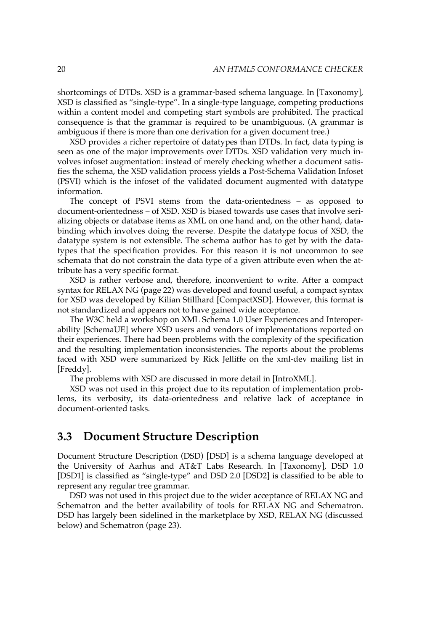<span id="page-33-0"></span>shortcomings of DTDs. XSD is a grammar-based schema language. In [\[Taxonomy\],](#page-99-0) XSD is classified as "single-type". In a single-type language, competing productions within a content model and competing start symbols are prohibited. The practical consequence is that the grammar is required to be unambiguous. (A grammar is ambiguous if there is more than one derivation for a given document tree.)

XSD provides a richer repertoire of datatypes than DTDs. In fact, data typing is seen as one of the major improvements over DTDs. XSD validation very much involves infoset augmentation: instead of merely checking whether a document satisfies the schema, the XSD validation process yields a Post-Schema Validation Infoset (PSVI) which is the infoset of the validated document augmented with datatype information.

The concept of PSVI stems from the data-orientedness – as opposed to document-orientedness – of XSD. XSD is biased towards use cases that involve serializing objects or database items as XML on one hand and, on the other hand, databinding which involves doing the reverse. Despite the datatype focus of XSD, the datatype system is not extensible. The schema author has to get by with the datatypes that the specification provides. For this reason it is not uncommon to see schemata that do not constrain the data type of a given attribute even when the attribute has a very specific format.

XSD is rather verbose and, therefore, inconvenient to write. After a [compact](#page-35-0) syntax for [RELAX](#page-35-0) NG (page 22) was developed and found useful, a compact syntax for XSD was developed by Kilian Stillhard [\[CompactXSD\]](#page-87-0). However, this format is not standardized and appears not to have gained wide acceptance.

The W3C held a workshop on XML Schema 1.0 User Experiences and Interoperability [\[SchemaUE\]](#page-98-0) where XSD users and vendors of implementations reported on their experiences. There had been problems with the complexity of the specification and the resulting implementation inconsistencies. The reports about the problems faced with XSD were summarized by Rick Jelliffe on the xml-dev mailing list in [\[Freddy\]](#page-89-0).

The problems with XSD are discussed in more detail in [\[IntroXML\]](#page-90-0).

XSD was not used in this project due to its reputation of implementation problems, its verbosity, its data-orientedness and relative lack of acceptance in document-oriented tasks.

#### **3.3 Document Structure Description**

Document Structure Description (DSD) [\[DSD\]](#page-88-0) is a schema language developed at the University of Aarhus and AT&T Labs Research. In [\[Taxonomy\]](#page-99-0), DSD 1.0 [\[DSD1\]](#page-88-0) is classified as "single-type" and DSD 2.0 [\[DSD2\]](#page-88-0) is classified to be able to represent any regular tree grammar.

DSD was not used in this project due to the wider acceptance of RELAX NG and Schematron and the better availability of tools for RELAX NG and Schematron. DSD has largely been sidelined in the marketplace by XSD, RELAX NG (discussed below) and [Schematron](#page-36-0) (page 23).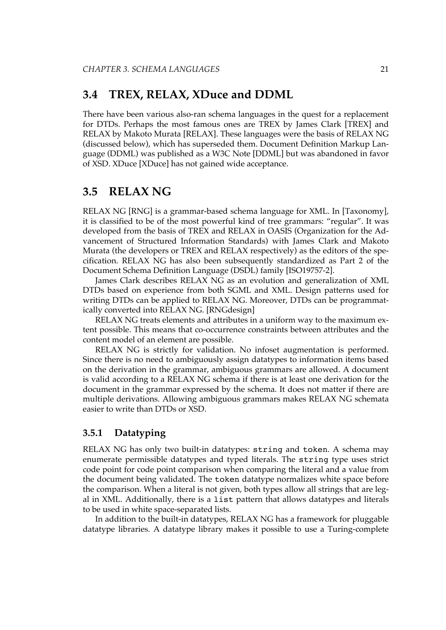#### <span id="page-34-0"></span>**3.4 TREX, RELAX, XDuce and DDML**

There have been various also-ran schema languages in the quest for a replacement for DTDs. Perhaps the most famous ones are TREX by James Clark [\[TREX\]](#page-99-0) and RELAX by Makoto Murata [\[RELAX\]](#page-94-0). These languages were the basis of RELAX NG (discussed below), which has superseded them. Document Definition Markup Language (DDML) was published as a W3C Note [\[DDML\]](#page-87-0) but was abandoned in favor of XSD. XDuce [\[XDuce\]](#page-102-0) has not gained wide acceptance.

#### **3.5 RELAX NG**

RELAX NG [\[RNG\]](#page-97-0) is a grammar-based schema language for XML. In [\[Taxonomy\],](#page-99-0) it is classified to be of the most powerful kind of tree grammars: "regular". It was developed from the basis of TREX and RELAX in OASIS (Organization for the Advancement of Structured Information Standards) with James Clark and Makoto Murata (the developers or TREX and RELAX respectively) as the editors of the specification. RELAX NG has also been subsequently standardized as Part 2 of the Document Schema Definition Language (DSDL) family [\[ISO19757-2\].](#page-91-0)

James Clark describes RELAX NG as an evolution and generalization of XML DTDs based on experience from both SGML and XML. Design patterns used for writing DTDs can be applied to RELAX NG. Moreover, DTDs can be programmatically converted into RELAX NG. [\[RNGdesign\]](#page-97-0)

RELAX NG treats elements and attributes in a uniform way to the maximum extent possible. This means that co-occurrence constraints between attributes and the content model of an element are possible.

RELAX NG is strictly for validation. No infoset augmentation is performed. Since there is no need to ambiguously assign datatypes to information items based on the derivation in the grammar, ambiguous grammars are allowed. A document is valid according to a RELAX NG schema if there is at least one derivation for the document in the grammar expressed by the schema. It does not matter if there are multiple derivations. Allowing ambiguous grammars makes RELAX NG schemata easier to write than DTDs or XSD.

#### **3.5.1 Datatyping**

RELAX NG has only two built-in datatypes: string and token. A schema may enumerate permissible datatypes and typed literals. The string type uses strict code point for code point comparison when comparing the literal and a value from the document being validated. The token datatype normalizes white space before the comparison. When a literal is not given, both types allow all strings that are legal in XML. Additionally, there is a list pattern that allows datatypes and literals to be used in white space-separated lists.

In addition to the built-in datatypes, RELAX NG has a framework for pluggable datatype libraries. A datatype library makes it possible to use a Turing-complete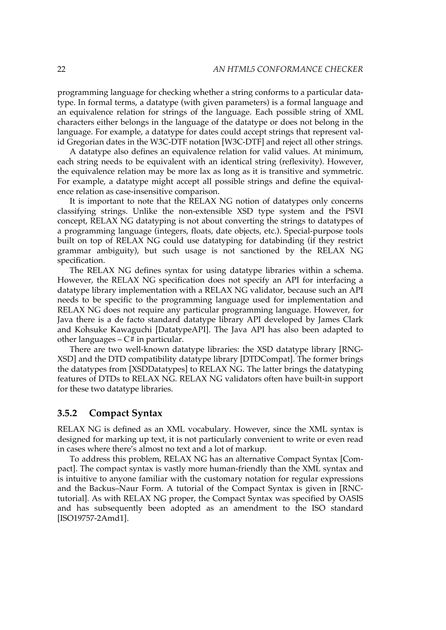<span id="page-35-0"></span>programming language for checking whether a string conforms to a particular datatype. In formal terms, a datatype (with given parameters) is a formal language and an equivalence relation for strings of the language. Each possible string of XML characters either belongs in the language of the datatype or does not belong in the language. For example, a datatype for dates could accept strings that represent valid Gregorian dates in the W3C-DTF notation [\[W3C-DTF\]](#page-100-0) and reject all other strings.

A datatype also defines an equivalence relation for valid values. At minimum, each string needs to be equivalent with an identical string (reflexivity). However, the equivalence relation may be more lax as long as it is transitive and symmetric. For example, a datatype might accept all possible strings and define the equivalence relation as case-insensitive comparison.

It is important to note that the RELAX NG notion of datatypes only concerns classifying strings. Unlike the non-extensible XSD type system and the PSVI concept, RELAX NG datatyping is not about converting the strings to datatypes of a programming language (integers, floats, date objects, etc.). Special-purpose tools built on top of RELAX NG could use datatyping for databinding (if they restrict grammar ambiguity), but such usage is not sanctioned by the RELAX NG specification.

The RELAX NG defines syntax for using datatype libraries within a schema. However, the RELAX NG specification does not specify an API for interfacing a datatype library implementation with a RELAX NG validator, because such an API needs to be specific to the programming language used for implementation and RELAX NG does not require any particular programming language. However, for Java there is a de facto standard datatype library API developed by James Clark and Kohsuke Kawaguchi [\[DatatypeAPI\]](#page-87-0). The Java API has also been adapted to other languages  $-C#$  in particular.

There are two well-known datatype libraries: the XSD datatype library [\[RNG-](#page-97-0)[XSD\]](#page-97-0) and the DTD compatibility datatype library [\[DTDCompat\].](#page-88-0) The former brings the datatypes from [\[XSDDatatypes\]](#page-103-0) to RELAX NG. The latter brings the datatyping features of DTDs to RELAX NG. RELAX NG validators often have built-in support for these two datatype libraries.

#### **3.5.2 Compact Syntax**

RELAX NG is defined as an XML vocabulary. However, since the XML syntax is designed for marking up text, it is not particularly convenient to write or even read in cases where there's almost no text and a lot of markup.

To address this problem, RELAX NG has an alternative Compact Syntax [\[Com](#page-86-0)[pact\].](#page-86-0) The compact syntax is vastly more human-friendly than the XML syntax and is intuitive to anyone familiar with the customary notation for regular expressions and the Backus–Naur Form. A tutorial of the Compact Syntax is given in [\[RNC](#page-97-0)[tutorial\]](#page-97-0). As with RELAX NG proper, the Compact Syntax was specified by OASIS and has subsequently been adopted as an amendment to the ISO standard [\[ISO19757-2Amd1\]](#page-91-0).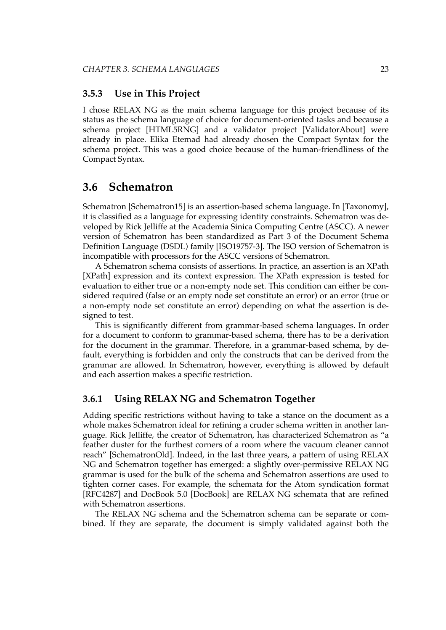#### **3.5.3 Use in This Project**

I chose RELAX NG as the main schema language for this project because of its status as the schema language of choice for document-oriented tasks and because a schema project [\[HTML5RNG\]](#page-90-0) and a validator project [\[ValidatorAbout\]](#page-100-0) were already in place. Elika Etemad had already chosen the Compact Syntax for the schema project. This was a good choice because of the human-friendliness of the Compact Syntax.

## **3.6 Schematron**

Schematron [\[Schematron15\]](#page-98-0) is an assertion-based schema language. In [\[Taxonomy\],](#page-99-0) it is classified as a language for expressing identity constraints. Schematron was developed by Rick Jelliffe at the Academia Sinica Computing Centre (ASCC). A newer version of Schematron has been standardized as Part 3 of the Document Schema Definition Language (DSDL) family [\[ISO19757-3\]](#page-91-0). The ISO version of Schematron is incompatible with processors for the ASCC versions of Schematron.

A Schematron schema consists of assertions. In practice, an assertion is an XPath [\[XPath\]](#page-103-0) expression and its context expression. The XPath expression is tested for evaluation to either true or a non-empty node set. This condition can either be considered required (false or an empty node set constitute an error) or an error (true or a non-empty node set constitute an error) depending on what the assertion is designed to test.

This is significantly different from grammar-based schema languages. In order for a document to conform to grammar-based schema, there has to be a derivation for the document in the grammar. Therefore, in a grammar-based schema, by default, everything is forbidden and only the constructs that can be derived from the grammar are allowed. In Schematron, however, everything is allowed by default and each assertion makes a specific restriction.

#### **3.6.1 Using RELAX NG and Schematron Together**

Adding specific restrictions without having to take a stance on the document as a whole makes Schematron ideal for refining a cruder schema written in another language. Rick Jelliffe, the creator of Schematron, has characterized Schematron as "a feather duster for the furthest corners of a room where the vacuum cleaner cannot reach" [\[SchematronOld\].](#page-98-0) Indeed, in the last three years, a pattern of using RELAX NG and Schematron together has emerged: a slightly over-permissive RELAX NG grammar is used for the bulk of the schema and Schematron assertions are used to tighten corner cases. For example, the schemata for the Atom syndication format [\[RFC4287\]](#page-96-0) and DocBook 5.0 [\[DocBook\]](#page-87-0) are RELAX NG schemata that are refined with Schematron assertions.

The RELAX NG schema and the Schematron schema can be separate or combined. If they are separate, the document is simply validated against both the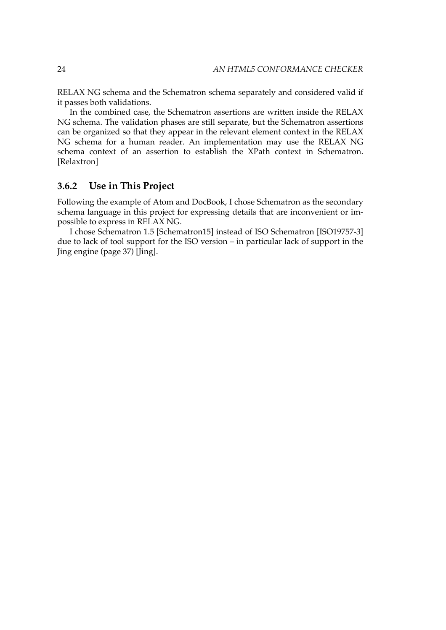RELAX NG schema and the Schematron schema separately and considered valid if it passes both validations.

In the combined case, the Schematron assertions are written inside the RELAX NG schema. The validation phases are still separate, but the Schematron assertions can be organized so that they appear in the relevant element context in the RELAX NG schema for a human reader. An implementation may use the RELAX NG schema context of an assertion to establish the XPath context in Schematron. [\[Relaxtron\]](#page-95-0)

### **3.6.2 Use in This Project**

Following the example of Atom and DocBook, I chose Schematron as the secondary schema language in this project for expressing details that are inconvenient or impossible to express in RELAX NG.

I chose Schematron 1.5 [\[Schematron15\]](#page-98-0) instead of ISO Schematron [\[ISO19757-3\]](#page-91-0) due to lack of tool support for the ISO version – in particular lack of support in the [Jing engine](#page-50-0) (page 37) [\[Jing\]](#page-92-0).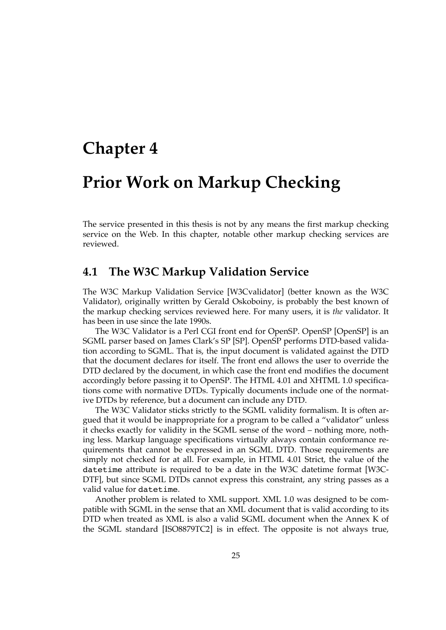# **Chapter 4**

# **Prior Work on Markup Checking**

The service presented in this thesis is not by any means the first markup checking service on the Web. In this chapter, notable other markup checking services are reviewed.

# **4.1 The W3C Markup Validation Service**

The W3C Markup Validation Service [\[W3Cvalidator\]](#page-100-0) (better known as the W3C Validator), originally written by Gerald Oskoboiny, is probably the best known of the markup checking services reviewed here. For many users, it is *the* validator. It has been in use since the late 1990s.

The W3C Validator is a Perl CGI front end for OpenSP. OpenSP [\[OpenSP\]](#page-94-0) is an SGML parser based on James Clark's SP [\[SP\]](#page-98-0). OpenSP performs DTD-based validation according to SGML. That is, the input document is validated against the DTD that the document declares for itself. The front end allows the user to override the DTD declared by the document, in which case the front end modifies the document accordingly before passing it to OpenSP. The HTML 4.01 and XHTML 1.0 specifications come with normative DTDs. Typically documents include one of the normative DTDs by reference, but a document can include any DTD.

The W3C Validator sticks strictly to the SGML validity formalism. It is often argued that it would be inappropriate for a program to be called a "validator" unless it checks exactly for validity in the SGML sense of the word – nothing more, nothing less. Markup language specifications virtually always contain conformance requirements that cannot be expressed in an SGML DTD. Those requirements are simply not checked for at all. For example, in HTML 4.01 Strict, the value of the datetime attribute is required to be a date in the W3C datetime format [\[W3C-](#page-100-0)[DTF\],](#page-100-0) but since SGML DTDs cannot express this constraint, any string passes as a valid value for datetime.

Another problem is related to XML support. XML 1.0 was designed to be compatible with SGML in the sense that an XML document that is valid according to its DTD when treated as XML is also a valid SGML document when the Annex K of the SGML standard [\[ISO8879TC2\]](#page-91-0) is in effect. The opposite is not always true,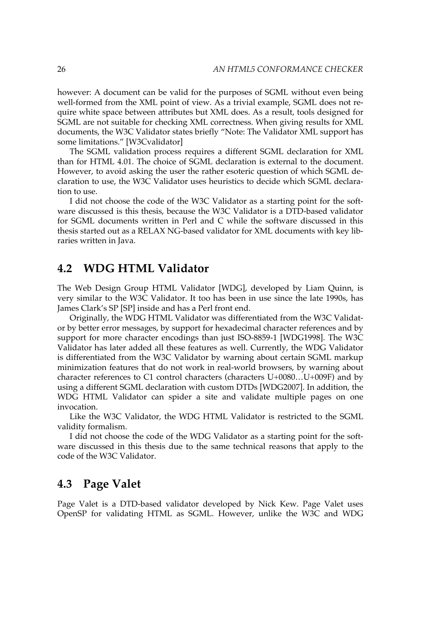however: A document can be valid for the purposes of SGML without even being well-formed from the XML point of view. As a trivial example, SGML does not require white space between attributes but XML does. As a result, tools designed for SGML are not suitable for checking XML correctness. When giving results for XML documents, the W3C Validator states briefly "Note: The Validator XML support has some limitations." [\[W3Cvalidator\]](#page-100-0)

The SGML validation process requires a different SGML declaration for XML than for HTML 4.01. The choice of SGML declaration is external to the document. However, to avoid asking the user the rather esoteric question of which SGML declaration to use, the W3C Validator uses heuristics to decide which SGML declaration to use.

I did not choose the code of the W3C Validator as a starting point for the software discussed is this thesis, because the W3C Validator is a DTD-based validator for SGML documents written in Perl and C while the software discussed in this thesis started out as a RELAX NG-based validator for XML documents with key libraries written in Java.

# **4.2 WDG HTML Validator**

The Web Design Group HTML Validator [\[WDG\]](#page-100-0), developed by Liam Quinn, is very similar to the W3C Validator. It too has been in use since the late 1990s, has James Clark's SP [\[SP\]](#page-98-0) inside and has a Perl front end.

Originally, the WDG HTML Validator was differentiated from the W3C Validator by better error messages, by support for hexadecimal character references and by support for more character encodings than just ISO-8859-1 [\[WDG1998\]](#page-101-0). The W3C Validator has later added all these features as well. Currently, the WDG Validator is differentiated from the W3C Validator by warning about certain SGML markup minimization features that do not work in real-world browsers, by warning about character references to C1 control characters (characters U+0080…U+009F) and by using a different SGML declaration with custom DTDs [\[WDG2007\].](#page-101-0) In addition, the WDG HTML Validator can spider a site and validate multiple pages on one invocation.

Like the W3C Validator, the WDG HTML Validator is restricted to the SGML validity formalism.

I did not choose the code of the WDG Validator as a starting point for the software discussed in this thesis due to the same technical reasons that apply to the code of the W3C Validator.

# **4.3 Page Valet**

Page Valet is a DTD-based validator developed by Nick Kew. Page Valet uses OpenSP for validating HTML as SGML. However, unlike the W3C and WDG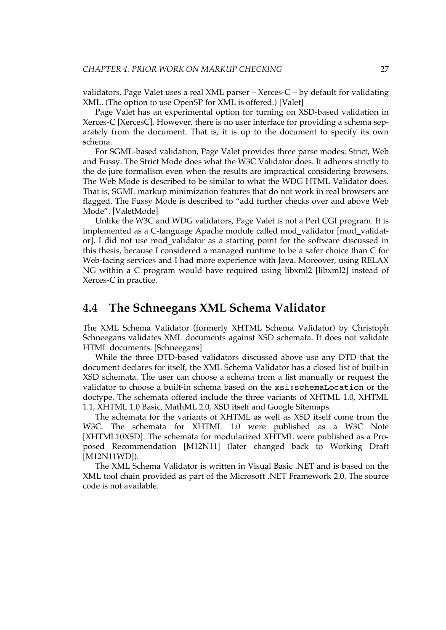validators, Page Valet uses a real XML parser – Xerces-C – by default for validating XML. (The option to use OpenSP for XML is offered.) [\[Valet\]](#page-100-0)

Page Valet has an experimental option for turning on XSD-based validation in Xerces-C [\[XercesC\].](#page-102-0) However, there is no user interface for providing a schema separately from the document. That is, it is up to the document to specify its own schema.

For SGML-based validation, Page Valet provides three parse modes: Strict, Web and Fussy. The Strict Mode does what the W3C Validator does. It adheres strictly to the de jure formalism even when the results are impractical considering browsers. The Web Mode is described to be similar to what the WDG HTML Validator does. That is, SGML markup minimization features that do not work in real browsers are flagged. The Fussy Mode is described to "add further checks over and above Web Mode". [\[ValetMode\]](#page-100-0)

Unlike the W3C and WDG validators, Page Valet is not a Perl CGI program. It is implemented as a C-language Apache module called mod\_validator [\[mod\\_validat](#page-93-0)[or\].](#page-93-0) I did not use mod\_validator as a starting point for the software discussed in this thesis, because I considered a managed runtime to be a safer choice than C for Web-facing services and I had more experience with Java. Moreover, using RELAX NG within a C program would have required using libxml2 [\[libxml2\]](#page-92-0) instead of Xerces-C in practice.

# **4.4 The Schneegans XML Schema Validator**

The XML Schema Validator (formerly XHTML Schema Validator) by Christoph Schneegans validates XML documents against XSD schemata. It does not validate HTML documents. [\[Schneegans\]](#page-98-0)

While the three DTD-based validators discussed above use any DTD that the document declares for itself, the XML Schema Validator has a closed list of built-in XSD schemata. The user can choose a schema from a list manually or request the validator to choose a built-in schema based on the xsi:schemaLocation or the doctype. The schemata offered include the three variants of XHTML 1.0, XHTML 1.1, XHTML 1.0 Basic, MathML 2.0, XSD itself and Google Sitemaps.

The schemata for the variants of XHTML as well as XSD itself come from the W3C. The schemata for XHTML 1.0 were published as a W3C Note [\[XHTML10XSD\].](#page-102-0) The schemata for modularized XHTML were published as a Proposed Recommendation [\[M12N11\]](#page-92-0) (later changed back to Working Draft [\[M12N11WD\]\)](#page-93-0).

The XML Schema Validator is written in Visual Basic .NET and is based on the XML tool chain provided as part of the Microsoft .NET Framework 2.0. The source code is not available.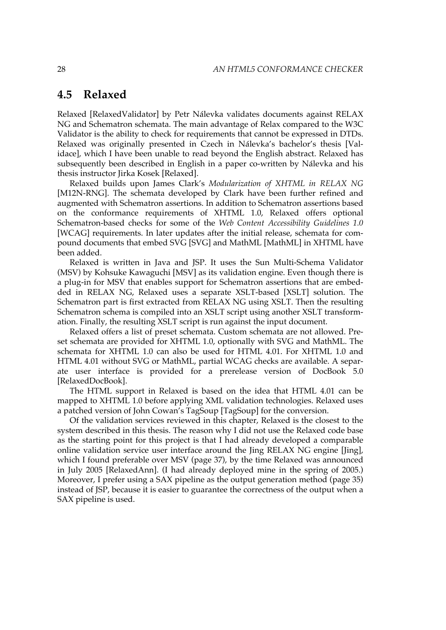# **4.5 Relaxed**

Relaxed [\[RelaxedValidator\]](#page-95-0) by Petr Nálevka validates documents against RELAX NG and Schematron schemata. The main advantage of Relax compared to the W3C Validator is the ability to check for requirements that cannot be expressed in DTDs. Relaxed was originally presented in Czech in Nálevka's bachelor's thesis [\[Val](#page-100-0)[idace\],](#page-100-0) which I have been unable to read beyond the English abstract. Relaxed has subsequently been described in English in a paper co-written by Nálevka and his thesis instructor Jirka Kosek [\[Relaxed\]](#page-94-0).

Relaxed builds upon James Clark's *Modularization of XHTML in RELAX NG* [\[M12N-RNG\].](#page-92-0) The schemata developed by Clark have been further refined and augmented with Schematron assertions. In addition to Schematron assertions based on the conformance requirements of XHTML 1.0, Relaxed offers optional Schematron-based checks for some of the *Web Content Accessibility Guidelines 1.0* [\[WCAG\]](#page-100-0) requirements. In later updates after the initial release, schemata for compound documents that embed SVG [\[SVG\]](#page-99-0) and MathML [\[MathML\]](#page-93-0) in XHTML have been added.

Relaxed is written in Java and JSP. It uses the Sun Multi-Schema Validator (MSV) by Kohsuke Kawaguchi [\[MSV\]](#page-93-0) as its validation engine. Even though there is a plug-in for MSV that enables support for Schematron assertions that are embedded in RELAX NG, Relaxed uses a separate XSLT-based [\[XSLT\]](#page-104-0) solution. The Schematron part is first extracted from RELAX NG using XSLT. Then the resulting Schematron schema is compiled into an XSLT script using another XSLT transformation. Finally, the resulting XSLT script is run against the input document.

Relaxed offers a list of preset schemata. Custom schemata are not allowed. Preset schemata are provided for XHTML 1.0, optionally with SVG and MathML. The schemata for XHTML 1.0 can also be used for HTML 4.01. For XHTML 1.0 and HTML 4.01 without SVG or MathML, partial WCAG checks are available. A separate user interface is provided for a prerelease version of DocBook 5.0 [\[RelaxedDocBook\]](#page-95-0).

The HTML support in Relaxed is based on the idea that HTML 4.01 can be mapped to XHTML 1.0 before applying XML validation technologies. Relaxed uses a patched version of John Cowan's TagSoup [\[TagSoup\]](#page-99-0) for the conversion.

Of the validation services reviewed in this chapter, Relaxed is the closest to the system described in this thesis. The reason why I did not use the Relaxed code base as the starting point for this project is that I had already developed a comparable online validation service user interface around the Jing RELAX NG engine [\[Jing\],](#page-92-0) which I found [preferable](#page-50-0) over MSV (page 37), by the time Relaxed was announced in July 2005 [\[RelaxedAnn\]](#page-94-0). (I had already deployed mine in the spring of 2005.) Moreover, I prefer using a SAX pipeline as the output [generation](#page-48-0) method (page 35) instead of JSP, because it is easier to guarantee the correctness of the output when a SAX pipeline is used.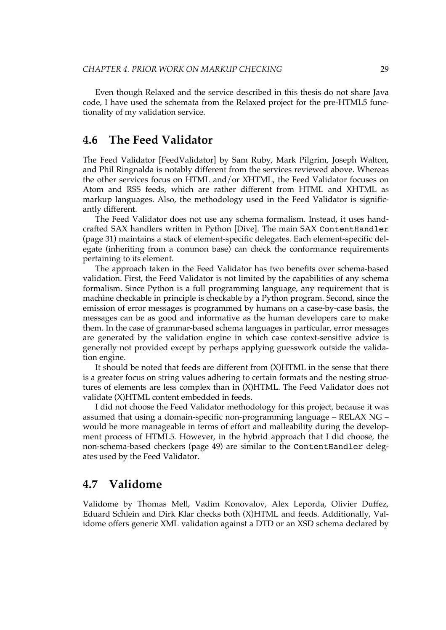Even though Relaxed and the service described in this thesis do not share Java code, I have used the schemata from the Relaxed project for the pre-HTML5 functionality of my validation service.

# **4.6 The Feed Validator**

The Feed Validator [\[FeedValidator\]](#page-88-0) by Sam Ruby, Mark Pilgrim, Joseph Walton, and Phil Ringnalda is notably different from the services reviewed above. Whereas the other services focus on HTML and/or XHTML, the Feed Validator focuses on Atom and RSS feeds, which are rather different from HTML and XHTML as markup languages. Also, the methodology used in the Feed Validator is significantly different.

The Feed Validator does not use any schema formalism. Instead, it uses handcrafted SAX handlers written in Python [\[Dive\]](#page-87-0). The main SAX [ContentHandler](#page-44-0) [\(page](#page-44-0) 31) maintains a stack of element-specific delegates. Each element-specific delegate (inheriting from a common base) can check the conformance requirements pertaining to its element.

The approach taken in the Feed Validator has two benefits over schema-based validation. First, the Feed Validator is not limited by the capabilities of any schema formalism. Since Python is a full programming language, any requirement that is machine checkable in principle is checkable by a Python program. Second, since the emission of error messages is programmed by humans on a case-by-case basis, the messages can be as good and informative as the human developers care to make them. In the case of grammar-based schema languages in particular, error messages are generated by the validation engine in which case context-sensitive advice is generally not provided except by perhaps applying guesswork outside the validation engine.

It should be noted that feeds are different from (X)HTML in the sense that there is a greater focus on string values adhering to certain formats and the nesting structures of elements are less complex than in (X)HTML. The Feed Validator does not validate (X)HTML content embedded in feeds.

I did not choose the Feed Validator methodology for this project, because it was assumed that using a domain-specific non-programming language – RELAX NG – would be more manageable in terms of effort and malleability during the development process of HTML5. However, in the hybrid approach that I did choose, the [non-schema-based](#page-62-0) checkers (page 49) are similar to the ContentHandler delegates used by the Feed Validator.

# **4.7 Validome**

Validome by Thomas Mell, Vadim Konovalov, Alex Leporda, Olivier Duffez, Eduard Schlein and Dirk Klar checks both (X)HTML and feeds. Additionally, Validome offers generic XML validation against a DTD or an XSD schema declared by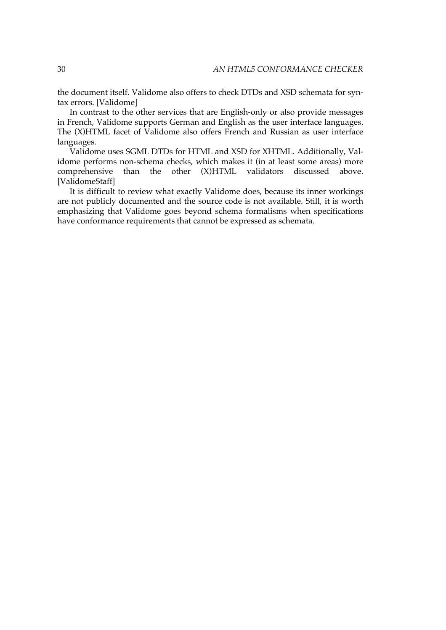the document itself. Validome also offers to check DTDs and XSD schemata for syntax errors. [\[Validome\]](#page-100-0)

In contrast to the other services that are English-only or also provide messages in French, Validome supports German and English as the user interface languages. The (X)HTML facet of Validome also offers French and Russian as user interface languages.

Validome uses SGML DTDs for HTML and XSD for XHTML. Additionally, Validome performs non-schema checks, which makes it (in at least some areas) more comprehensive than the other (X)HTML validators discussed above. [\[ValidomeStaff\]](#page-100-0)

It is difficult to review what exactly Validome does, because its inner workings are not publicly documented and the source code is not available. Still, it is worth emphasizing that Validome goes beyond schema formalisms when specifications have conformance requirements that cannot be expressed as schemata.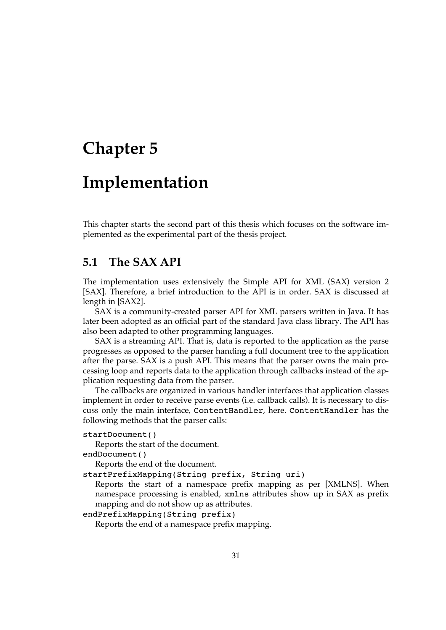# <span id="page-44-0"></span>**Chapter 5**

# **Implementation**

This chapter starts the second part of this thesis which focuses on the software implemented as the experimental part of the thesis project.

# **5.1 The SAX API**

The implementation uses extensively the Simple API for XML (SAX) version 2 [\[SAX\].](#page-97-0) Therefore, a brief introduction to the API is in order. SAX is discussed at length in [\[SAX2\]](#page-97-0).

SAX is a community-created parser API for XML parsers written in Java. It has later been adopted as an official part of the standard Java class library. The API has also been adapted to other programming languages.

SAX is a streaming API. That is, data is reported to the application as the parse progresses as opposed to the parser handing a full document tree to the application after the parse. SAX is a push API. This means that the parser owns the main processing loop and reports data to the application through callbacks instead of the application requesting data from the parser.

The callbacks are organized in various handler interfaces that application classes implement in order to receive parse events (i.e. callback calls). It is necessary to discuss only the main interface, ContentHandler, here. ContentHandler has the following methods that the parser calls:

```
startDocument()
```
Reports the start of the document.

endDocument()

Reports the end of the document.

startPrefixMapping(String prefix, String uri)

Reports the start of a namespace prefix mapping as per [\[XMLNS\].](#page-103-0) When namespace processing is enabled, xmlns attributes show up in SAX as prefix mapping and do not show up as attributes.

endPrefixMapping(String prefix)

Reports the end of a namespace prefix mapping.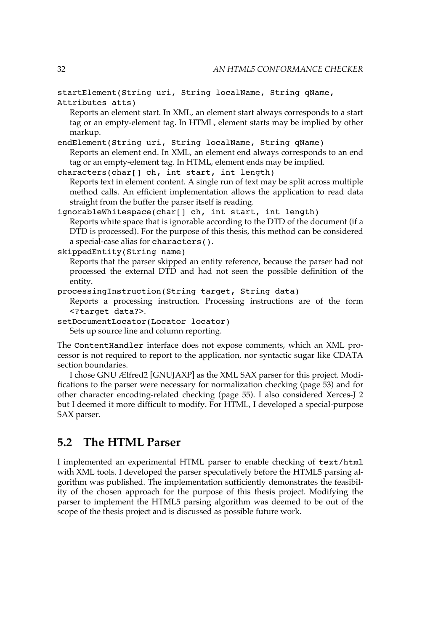startElement(String uri, String localName, String qName, Attributes atts)

Reports an element start. In XML, an element start always corresponds to a start tag or an empty-element tag. In HTML, element starts may be implied by other markup.

endElement(String uri, String localName, String qName) Reports an element end. In XML, an element end always corresponds to an end tag or an empty-element tag. In HTML, element ends may be implied.

```
characters(char[] ch, int start, int length)
   Reports text in element content. A single run of text may be split across multiple
   method calls. An efficient implementation allows the application to read data
   straight from the buffer the parser itself is reading.
```
ignorableWhitespace(char[] ch, int start, int length) Reports white space that is ignorable according to the DTD of the document (if a DTD is processed). For the purpose of this thesis, this method can be considered a special-case alias for characters().

```
skippedEntity(String name)
```
Reports that the parser skipped an entity reference, because the parser had not processed the external DTD and had not seen the possible definition of the entity.

processingInstruction(String target, String data)

Reports a processing instruction. Processing instructions are of the form <?target data?>.

```
setDocumentLocator(Locator locator)
```
Sets up source line and column reporting.

The ContentHandler interface does not expose comments, which an XML processor is not required to report to the application, nor syntactic sugar like CDATA section boundaries.

I chose GNU Ælfred2 [\[GNUJAXP\]](#page-89-0) as the XML SAX parser for this project. Modifications to the parser were necessary for [normalization](#page-66-0) checking (page 53) and for other character [encoding-related](#page-68-0) checking (page 55). I also considered Xerces-J 2 but I deemed it more difficult to modify. For HTML, I developed a special-purpose SAX parser.

# **5.2 The HTML Parser**

I implemented an experimental HTML parser to enable checking of text/html with XML tools. I developed the parser speculatively before the HTML5 parsing algorithm was published. The implementation sufficiently demonstrates the feasibility of the chosen approach for the purpose of this thesis project. Modifying the parser to implement the HTML5 parsing algorithm was deemed to be out of the scope of the thesis project and is discussed as possible [future work.](update-parser)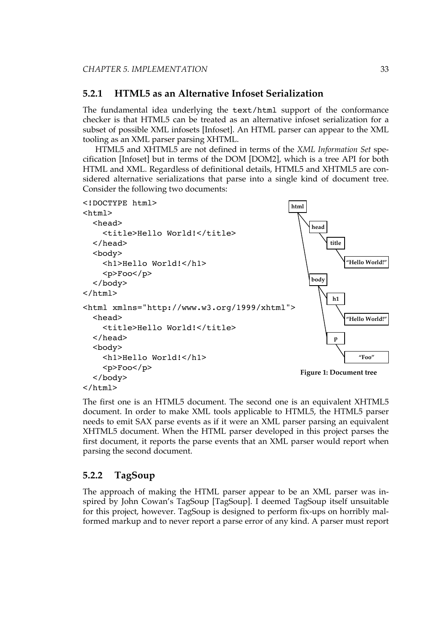#### **5.2.1 HTML5 as an Alternative Infoset Serialization**

The fundamental idea underlying the text/html support of the conformance checker is that HTML5 can be treated as an alternative infoset serialization for a subset of possible XML infosets [\[Infoset\]](#page-90-0). An HTML parser can appear to the XML tooling as an XML parser parsing XHTML.

HTML5 and XHTML5 are not defined in terms of the *XML Information Set* specification [\[Infoset\]](#page-90-0) but in terms of the DOM [\[DOM2\]](#page-88-0), which is a tree API for both HTML and XML. Regardless of definitional details, HTML5 and XHTML5 are considered alternative serializations that parse into a single kind of document tree. Consider the following two documents:



The first one is an HTML5 document. The second one is an equivalent XHTML5 document. In order to make XML tools applicable to HTML5, the HTML5 parser needs to emit SAX parse events as if it were an XML parser parsing an equivalent XHTML5 document. When the HTML parser developed in this project parses the first document, it reports the parse events that an XML parser would report when parsing the second document.

#### **5.2.2 TagSoup**

The approach of making the HTML parser appear to be an XML parser was inspired by John Cowan's TagSoup [\[TagSoup\].](#page-99-0) I deemed TagSoup itself unsuitable for this project, however. TagSoup is designed to perform fix-ups on horribly malformed markup and to never report a parse error of any kind. A parser must report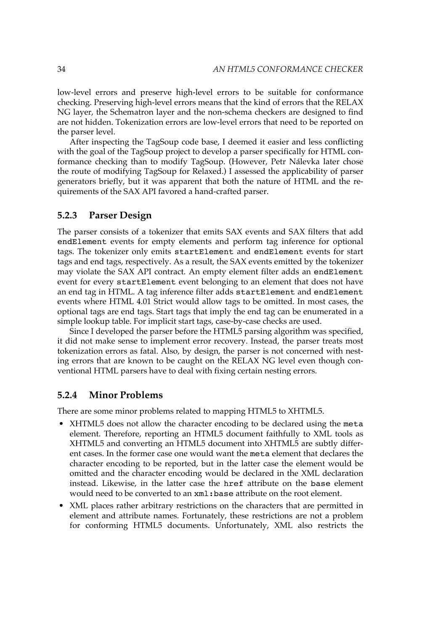low-level errors and preserve high-level errors to be suitable for conformance checking. Preserving high-level errors means that the kind of errors that the RELAX NG layer, the Schematron layer and the non-schema checkers are designed to find are not hidden. Tokenization errors are low-level errors that need to be reported on the parser level.

After inspecting the TagSoup code base, I deemed it easier and less conflicting with the goal of the TagSoup project to develop a parser specifically for HTML conformance checking than to modify TagSoup. (However, Petr Nálevka later chose the route of modifying TagSoup for Relaxed.) I assessed the applicability of parser generators briefly, but it was apparent that both the nature of HTML and the requirements of the SAX API favored a hand-crafted parser.

#### **5.2.3 Parser Design**

The parser consists of a tokenizer that emits SAX events and SAX filters that add endElement events for empty elements and perform tag inference for optional tags. The tokenizer only emits startElement and endElement events for start tags and end tags, respectively. As a result, the SAX events emitted by the tokenizer may violate the SAX API contract. An empty element filter adds an endElement event for every startElement event belonging to an element that does not have an end tag in HTML. A tag inference filter adds startElement and endElement events where HTML 4.01 Strict would allow tags to be omitted. In most cases, the optional tags are end tags. Start tags that imply the end tag can be enumerated in a simple lookup table. For implicit start tags, case-by-case checks are used.

Since I developed the parser before the HTML5 parsing algorithm was specified, it did not make sense to implement error recovery. Instead, the parser treats most tokenization errors as fatal. Also, by design, the parser is not concerned with nesting errors that are known to be caught on the RELAX NG level even though conventional HTML parsers have to deal with fixing certain nesting errors.

#### **5.2.4 Minor Problems**

There are some minor problems related to mapping HTML5 to XHTML5.

- XHTML5 does not allow the character encoding to be declared using the meta element. Therefore, reporting an HTML5 document faithfully to XML tools as XHTML5 and converting an HTML5 document into XHTML5 are subtly different cases. In the former case one would want the meta element that declares the character encoding to be reported, but in the latter case the element would be omitted and the character encoding would be declared in the XML declaration instead. Likewise, in the latter case the href attribute on the base element would need to be converted to an  $xml:base$  attribute on the root element.
- XML places rather arbitrary restrictions on the characters that are permitted in element and attribute names. Fortunately, these restrictions are not a problem for conforming HTML5 documents. Unfortunately, XML also restricts the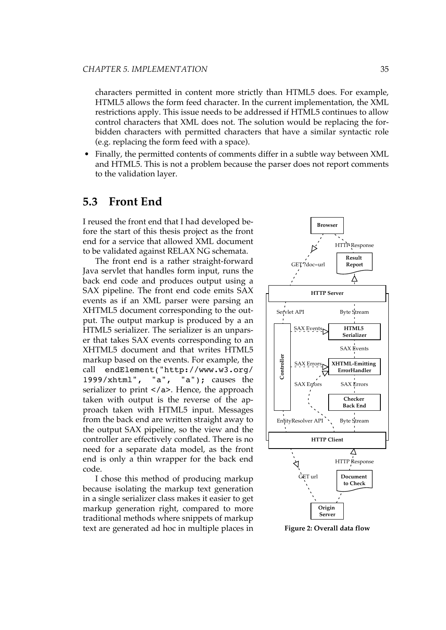<span id="page-48-0"></span>characters permitted in content more strictly than HTML5 does. For example, HTML5 allows the form feed character. In the current implementation, the XML restrictions apply. This issue needs to be addressed if HTML5 continues to allow control characters that XML does not. The solution would be replacing the forbidden characters with permitted characters that have a similar syntactic role (e.g. replacing the form feed with a space).

• Finally, the permitted contents of comments differ in a subtle way between XML and HTML5. This is not a problem because the parser does not report comments to the validation layer.

## **5.3 Front End**

I reused the front end that I had developed before the start of this thesis project as the front end for a service that allowed XML document to be validated against RELAX NG schemata.

The front end is a rather straight-forward Java servlet that handles form input, runs the back end code and produces output using a SAX pipeline. The front end code emits SAX events as if an XML parser were parsing an XHTML5 document corresponding to the output. The output markup is produced by a an HTML5 serializer. The serializer is an unparser that takes SAX events corresponding to an XHTML5 document and that writes HTML5 markup based on the events. For example, the call endElement("http://www.w3.org/ 1999/xhtml", "a", "a"); causes the serializer to print </a>. Hence, the approach taken with output is the reverse of the approach taken with HTML5 input. Messages from the back end are written straight away to the output SAX pipeline, so the view and the controller are effectively conflated. There is no need for a separate data model, as the front end is only a thin wrapper for the back end code.

I chose this method of producing markup because isolating the markup text generation in a single serializer class makes it easier to get markup generation right, compared to more traditional methods where snippets of markup text are generated ad hoc in multiple places in



**Figure 2: Overall data flow**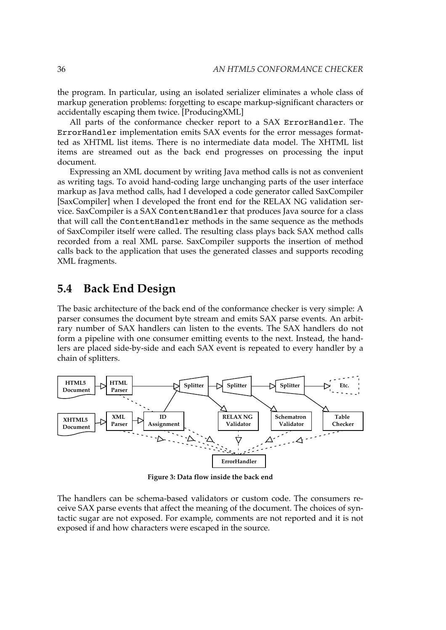the program. In particular, using an isolated serializer eliminates a whole class of markup generation problems: forgetting to escape markup-significant characters or accidentally escaping them twice. [\[ProducingXML\]](#page-94-0)

All parts of the conformance checker report to a SAX ErrorHandler. The ErrorHandler implementation emits SAX events for the error messages formatted as XHTML list items. There is no intermediate data model. The XHTML list items are streamed out as the back end progresses on processing the input document.

Expressing an XML document by writing Java method calls is not as convenient as writing tags. To avoid hand-coding large unchanging parts of the user interface markup as Java method calls, had I developed a code generator called SaxCompiler [\[SaxCompiler\]](#page-97-0) when I developed the front end for the RELAX NG validation service. SaxCompiler is a SAX ContentHandler that produces Java source for a class that will call the ContentHandler methods in the same sequence as the methods of SaxCompiler itself were called. The resulting class plays back SAX method calls recorded from a real XML parse. SaxCompiler supports the insertion of method calls back to the application that uses the generated classes and supports recoding XML fragments.

# **5.4 Back End Design**

The basic architecture of the back end of the conformance checker is very simple: A parser consumes the document byte stream and emits SAX parse events. An arbitrary number of SAX handlers can listen to the events. The SAX handlers do not form a pipeline with one consumer emitting events to the next. Instead, the handlers are placed side-by-side and each SAX event is repeated to every handler by a chain of splitters.



**Figure 3: Data flow inside the back end**

The handlers can be schema-based validators or custom code. The consumers receive SAX parse events that affect the meaning of the document. The choices of syntactic sugar are not exposed. For example, comments are not reported and it is not exposed if and how characters were escaped in the source.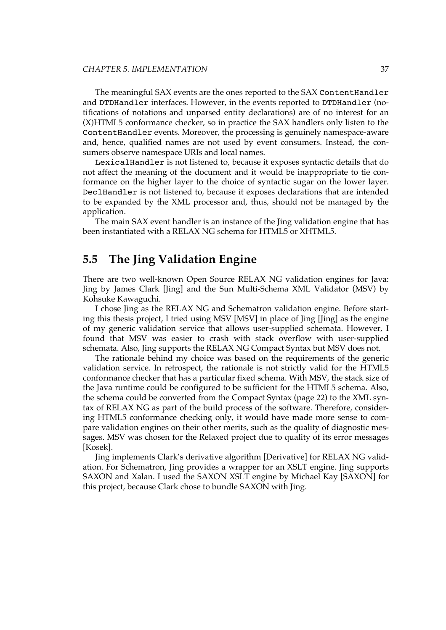<span id="page-50-0"></span>The meaningful SAX events are the ones reported to the SAX ContentHandler and DTDHandler interfaces. However, in the events reported to DTDHandler (notifications of notations and unparsed entity declarations) are of no interest for an (X)HTML5 conformance checker, so in practice the SAX handlers only listen to the ContentHandler events. Moreover, the processing is genuinely namespace-aware and, hence, qualified names are not used by event consumers. Instead, the consumers observe namespace URIs and local names.

LexicalHandler is not listened to, because it exposes syntactic details that do not affect the meaning of the document and it would be inappropriate to tie conformance on the higher layer to the choice of syntactic sugar on the lower layer. DeclHandler is not listened to, because it exposes declarations that are intended to be expanded by the XML processor and, thus, should not be managed by the application.

The main SAX event handler is an instance of the Jing validation engine that has been instantiated with a RELAX NG schema for HTML5 or XHTML5.

# **5.5 The Jing Validation Engine**

There are two well-known Open Source RELAX NG validation engines for Java: Jing by James Clark [\[Jing\]](#page-92-0) and the Sun Multi-Schema XML Validator (MSV) by Kohsuke Kawaguchi.

I chose Jing as the RELAX NG and Schematron validation engine. Before starting this thesis project, I tried using MSV [\[MSV\]](#page-93-0) in place of Jing [\[Jing\]](#page-92-0) as the engine of my generic validation service that allows user-supplied schemata. However, I found that MSV was easier to crash with stack overflow with user-supplied schemata. Also, Jing supports the RELAX NG Compact Syntax but MSV does not.

The rationale behind my choice was based on the requirements of the generic validation service. In retrospect, the rationale is not strictly valid for the HTML5 conformance checker that has a particular fixed schema. With MSV, the stack size of the Java runtime could be configured to be sufficient for the HTML5 schema. Also, the schema could be converted from the [Compact](#page-35-0) Syntax (page 22) to the XML syntax of RELAX NG as part of the build process of the software. Therefore, considering HTML5 conformance checking only, it would have made more sense to compare validation engines on their other merits, such as the quality of diagnostic messages. MSV was chosen for the Relaxed project due to quality of its error messages [\[Kosek\].](#page-92-0)

Jing implements Clark's derivative algorithm [\[Derivative\]](#page-87-0) for RELAX NG validation. For Schematron, Jing provides a wrapper for an XSLT engine. Jing supports SAXON and Xalan. I used the SAXON XSLT engine by Michael Kay [\[SAXON\]](#page-97-0) for this project, because Clark chose to bundle SAXON with Jing.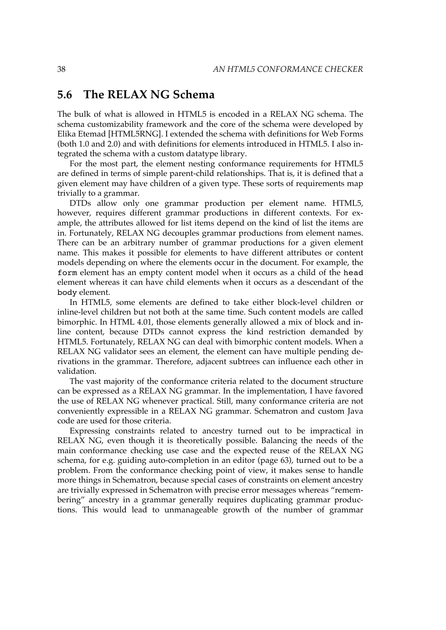# **5.6 The RELAX NG Schema**

The bulk of what is allowed in HTML5 is encoded in a RELAX NG schema. The schema customizability framework and the core of the schema were developed by Elika Etemad [\[HTML5RNG\]](#page-90-0). I extended the schema with definitions for Web Forms (both 1.0 and 2.0) and with definitions for elements introduced in HTML5. I also integrated the schema with a custom datatype library.

For the most part, the element nesting conformance requirements for HTML5 are defined in terms of simple parent-child relationships. That is, it is defined that a given element may have children of a given type. These sorts of requirements map trivially to a grammar.

DTDs allow only one grammar production per element name. HTML5, however, requires different grammar productions in different contexts. For example, the attributes allowed for list items depend on the kind of list the items are in. Fortunately, RELAX NG decouples grammar productions from element names. There can be an arbitrary number of grammar productions for a given element name. This makes it possible for elements to have different attributes or content models depending on where the elements occur in the document. For example, the form element has an empty content model when it occurs as a child of the head element whereas it can have child elements when it occurs as a descendant of the body element.

In HTML5, some elements are defined to take either block-level children or inline-level children but not both at the same time. Such content models are called bimorphic. In HTML 4.01, those elements generally allowed a mix of block and inline content, because DTDs cannot express the kind restriction demanded by HTML5. Fortunately, RELAX NG can deal with bimorphic content models. When a RELAX NG validator sees an element, the element can have multiple pending derivations in the grammar. Therefore, adjacent subtrees can influence each other in validation.

The vast majority of the conformance criteria related to the document structure can be expressed as a RELAX NG grammar. In the implementation, I have favored the use of RELAX NG whenever practical. Still, many conformance criteria are not conveniently expressible in a RELAX NG grammar. Schematron and custom Java code are used for those criteria.

Expressing constraints related to ancestry turned out to be impractical in RELAX NG, even though it is theoretically possible. Balancing the needs of the main conformance checking use case and the expected reuse of the RELAX NG schema, for e.g. guiding [auto-completion](#page-76-0) in an editor (page 63), turned out to be a problem. From the conformance checking point of view, it makes sense to handle more things in Schematron, because special cases of constraints on element ancestry are trivially expressed in Schematron with precise error messages whereas "remembering" ancestry in a grammar generally requires duplicating grammar productions. This would lead to unmanageable growth of the number of grammar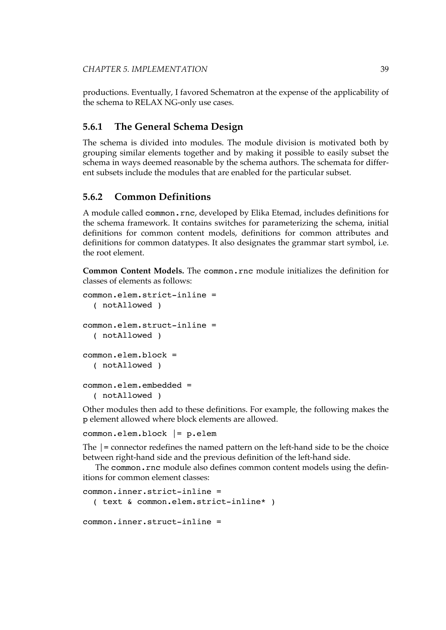productions. Eventually, I favored Schematron at the expense of the applicability of the schema to RELAX NG-only use cases.

#### **5.6.1 The General Schema Design**

The schema is divided into modules. The module division is motivated both by grouping similar elements together and by making it possible to easily subset the schema in ways deemed reasonable by the schema authors. The schemata for different subsets include the modules that are enabled for the particular subset.

#### **5.6.2 Common Definitions**

A module called common.rnc, developed by Elika Etemad, includes definitions for the schema framework. It contains switches for parameterizing the schema, initial definitions for common content models, definitions for common attributes and definitions for common datatypes. It also designates the grammar start symbol, i.e. the root element.

**Common Content Models.** The common.rnc module initializes the definition for classes of elements as follows:

```
common.elem.strict-inline =
  ( notAllowed )
common.elem.struct-inline =
  ( notAllowed )
common.elem.block =
  ( notAllowed )
common.elem.embedded =
  ( notAllowed )
```
Other modules then add to these definitions. For example, the following makes the p element allowed where block elements are allowed.

common.elem.block |= p.elem

The |= connector redefines the named pattern on the left-hand side to be the choice between right-hand side and the previous definition of the left-hand side.

The common.rnc module also defines common content models using the definitions for common element classes:

```
common.inner.strict-inline =
  ( text & common.elem.strict-inline* )
common.inner.struct-inline =
```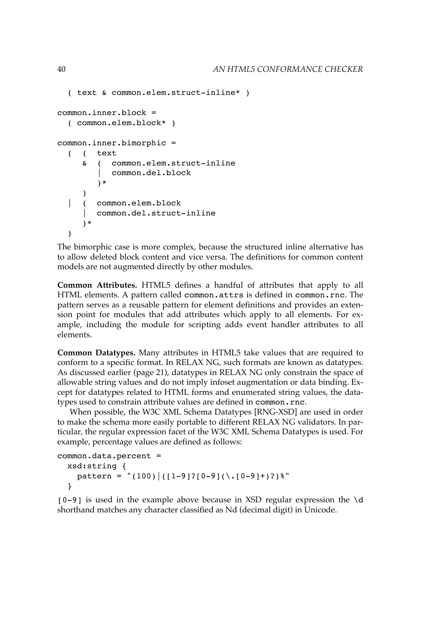```
( text & common.elem.struct-inline* )
common.inner.block =
  ( common.elem.block* )
common.inner.bimorphic =
  ( ( text
     & ( common.elem.struct-inline
           | common.del.block
        )*
     )
  | ( common.elem.block
        | common.del.struct-inline
     )*
  )
```
The bimorphic case is more complex, because the structured inline alternative has to allow deleted block content and vice versa. The definitions for common content models are not augmented directly by other modules.

**Common Attributes.** HTML5 defines a handful of attributes that apply to all HTML elements. A pattern called common.attrs is defined in common.rnc. The pattern serves as a reusable pattern for element definitions and provides an extension point for modules that add attributes which apply to all elements. For example, including the module for scripting adds event handler attributes to all elements.

**Common Datatypes.** Many attributes in HTML5 take values that are required to conform to a specific format. In RELAX NG, such formats are known as datatypes. As [discussed](#page-34-0) earlier (page 21), datatypes in RELAX NG only constrain the space of allowable string values and do not imply infoset augmentation or data binding. Except for datatypes related to HTML forms and enumerated string values, the datatypes used to constrain attribute values are defined in common.rnc.

When possible, the W3C XML Schema Datatypes [\[RNG-XSD\]](#page-97-0) are used in order to make the schema more easily portable to different RELAX NG validators. In particular, the regular expression facet of the W3C XML Schema Datatypes is used. For example, percentage values are defined as follows:

```
common.data.percent =
  xsd:string {
    pattern = "(100) |(1-9)|(0-9)(\.0-9)|+)?)%"
  }
```
 $[0-9]$  is used in the example above because in XSD regular expression the \d shorthand matches any character classified as Nd (decimal digit) in Unicode.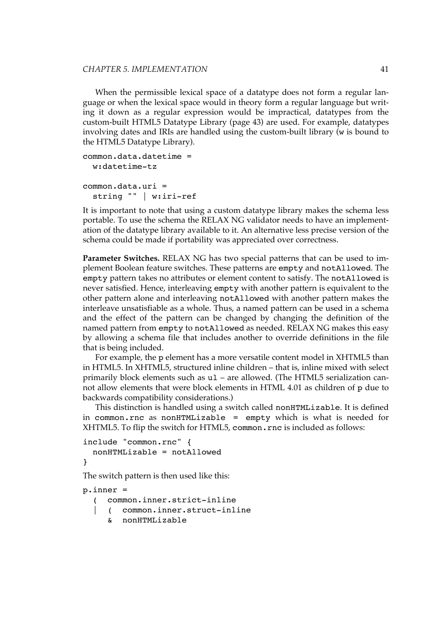#### *CHAPTER 5. IMPLEMENTATION* 41

When the permissible lexical space of a datatype does not form a regular language or when the lexical space would in theory form a regular language but writing it down as a regular expression would be impractical, datatypes from the custom-built HTML5 [Datatype](#page-56-0) Library (page 43) are used. For example, datatypes involving dates and IRIs are handled using the custom-built library (w is bound to the HTML5 Datatype Library).

```
common.data.datetime =
  w:datetime-tz
common.data.uri =
  string "" | w:iri-ref
```
It is important to note that using a custom datatype library makes the schema less portable. To use the schema the RELAX NG validator needs to have an implementation of the datatype library available to it. An alternative less precise version of the schema could be made if portability was appreciated over correctness.

**Parameter Switches.** RELAX NG has two special patterns that can be used to implement Boolean feature switches. These patterns are empty and notAllowed. The empty pattern takes no attributes or element content to satisfy. The notAllowed is never satisfied. Hence, interleaving empty with another pattern is equivalent to the other pattern alone and interleaving notAllowed with another pattern makes the interleave unsatisfiable as a whole. Thus, a named pattern can be used in a schema and the effect of the pattern can be changed by changing the definition of the named pattern from empty to notAllowed as needed. RELAX NG makes this easy by allowing a schema file that includes another to override definitions in the file that is being included.

For example, the p element has a more versatile content model in XHTML5 than in HTML5. In XHTML5, structured inline children – that is, inline mixed with select primarily block elements such as ul – are allowed. (The HTML5 serialization cannot allow elements that were block elements in HTML 4.01 as children of p due to backwards compatibility considerations.)

This distinction is handled using a switch called nonHTMLizable. It is defined in common.rnc as nonHTMLizable = empty which is what is needed for XHTML5. To flip the switch for HTML5, common.rnc is included as follows:

```
include "common.rnc" {
 nonHTMLizable = notAllowed
}
```
The switch pattern is then used like this:

```
p.inner =
     ( common.inner.strict-inline
     | ( common.inner.struct-inline
     & nonHTMLizable
```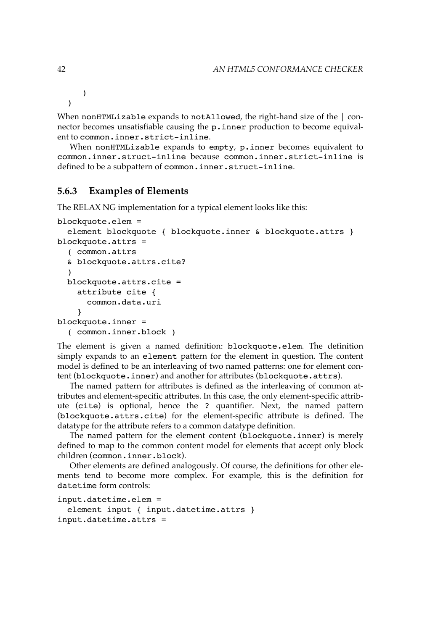)

)

When nonHTMLizable expands to notAllowed, the right-hand size of the  $\vert$  connector becomes unsatisfiable causing the p.inner production to become equivalent to common.inner.strict-inline.

When nonHTMLizable expands to empty, p.inner becomes equivalent to common.inner.struct-inline because common.inner.strict-inline is defined to be a subpattern of common.inner.struct-inline.

#### **5.6.3 Examples of Elements**

The RELAX NG implementation for a typical element looks like this:

```
blockquote.elem =
  element blockquote { blockquote.inner & blockquote.attrs }
blockquote.attrs =
  ( common.attrs
  & blockquote.attrs.cite?
  )
  blockquote.attrs.cite =
    attribute cite {
      common.data.uri
    }
blockquote.inner =
  ( common.inner.block )
```
The element is given a named definition: blockquote.elem. The definition simply expands to an element pattern for the element in question. The content model is defined to be an interleaving of two named patterns: one for element content (blockquote.inner) and another for attributes (blockquote.attrs).

The named pattern for attributes is defined as the interleaving of common attributes and element-specific attributes. In this case, the only element-specific attribute (cite) is optional, hence the ? quantifier. Next, the named pattern (blockquote.attrs.cite) for the element-specific attribute is defined. The datatype for the attribute refers to a common datatype definition.

The named pattern for the element content (blockquote.inner) is merely defined to map to the common content model for elements that accept only block children (common.inner.block).

Other elements are defined analogously. Of course, the definitions for other elements tend to become more complex. For example, this is the definition for datetime form controls:

```
input.datetime.elem =
 element input { input.datetime.attrs }
input.datetime.attrs =
```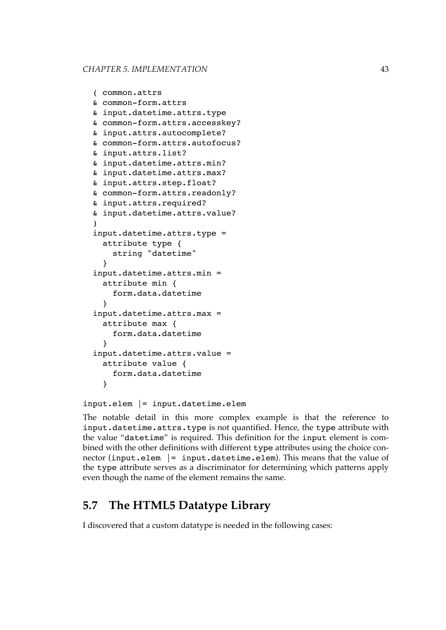```
( common.attrs
& common-form.attrs
& input.datetime.attrs.type
& common-form.attrs.accesskey?
& input.attrs.autocomplete?
& common-form.attrs.autofocus?
& input.attrs.list?
& input.datetime.attrs.min?
& input.datetime.attrs.max?
& input.attrs.step.float?
& common-form.attrs.readonly?
& input.attrs.required?
& input.datetime.attrs.value?
)
input.datetime.attrs.type =
  attribute type {
    string "datetime"
  }
input.datetime.attrs.min =
  attribute min {
    form.data.datetime
  }
input.datetime.attrs.max =
  attribute max {
    form.data.datetime
  }
input.datetime.attrs.value =
  attribute value {
    form.data.datetime
  }
```

```
input.elem |= input.datetime.elem
```
The notable detail in this more complex example is that the reference to input.datetime.attrs.type is not quantified. Hence, the type attribute with the value "datetime" is required. This definition for the input element is combined with the other definitions with different type attributes using the choice connector (input.elem |= input.datetime.elem). This means that the value of the type attribute serves as a discriminator for determining which patterns apply even though the name of the element remains the same.

# **5.7 The HTML5 Datatype Library**

I discovered that a custom datatype is needed in the following cases: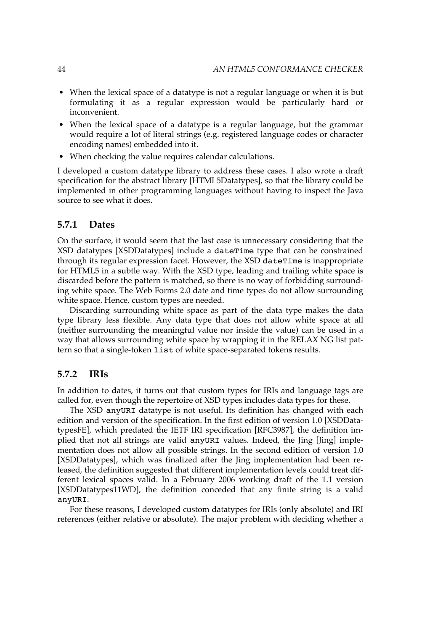- When the lexical space of a datatype is not a regular language or when it is but formulating it as a regular expression would be particularly hard or inconvenient.
- When the lexical space of a datatype is a regular language, but the grammar would require a lot of literal strings (e.g. registered language codes or character encoding names) embedded into it.
- When checking the value requires calendar calculations.

I developed a custom datatype library to address these cases. I also wrote a draft specification for the abstract library [\[HTML5Datatypes\],](#page-90-0) so that the library could be implemented in other programming languages without having to inspect the Java source to see what it does.

#### **5.7.1 Dates**

On the surface, it would seem that the last case is unnecessary considering that the XSD datatypes [\[XSDDatatypes\]](#page-103-0) include a dateTime type that can be constrained through its regular expression facet. However, the XSD dateTime is inappropriate for HTML5 in a subtle way. With the XSD type, leading and trailing white space is discarded before the pattern is matched, so there is no way of forbidding surrounding white space. The Web Forms 2.0 date and time types do not allow surrounding white space. Hence, custom types are needed.

Discarding surrounding white space as part of the data type makes the data type library less flexible. Any data type that does not allow white space at all (neither surrounding the meaningful value nor inside the value) can be used in a way that allows surrounding white space by wrapping it in the RELAX NG list pattern so that a single-token list of white space-separated tokens results.

#### **5.7.2 IRIs**

In addition to dates, it turns out that custom types for IRIs and language tags are called for, even though the repertoire of XSD types includes data types for these.

The XSD anyURI datatype is not useful. Its definition has changed with each edition and version of the specification. In the first edition of version 1.0 [\[XSDData](#page-103-0)[typesFE\]](#page-103-0), which predated the IETF IRI specification [\[RFC3987\]](#page-96-0), the definition implied that not all strings are valid anyURI values. Indeed, the Jing [\[Jing\]](#page-92-0) implementation does not allow all possible strings. In the second edition of version 1.0 [\[XSDDatatypes\],](#page-103-0) which was finalized after the Jing implementation had been released, the definition suggested that different implementation levels could treat different lexical spaces valid. In a February 2006 working draft of the 1.1 version [\[XSDDatatypes11WD\]](#page-103-0), the definition conceded that any finite string is a valid anyURI.

For these reasons, I developed custom datatypes for IRIs (only absolute) and IRI references (either relative or absolute). The major problem with deciding whether a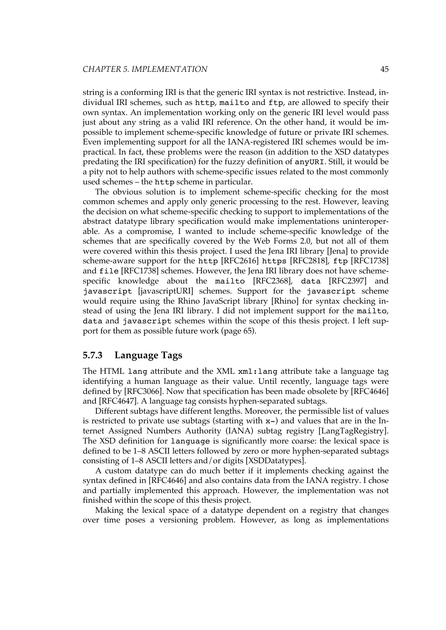string is a conforming IRI is that the generic IRI syntax is not restrictive. Instead, individual IRI schemes, such as http, mailto and ftp, are allowed to specify their own syntax. An implementation working only on the generic IRI level would pass just about any string as a valid IRI reference. On the other hand, it would be impossible to implement scheme-specific knowledge of future or private IRI schemes. Even implementing support for all the IANA-registered IRI schemes would be impractical. In fact, these problems were the reason (in addition to the XSD datatypes predating the IRI specification) for the fuzzy definition of anyURI. Still, it would be a pity not to help authors with scheme-specific issues related to the most commonly used schemes – the http scheme in particular.

The obvious solution is to implement scheme-specific checking for the most common schemes and apply only generic processing to the rest. However, leaving the decision on what scheme-specific checking to support to implementations of the abstract datatype library specification would make implementations uninteroperable. As a compromise, I wanted to include scheme-specific knowledge of the schemes that are specifically covered by the Web Forms 2.0, but not all of them were covered within this thesis project. I used the Jena IRI library [\[Jena\]](#page-92-0) to provide scheme-aware support for the http [\[RFC2616\]](#page-96-0) https [\[RFC2818\]](#page-96-0), ftp [\[RFC1738\]](#page-95-0) and file [\[RFC1738\]](#page-95-0) schemes. However, the Jena IRI library does not have schemespecific knowledge about the mailto [\[RFC2368\]](#page-95-0), data [\[RFC2397\]](#page-95-0) and javascript [\[javascriptURI\]](#page-92-0) schemes. Support for the javascript scheme would require using the Rhino JavaScript library [\[Rhino\]](#page-97-0) for syntax checking instead of using the Jena IRI library. I did not implement support for the mailto, data and javascript schemes within the scope of this thesis project. I left support for them as possible [future work](#page-78-0) (page 65).

#### **5.7.3 Language Tags**

The HTML lang attribute and the XML xml:lang attribute take a language tag identifying a human language as their value. Until recently, language tags were defined by [\[RFC3066\]](#page-96-0). Now that specification has been made obsolete by [\[RFC4646\]](#page-96-0) and [\[RFC4647\].](#page-96-0) A language tag consists hyphen-separated subtags.

Different subtags have different lengths. Moreover, the permissible list of values is restricted to private use subtags (starting with x-) and values that are in the Internet Assigned Numbers Authority (IANA) subtag registry [\[LangTagRegistry\].](#page-92-0) The XSD definition for language is significantly more coarse: the lexical space is defined to be 1–8 ASCII letters followed by zero or more hyphen-separated subtags consisting of 1–8 ASCII letters and/or digits [\[XSDDatatypes\].](#page-103-0)

A custom datatype can do much better if it implements checking against the syntax defined in [\[RFC4646\]](#page-96-0) and also contains data from the IANA registry. I chose and partially implemented this approach. However, the implementation was not finished within the scope of this thesis project.

Making the lexical space of a datatype dependent on a registry that changes over time poses a versioning problem. However, as long as implementations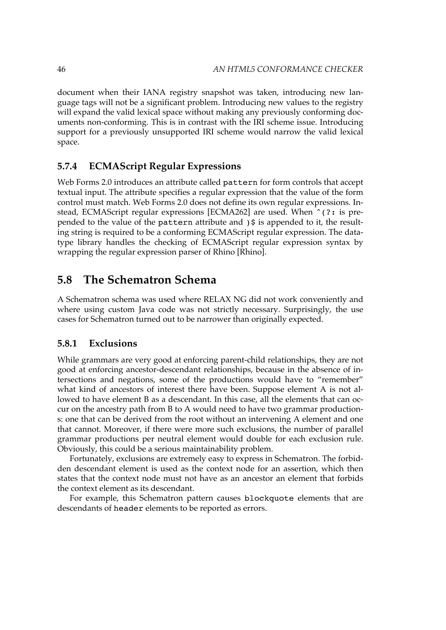document when their IANA registry snapshot was taken, introducing new language tags will not be a significant problem. Introducing new values to the registry will expand the valid lexical space without making any previously conforming documents non-conforming. This is in contrast with the IRI scheme issue. Introducing support for a previously unsupported IRI scheme would narrow the valid lexical space.

#### **5.7.4 ECMAScript Regular Expressions**

Web Forms 2.0 introduces an attribute called pattern for form controls that accept textual input. The attribute specifies a regular expression that the value of the form control must match. Web Forms 2.0 does not define its own regular expressions. In-stead, ECMAScript regular expressions [\[ECMA262\]](#page-88-0) are used. When  $\hat{\ }$  (?: is prepended to the value of the pattern attribute and )\$ is appended to it, the resulting string is required to be a conforming ECMAScript regular expression. The datatype library handles the checking of ECMAScript regular expression syntax by wrapping the regular expression parser of Rhino [\[Rhino\].](#page-97-0)

# **5.8 The Schematron Schema**

A Schematron schema was used where RELAX NG did not work conveniently and where using custom Java code was not strictly necessary. Surprisingly, the use cases for Schematron turned out to be narrower than originally expected.

#### **5.8.1 Exclusions**

While grammars are very good at enforcing parent-child relationships, they are not good at enforcing ancestor-descendant relationships, because in the absence of intersections and negations, some of the productions would have to "remember" what kind of ancestors of interest there have been. Suppose element A is not allowed to have element B as a descendant. In this case, all the elements that can occur on the ancestry path from B to A would need to have two grammar productions: one that can be derived from the root without an intervening A element and one that cannot. Moreover, if there were more such exclusions, the number of parallel grammar productions per neutral element would double for each exclusion rule. Obviously, this could be a serious maintainability problem.

Fortunately, exclusions are extremely easy to express in Schematron. The forbidden descendant element is used as the context node for an assertion, which then states that the context node must not have as an ancestor an element that forbids the context element as its descendant.

For example, this Schematron pattern causes blockquote elements that are descendants of header elements to be reported as errors.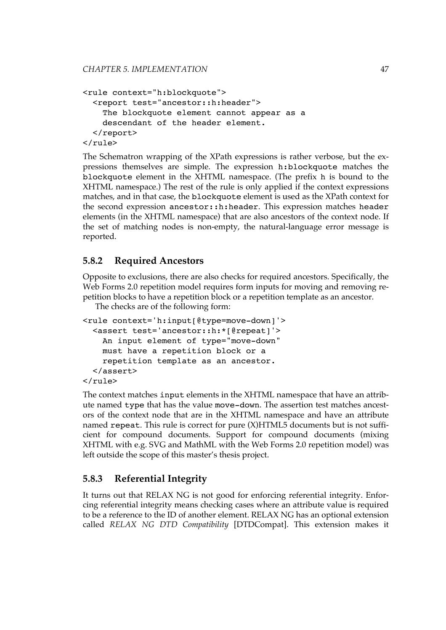```
<rule context="h:blockquote">
  <report test="ancestor::h:header">
    The blockquote element cannot appear as a
    descendant of the header element.
 </report>
</rule>
```
The Schematron wrapping of the XPath expressions is rather verbose, but the expressions themselves are simple. The expression h:blockquote matches the blockquote element in the XHTML namespace. (The prefix h is bound to the XHTML namespace.) The rest of the rule is only applied if the context expressions matches, and in that case, the blockquote element is used as the XPath context for the second expression ancestor::h:header. This expression matches header elements (in the XHTML namespace) that are also ancestors of the context node. If the set of matching nodes is non-empty, the natural-language error message is reported.

#### **5.8.2 Required Ancestors**

Opposite to exclusions, there are also checks for required ancestors. Specifically, the Web Forms 2.0 repetition model requires form inputs for moving and removing repetition blocks to have a repetition block or a repetition template as an ancestor.

The checks are of the following form:

```
<rule context='h:input[@type=move-down]'>
 <assert test='ancestor::h:*[@repeat]'>
    An input element of type="move-down"
    must have a repetition block or a
    repetition template as an ancestor.
 </assert>
</rule>
```
The context matches input elements in the XHTML namespace that have an attribute named type that has the value move-down. The assertion test matches ancestors of the context node that are in the XHTML namespace and have an attribute named repeat. This rule is correct for pure (X)HTML5 documents but is not sufficient for compound documents. Support for compound documents (mixing XHTML with e.g. SVG and MathML with the Web Forms 2.0 repetition model) was left outside the scope of this master's thesis project.

# **5.8.3 Referential Integrity**

It turns out that RELAX NG is not good for enforcing referential integrity. Enforcing referential integrity means checking cases where an attribute value is required to be a reference to the ID of another element. RELAX NG has an optional extension called *RELAX NG DTD Compatibility* [\[DTDCompat\]](#page-88-0). This extension makes it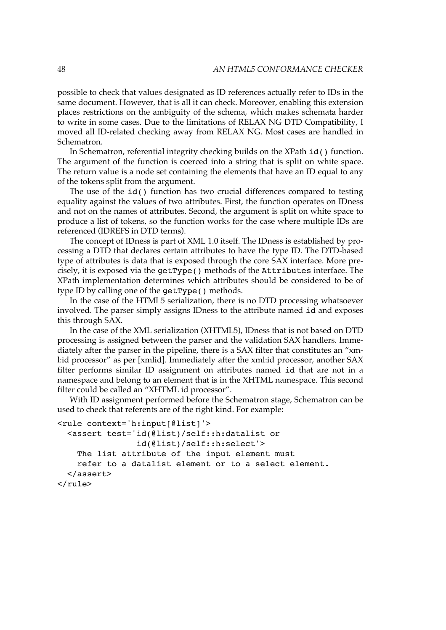possible to check that values designated as ID references actually refer to IDs in the same document. However, that is all it can check. Moreover, enabling this extension places restrictions on the ambiguity of the schema, which makes schemata harder to write in some cases. Due to the limitations of RELAX NG DTD Compatibility, I moved all ID-related checking away from RELAX NG. Most cases are handled in Schematron.

In Schematron, referential integrity checking builds on the XPath id() function. The argument of the function is coerced into a string that is split on white space. The return value is a node set containing the elements that have an ID equal to any of the tokens split from the argument.

The use of the id() function has two crucial differences compared to testing equality against the values of two attributes. First, the function operates on IDness and not on the names of attributes. Second, the argument is split on white space to produce a list of tokens, so the function works for the case where multiple IDs are referenced (IDREFS in DTD terms).

The concept of IDness is part of XML 1.0 itself. The IDness is established by processing a DTD that declares certain attributes to have the type ID. The DTD-based type of attributes is data that is exposed through the core SAX interface. More precisely, it is exposed via the getType() methods of the Attributes interface. The XPath implementation determines which attributes should be considered to be of type ID by calling one of the getType() methods.

In the case of the HTML5 serialization, there is no DTD processing whatsoever involved. The parser simply assigns IDness to the attribute named id and exposes this through SAX.

In the case of the XML serialization (XHTML5), IDness that is not based on DTD processing is assigned between the parser and the validation SAX handlers. Immediately after the parser in the pipeline, there is a SAX filter that constitutes an "xml:id processor" as per [\[xmlid\].](#page-103-0) Immediately after the xml:id processor, another SAX filter performs similar ID assignment on attributes named id that are not in a namespace and belong to an element that is in the XHTML namespace. This second filter could be called an "XHTML id processor".

With ID assignment performed before the Schematron stage, Schematron can be used to check that referents are of the right kind. For example:

```
<rule context='h:input[@list]'>
  <assert test='id(@list)/self::h:datalist or
                 id(@list)/self::h:select'>
    The list attribute of the input element must
    refer to a datalist element or to a select element.
  </assert>
\langlerule\rangle
```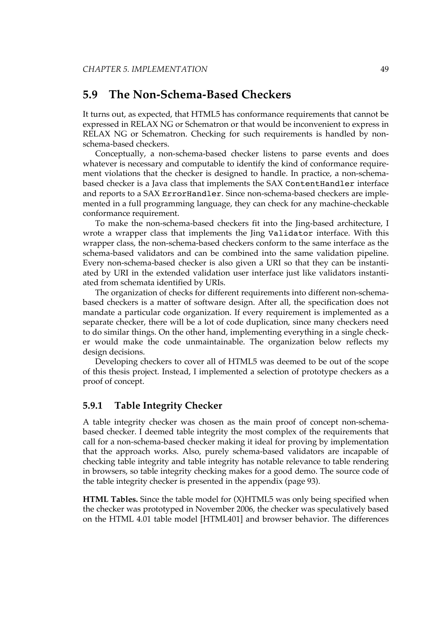# <span id="page-62-0"></span>**5.9 The Non-Schema-Based Checkers**

It turns out, as expected, that HTML5 has conformance requirements that cannot be expressed in RELAX NG or Schematron or that would be inconvenient to express in RELAX NG or Schematron. Checking for such requirements is handled by nonschema-based checkers.

Conceptually, a non-schema-based checker listens to parse events and does whatever is necessary and computable to identify the kind of conformance requirement violations that the checker is designed to handle. In practice, a non-schemabased checker is a Java class that implements the SAX ContentHandler interface and reports to a SAX ErrorHandler. Since non-schema-based checkers are implemented in a full programming language, they can check for any machine-checkable conformance requirement.

To make the non-schema-based checkers fit into the Jing-based architecture, I wrote a wrapper class that implements the Jing Validator interface. With this wrapper class, the non-schema-based checkers conform to the same interface as the schema-based validators and can be combined into the same validation pipeline. Every non-schema-based checker is also given a URI so that they can be instantiated by URI in the extended validation user interface just like validators instantiated from schemata identified by URIs.

The organization of checks for different requirements into different non-schemabased checkers is a matter of software design. After all, the specification does not mandate a particular code organization. If every requirement is implemented as a separate checker, there will be a lot of code duplication, since many checkers need to do similar things. On the other hand, implementing everything in a single checker would make the code unmaintainable. The organization below reflects my design decisions.

Developing checkers to cover all of HTML5 was deemed to be out of the scope of this thesis project. Instead, I implemented a selection of prototype checkers as a proof of concept.

#### **5.9.1 Table Integrity Checker**

A table integrity checker was chosen as the main proof of concept non-schemabased checker. I deemed table integrity the most complex of the requirements that call for a non-schema-based checker making it ideal for proving by implementation that the approach works. Also, purely schema-based validators are incapable of checking table integrity and table integrity has notable relevance to table rendering in browsers, so table integrity checking makes for a good demo. The source code of the table integrity checker is presented in the [appendix](#page-106-0) (page 93).

**HTML Tables.** Since the table model for (X)HTML5 was only being specified when the checker was prototyped in November 2006, the checker was speculatively based on the HTML 4.01 table model [\[HTML401\]](#page-89-0) and browser behavior. The differences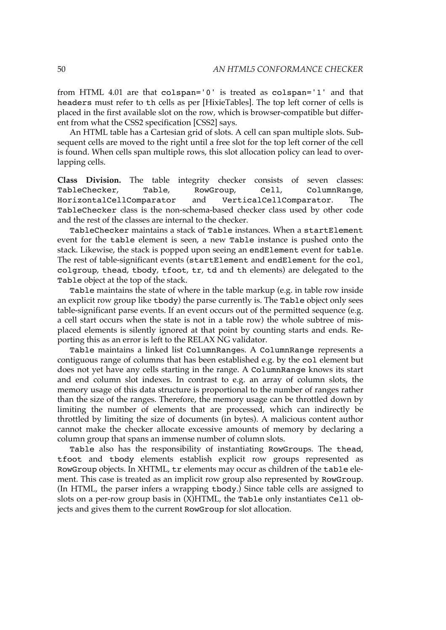from HTML 4.01 are that colspan='0' is treated as colspan='1' and that headers must refer to th cells as per [\[HixieTables\].](#page-89-0) The top left corner of cells is placed in the first available slot on the row, which is browser-compatible but different from what the CSS2 specification [\[CSS2\]](#page-87-0) says.

An HTML table has a Cartesian grid of slots. A cell can span multiple slots. Subsequent cells are moved to the right until a free slot for the top left corner of the cell is found. When cells span multiple rows, this slot allocation policy can lead to overlapping cells.

**Class Division.** The table integrity checker consists of seven classes: TableChecker, Table, RowGroup, Cell, ColumnRange, HorizontalCellComparator and VerticalCellComparator. The TableChecker class is the non-schema-based checker class used by other code and the rest of the classes are internal to the checker.

TableChecker maintains a stack of Table instances. When a startElement event for the table element is seen, a new Table instance is pushed onto the stack. Likewise, the stack is popped upon seeing an endElement event for table. The rest of table-significant events (startElement and endElement for the col, colgroup, thead, tbody, tfoot, tr, td and th elements) are delegated to the Table object at the top of the stack.

Table maintains the state of where in the table markup (e.g. in table row inside an explicit row group like tbody) the parse currently is. The Table object only sees table-significant parse events. If an event occurs out of the permitted sequence (e.g. a cell start occurs when the state is not in a table row) the whole subtree of misplaced elements is silently ignored at that point by counting starts and ends. Reporting this as an error is left to the RELAX NG validator.

Table maintains a linked list ColumnRanges. A ColumnRange represents a contiguous range of columns that has been established e.g. by the col element but does not yet have any cells starting in the range. A ColumnRange knows its start and end column slot indexes. In contrast to e.g. an array of column slots, the memory usage of this data structure is proportional to the number of ranges rather than the size of the ranges. Therefore, the memory usage can be throttled down by limiting the number of elements that are processed, which can indirectly be throttled by limiting the size of documents (in bytes). A malicious content author cannot make the checker allocate excessive amounts of memory by declaring a column group that spans an immense number of column slots.

Table also has the responsibility of instantiating RowGroups. The thead, tfoot and tbody elements establish explicit row groups represented as RowGroup objects. In XHTML, tr elements may occur as children of the table element. This case is treated as an implicit row group also represented by RowGroup. (In HTML, the parser infers a wrapping tbody.) Since table cells are assigned to slots on a per-row group basis in  $(X)$ HTML, the Table only instantiates Cell objects and gives them to the current RowGroup for slot allocation.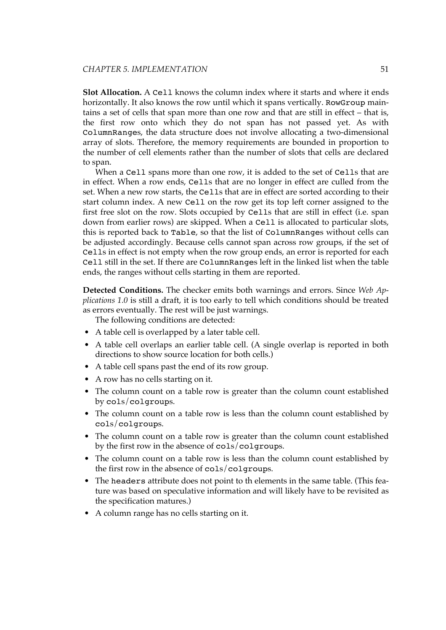**Slot Allocation.** A Cell knows the column index where it starts and where it ends horizontally. It also knows the row until which it spans vertically. RowGroup maintains a set of cells that span more than one row and that are still in effect – that is, the first row onto which they do not span has not passed yet. As with ColumnRanges, the data structure does not involve allocating a two-dimensional array of slots. Therefore, the memory requirements are bounded in proportion to the number of cell elements rather than the number of slots that cells are declared to span.

When a Cell spans more than one row, it is added to the set of Cells that are in effect. When a row ends, Cells that are no longer in effect are culled from the set. When a new row starts, the Cells that are in effect are sorted according to their start column index. A new Cell on the row get its top left corner assigned to the first free slot on the row. Slots occupied by Cells that are still in effect (i.e. span down from earlier rows) are skipped. When a Cell is allocated to particular slots, this is reported back to Table, so that the list of ColumnRanges without cells can be adjusted accordingly. Because cells cannot span across row groups, if the set of Cells in effect is not empty when the row group ends, an error is reported for each Cell still in the set. If there are ColumnRanges left in the linked list when the table ends, the ranges without cells starting in them are reported.

**Detected Conditions.** The checker emits both warnings and errors. Since *Web Applications 1.0* is still a draft, it is too early to tell which conditions should be treated as errors eventually. The rest will be just warnings.

The following conditions are detected:

- A table cell is overlapped by a later table cell.
- A table cell overlaps an earlier table cell. (A single overlap is reported in both directions to show source location for both cells.)
- A table cell spans past the end of its row group.
- A row has no cells starting on it.
- The column count on a table row is greater than the column count established by cols/colgroups.
- The column count on a table row is less than the column count established by cols/colgroups.
- The column count on a table row is greater than the column count established by the first row in the absence of cols/colgroups.
- The column count on a table row is less than the column count established by the first row in the absence of cols/colgroups.
- The headers attribute does not point to th elements in the same table. (This feature was based on speculative information and will likely have to be revisited as the specification matures.)
- A column range has no cells starting on it.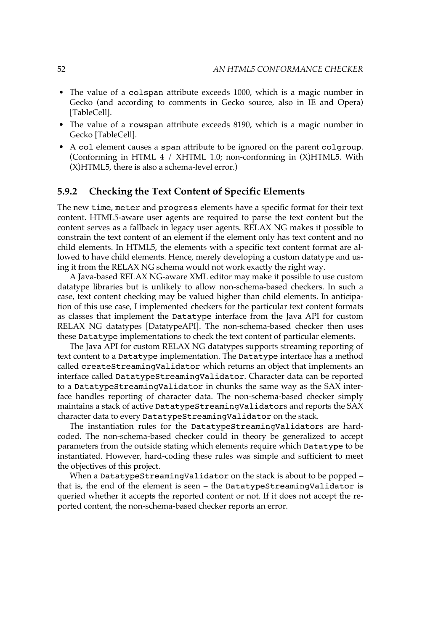- The value of a colspan attribute exceeds 1000, which is a magic number in Gecko (and according to comments in Gecko source, also in IE and Opera) [\[TableCell\].](#page-99-0)
- The value of a rowspan attribute exceeds 8190, which is a magic number in Gecko [\[TableCell\]](#page-99-0).
- A col element causes a span attribute to be ignored on the parent colgroup. (Conforming in HTML 4 / XHTML 1.0; non-conforming in (X)HTML5. With (X)HTML5, there is also a schema-level error.)

#### **5.9.2 Checking the Text Content of Specific Elements**

The new time, meter and progress elements have a specific format for their text content. HTML5-aware user agents are required to parse the text content but the content serves as a fallback in legacy user agents. RELAX NG makes it possible to constrain the text content of an element if the element only has text content and no child elements. In HTML5, the elements with a specific text content format are allowed to have child elements. Hence, merely developing a custom datatype and using it from the RELAX NG schema would not work exactly the right way.

A Java-based RELAX NG-aware XML editor may make it possible to use custom datatype libraries but is unlikely to allow non-schema-based checkers. In such a case, text content checking may be valued higher than child elements. In anticipation of this use case, I implemented checkers for the particular text content formats as classes that implement the Datatype interface from the Java API for custom RELAX NG datatypes [\[DatatypeAPI\].](#page-87-0) The non-schema-based checker then uses these Datatype implementations to check the text content of particular elements.

The Java API for custom RELAX NG datatypes supports streaming reporting of text content to a Datatype implementation. The Datatype interface has a method called createStreamingValidator which returns an object that implements an interface called DatatypeStreamingValidator. Character data can be reported to a DatatypeStreamingValidator in chunks the same way as the SAX interface handles reporting of character data. The non-schema-based checker simply maintains a stack of active DatatypeStreamingValidators and reports the SAX character data to every DatatypeStreamingValidator on the stack.

The instantiation rules for the DatatypeStreamingValidators are hardcoded. The non-schema-based checker could in theory be generalized to accept parameters from the outside stating which elements require which Datatype to be instantiated. However, hard-coding these rules was simple and sufficient to meet the objectives of this project.

When a DatatypeStreamingValidator on the stack is about to be popped that is, the end of the element is seen – the DatatypeStreamingValidator is queried whether it accepts the reported content or not. If it does not accept the reported content, the non-schema-based checker reports an error.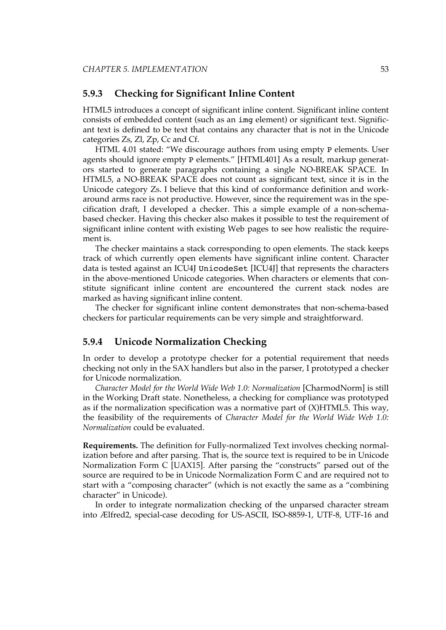#### <span id="page-66-0"></span>**5.9.3 Checking for Significant Inline Content**

HTML5 introduces a concept of significant inline content. Significant inline content consists of embedded content (such as an img element) or significant text. Significant text is defined to be text that contains any character that is not in the Unicode categories Zs, Zl, Zp, Cc and Cf.

HTML 4.01 stated: "We discourage authors from using empty P elements. User agents should ignore empty P elements." [\[HTML401\]](#page-89-0) As a result, markup generators started to generate paragraphs containing a single NO-BREAK SPACE. In HTML5, a NO-BREAK SPACE does not count as significant text, since it is in the Unicode category Zs. I believe that this kind of conformance definition and workaround arms race is not productive. However, since the requirement was in the specification draft, I developed a checker. This a simple example of a non-schemabased checker. Having this checker also makes it possible to test the requirement of significant inline content with existing Web pages to see how realistic the requirement is.

The checker maintains a stack corresponding to open elements. The stack keeps track of which currently open elements have significant inline content. Character data is tested against an ICU4J UnicodeSet [\[ICU4J\]](#page-90-0) that represents the characters in the above-mentioned Unicode categories. When characters or elements that constitute significant inline content are encountered the current stack nodes are marked as having significant inline content.

The checker for significant inline content demonstrates that non-schema-based checkers for particular requirements can be very simple and straightforward.

#### **5.9.4 Unicode Normalization Checking**

In order to develop a prototype checker for a potential requirement that needs checking not only in the SAX handlers but also in the parser, I prototyped a checker for Unicode normalization.

*Character Model for the World Wide Web 1.0: Normalization* [\[CharmodNorm\]](#page-86-0) is still in the Working Draft state. Nonetheless, a checking for compliance was prototyped as if the normalization specification was a normative part of  $(X)$ HTML5. This way, the feasibility of the requirements of *Character Model for the World Wide Web 1.0: Normalization* could be evaluated.

**Requirements.** The definition for [Fully-normalized](http://www.w3.org/TR/charmod-norm/#sec-FullyNormalized) Text involves checking normalization before and after parsing. That is, the source text is required to be in Unicode Normalization Form C [\[UAX15\].](#page-99-0) After parsing the "constructs" parsed out of the source are required to be in Unicode Normalization Form C and are required not to start with a "composing character" (which is not exactly the same as a "combining character" in Unicode).

In order to integrate normalization checking of the unparsed character stream into Ælfred2, special-case decoding for US-ASCII, ISO-8859-1, UTF-8, UTF-16 and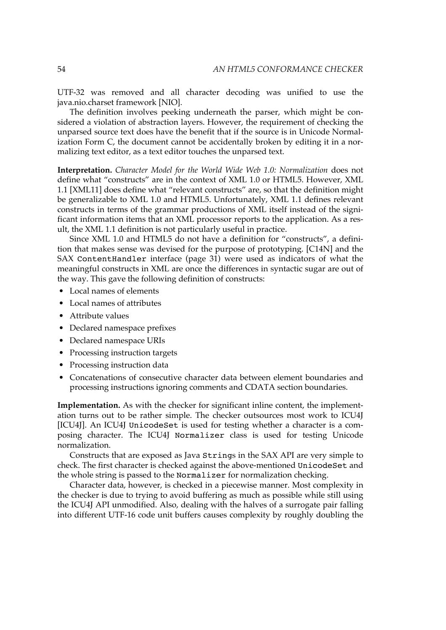UTF-32 was removed and all character decoding was unified to use the java.nio.charset framework [\[NIO\].](#page-93-0)

The definition involves peeking underneath the parser, which might be considered a violation of abstraction layers. However, the requirement of checking the unparsed source text does have the benefit that if the source is in Unicode Normalization Form C, the document cannot be accidentally broken by editing it in a normalizing text editor, as a text editor touches the unparsed text.

**Interpretation.** *Character Model for the World Wide Web 1.0: Normalization* does not define what "constructs" are in the context of XML 1.0 or HTML5. However, XML 1.1 [\[XML11\]](#page-103-0) does define what "relevant [constructs"](http://www.w3.org/TR/2006/REC-xml11-20060816/#dt-relconst) are, so that the definition might be generalizable to XML 1.0 and HTML5. Unfortunately, XML 1.1 defines relevant constructs in terms of the grammar productions of XML itself instead of the significant information items that an XML processor reports to the application. As a result, the XML 1.1 definition is not particularly useful in practice.

Since XML 1.0 and HTML5 do not have a definition for "constructs", a definition that makes sense was devised for the purpose of prototyping. [\[C14N\]](#page-86-0) and the SAX [ContentHandler](#page-44-0) interface (page 31) were used as indicators of what the meaningful constructs in XML are once the differences in syntactic sugar are out of the way. This gave the following definition of constructs:

- Local names of elements
- Local names of attributes
- Attribute values
- Declared namespace prefixes
- Declared namespace URIs
- Processing instruction targets
- Processing instruction data
- Concatenations of consecutive character data between element boundaries and processing instructions ignoring comments and CDATA section boundaries.

**Implementation.** As with the checker for significant inline content, the implementation turns out to be rather simple. The checker outsources most work to ICU4J [\[ICU4J\]](#page-90-0). An ICU4J UnicodeSet is used for testing whether a character is a composing character. The ICU4J Normalizer class is used for testing Unicode normalization.

Constructs that are exposed as Java Strings in the SAX API are very simple to check. The first character is checked against the above-mentioned UnicodeSet and the whole string is passed to the Normalizer for normalization checking.

Character data, however, is checked in a piecewise manner. Most complexity in the checker is due to trying to avoid buffering as much as possible while still using the ICU4J API unmodified. Also, dealing with the halves of a surrogate pair falling into different UTF-16 code unit buffers causes complexity by roughly doubling the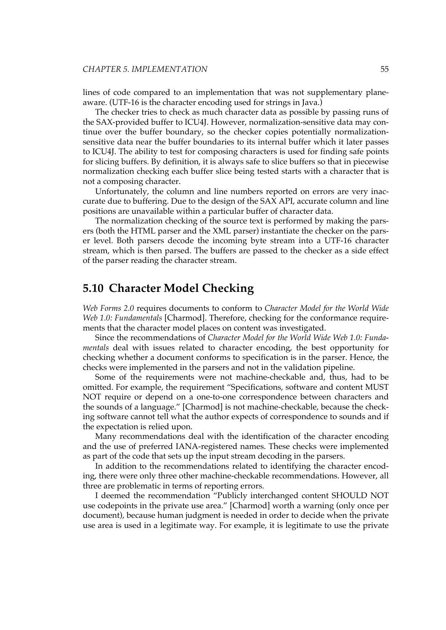<span id="page-68-0"></span>lines of code compared to an implementation that was not supplementary planeaware. (UTF-16 is the character encoding used for strings in Java.)

The checker tries to check as much character data as possible by passing runs of the SAX-provided buffer to ICU4J. However, normalization-sensitive data may continue over the buffer boundary, so the checker copies potentially normalizationsensitive data near the buffer boundaries to its internal buffer which it later passes to ICU4J. The ability to test for composing characters is used for finding safe points for slicing buffers. By definition, it is always safe to slice buffers so that in piecewise normalization checking each buffer slice being tested starts with a character that is not a composing character.

Unfortunately, the column and line numbers reported on errors are very inaccurate due to buffering. Due to the design of the SAX API, accurate column and line positions are unavailable within a particular buffer of character data.

The normalization checking of the source text is performed by making the parsers (both the HTML parser and the XML parser) instantiate the checker on the parser level. Both parsers decode the incoming byte stream into a UTF-16 character stream, which is then parsed. The buffers are passed to the checker as a side effect of the parser reading the character stream.

## **5.10 Character Model Checking**

*Web Forms 2.0* requires documents to conform to *Character Model for the World Wide Web 1.0: Fundamentals* [\[Charmod\]](#page-86-0). Therefore, checking for the conformance requirements that the character model places on content was investigated.

Since the recommendations of *Character Model for the World Wide Web 1.0: Fundamentals* deal with issues related to character encoding, the best opportunity for checking whether a document conforms to specification is in the parser. Hence, the checks were implemented in the parsers and not in the validation pipeline.

Some of the requirements were not machine-checkable and, thus, had to be omitted. For example, the requirement "Specifications, software and content MUST NOT require or depend on a one-to-one correspondence between characters and the sounds of a language." [\[Charmod\]](#page-86-0) is not machine-checkable, because the checking software cannot tell what the author expects of correspondence to sounds and if the expectation is relied upon.

Many recommendations deal with the identification of the character encoding and the use of preferred IANA-registered names. These checks were implemented as part of the code that sets up the input stream decoding in the parsers.

In addition to the recommendations related to identifying the character encoding, there were only three other machine-checkable recommendations. However, all three are problematic in terms of reporting errors.

I deemed the recommendation "Publicly interchanged content SHOULD NOT use codepoints in the private use area." [\[Charmod\]](#page-86-0) worth a warning (only once per document), because human judgment is needed in order to decide when the private use area is used in a legitimate way. For example, it is legitimate to use the private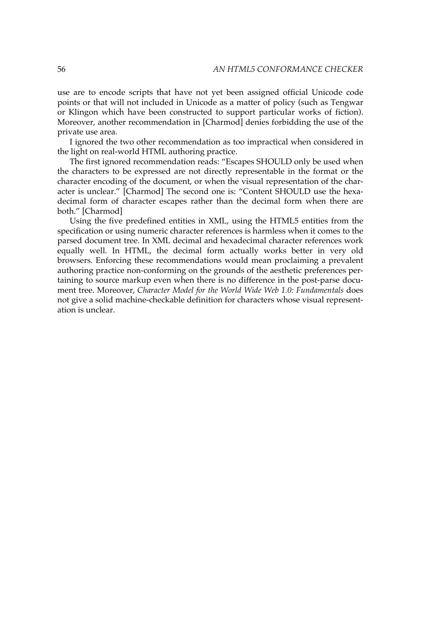use are to encode scripts that have not yet been assigned official Unicode code points or that will not included in Unicode as a matter of policy (such as Tengwar or Klingon which have been constructed to support particular works of fiction). Moreover, another recommendation in [\[Charmod\]](#page-86-0) denies forbidding the use of the private use area.

I ignored the two other recommendation as too impractical when considered in the light on real-world HTML authoring practice.

The first ignored recommendation reads: "Escapes SHOULD only be used when the characters to be expressed are not directly representable in the format or the character encoding of the document, or when the visual representation of the character is unclear." [\[Charmod\]](#page-86-0) The second one is: "Content SHOULD use the hexadecimal form of character escapes rather than the decimal form when there are both." [\[Charmod\]](#page-86-0)

Using the five predefined entities in XML, using the HTML5 entities from the specification or using numeric character references is harmless when it comes to the parsed document tree. In XML decimal and hexadecimal character references work equally well. In HTML, the decimal form actually works better in very old browsers. Enforcing these recommendations would mean proclaiming a prevalent authoring practice non-conforming on the grounds of the aesthetic preferences pertaining to source markup even when there is no difference in the post-parse document tree. Moreover, *Character Model for the World Wide Web 1.0: Fundamentals* does not give a solid machine-checkable definition for characters whose visual representation is unclear.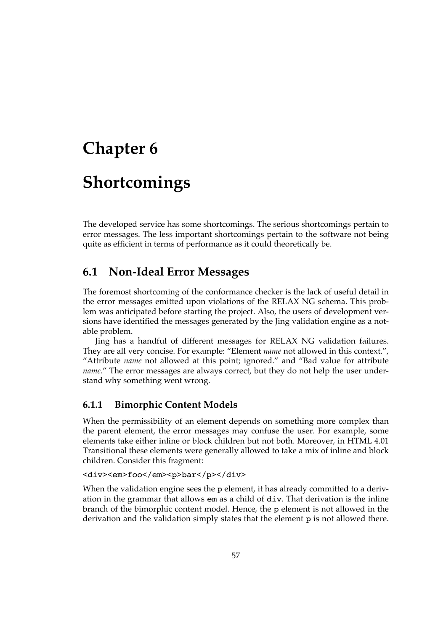# **Chapter 6**

# **Shortcomings**

The developed service has some shortcomings. The serious shortcomings pertain to error messages. The less important shortcomings pertain to the software not being quite as efficient in terms of performance as it could theoretically be.

# **6.1 Non-Ideal Error Messages**

The foremost shortcoming of the conformance checker is the lack of useful detail in the error messages emitted upon violations of the RELAX NG schema. This problem was anticipated before starting the project. Also, the users of development versions have identified the messages generated by the Jing validation engine as a notable problem.

Jing has a handful of different messages for RELAX NG validation failures. They are all very concise. For example: "Element *name* not allowed in this context.", "Attribute *name* not allowed at this point; ignored." and "Bad value for attribute *name*." The error messages are always correct, but they do not help the user understand why something went wrong.

#### **6.1.1 Bimorphic Content Models**

When the permissibility of an element depends on something more complex than the parent element, the error messages may confuse the user. For example, some elements take either inline or block children but not both. Moreover, in HTML 4.01 Transitional these elements were generally allowed to take a mix of inline and block children. Consider this fragment:

#### <div><em>foo</em><p>bar</p></div>

When the validation engine sees the p element, it has already committed to a derivation in the grammar that allows em as a child of div. That derivation is the inline branch of the bimorphic content model. Hence, the p element is not allowed in the derivation and the validation simply states that the element p is not allowed there.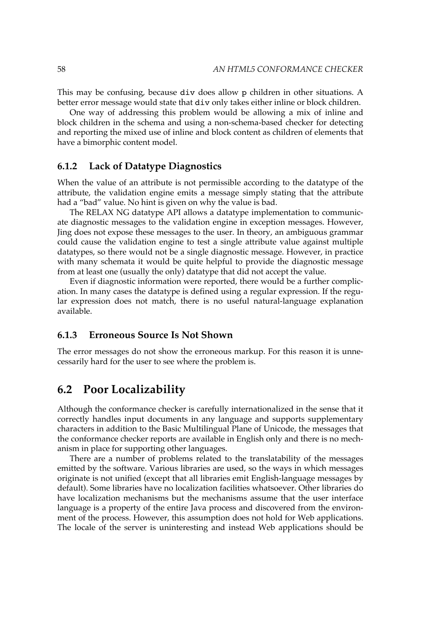This may be confusing, because div does allow p children in other situations. A better error message would state that div only takes either inline or block children.

One way of addressing this problem would be allowing a mix of inline and block children in the schema and using a non-schema-based checker for detecting and reporting the mixed use of inline and block content as children of elements that have a bimorphic content model.

#### **6.1.2 Lack of Datatype Diagnostics**

When the value of an attribute is not permissible according to the datatype of the attribute, the validation engine emits a message simply stating that the attribute had a "bad" value. No hint is given on why the value is bad.

The RELAX NG datatype API allows a datatype implementation to communicate diagnostic messages to the validation engine in exception messages. However, Jing does not expose these messages to the user. In theory, an ambiguous grammar could cause the validation engine to test a single attribute value against multiple datatypes, so there would not be a single diagnostic message. However, in practice with many schemata it would be quite helpful to provide the diagnostic message from at least one (usually the only) datatype that did not accept the value.

Even if diagnostic information were reported, there would be a further complication. In many cases the datatype is defined using a regular expression. If the regular expression does not match, there is no useful natural-language explanation available.

#### **6.1.3 Erroneous Source Is Not Shown**

The error messages do not show the erroneous markup. For this reason it is unnecessarily hard for the user to see where the problem is.

## **6.2 Poor Localizability**

Although the conformance checker is carefully internationalized in the sense that it correctly handles input documents in any language and supports supplementary characters in addition to the Basic Multilingual Plane of Unicode, the messages that the conformance checker reports are available in English only and there is no mechanism in place for supporting other languages.

There are a number of problems related to the translatability of the messages emitted by the software. Various libraries are used, so the ways in which messages originate is not unified (except that all libraries emit English-language messages by default). Some libraries have no localization facilities whatsoever. Other libraries do have localization mechanisms but the mechanisms assume that the user interface language is a property of the entire Java process and discovered from the environment of the process. However, this assumption does not hold for Web applications. The locale of the server is uninteresting and instead Web applications should be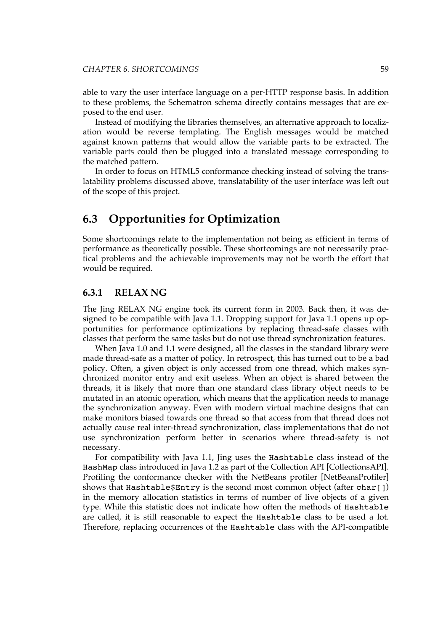able to vary the user interface language on a per-HTTP response basis. In addition to these problems, the Schematron schema directly contains messages that are exposed to the end user.

Instead of modifying the libraries themselves, an alternative approach to localization would be reverse templating. The English messages would be matched against known patterns that would allow the variable parts to be extracted. The variable parts could then be plugged into a translated message corresponding to the matched pattern.

In order to focus on HTML5 conformance checking instead of solving the translatability problems discussed above, translatability of the user interface was left out of the scope of this project.

### **6.3 Opportunities for Optimization**

Some shortcomings relate to the implementation not being as efficient in terms of performance as theoretically possible. These shortcomings are not necessarily practical problems and the achievable improvements may not be worth the effort that would be required.

#### **6.3.1 RELAX NG**

The Jing RELAX NG engine took its current form in 2003. Back then, it was designed to be compatible with Java 1.1. Dropping support for Java 1.1 opens up opportunities for performance optimizations by replacing thread-safe classes with classes that perform the same tasks but do not use thread synchronization features.

When Java 1.0 and 1.1 were designed, all the classes in the standard library were made thread-safe as a matter of policy. In retrospect, this has turned out to be a bad policy. Often, a given object is only accessed from one thread, which makes synchronized monitor entry and exit useless. When an object is shared between the threads, it is likely that more than one standard class library object needs to be mutated in an atomic operation, which means that the application needs to manage the synchronization anyway. Even with modern virtual machine designs that can make monitors biased towards one thread so that access from that thread does not actually cause real inter-thread synchronization, class implementations that do not use synchronization perform better in scenarios where thread-safety is not necessary.

For compatibility with Java 1.1, Jing uses the Hashtable class instead of the HashMap class introduced in Java 1.2 as part of the Collection API [\[CollectionsAPI\].](#page-86-0) Profiling the conformance checker with the NetBeans profiler [\[NetBeansProfiler\]](#page-93-0) shows that Hashtable\$Entry is the second most common object (after char[]) in the memory allocation statistics in terms of number of live objects of a given type. While this statistic does not indicate how often the methods of Hashtable are called, it is still reasonable to expect the Hashtable class to be used a lot. Therefore, replacing occurrences of the Hashtable class with the API-compatible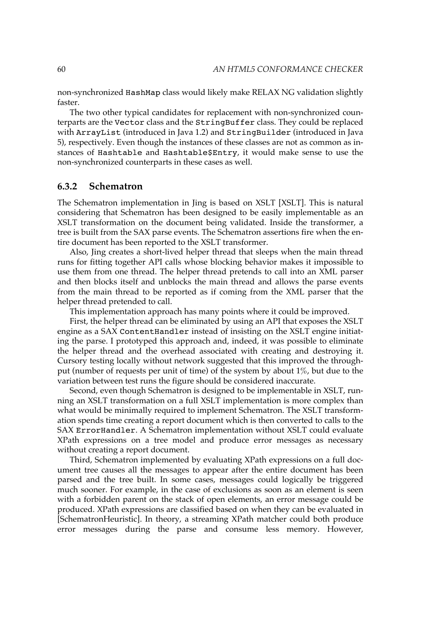non-synchronized HashMap class would likely make RELAX NG validation slightly faster.

The two other typical candidates for replacement with non-synchronized counterparts are the Vector class and the StringBuffer class. They could be replaced with ArrayList (introduced in Java 1.2) and StringBuilder (introduced in Java 5), respectively. Even though the instances of these classes are not as common as instances of Hashtable and Hashtable\$Entry, it would make sense to use the non-synchronized counterparts in these cases as well.

#### **6.3.2 Schematron**

The Schematron implementation in Jing is based on XSLT [\[XSLT\].](#page-104-0) This is natural considering that Schematron has been designed to be easily implementable as an XSLT transformation on the document being validated. Inside the transformer, a tree is built from the SAX parse events. The Schematron assertions fire when the entire document has been reported to the XSLT transformer.

Also, Jing creates a short-lived helper thread that sleeps when the main thread runs for fitting together API calls whose blocking behavior makes it impossible to use them from one thread. The helper thread pretends to call into an XML parser and then blocks itself and unblocks the main thread and allows the parse events from the main thread to be reported as if coming from the XML parser that the helper thread pretended to call.

This implementation approach has many points where it could be improved.

First, the helper thread can be eliminated by using an API that exposes the XSLT engine as a SAX ContentHandler instead of insisting on the XSLT engine initiating the parse. I prototyped this approach and, indeed, it was possible to eliminate the helper thread and the overhead associated with creating and destroying it. Cursory testing locally without network suggested that this improved the throughput (number of requests per unit of time) of the system by about 1%, but due to the variation between test runs the figure should be considered inaccurate.

Second, even though Schematron is designed to be implementable in XSLT, running an XSLT transformation on a full XSLT implementation is more complex than what would be minimally required to implement Schematron. The XSLT transformation spends time creating a report document which is then converted to calls to the SAX ErrorHandler. A Schematron implementation without XSLT could evaluate XPath expressions on a tree model and produce error messages as necessary without creating a report document.

Third, Schematron implemented by evaluating XPath expressions on a full document tree causes all the messages to appear after the entire document has been parsed and the tree built. In some cases, messages could logically be triggered much sooner. For example, in the case of exclusions as soon as an element is seen with a forbidden parent on the stack of open elements, an error message could be produced. XPath expressions are classified based on when they can be evaluated in [\[SchematronHeuristic\].](#page-98-0) In theory, a streaming XPath matcher could both produce error messages during the parse and consume less memory. However,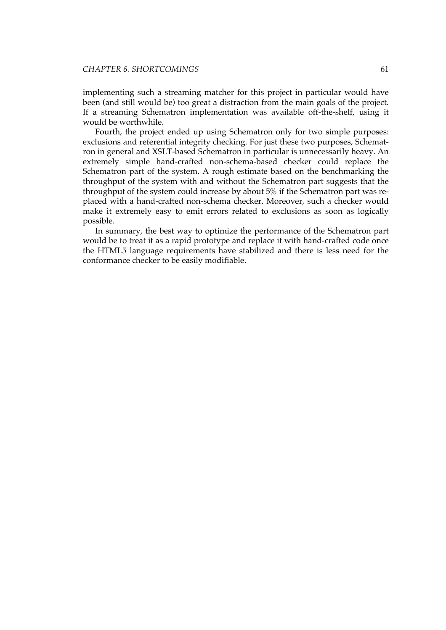implementing such a streaming matcher for this project in particular would have been (and still would be) too great a distraction from the main goals of the project. If a streaming Schematron implementation was available off-the-shelf, using it would be worthwhile.

Fourth, the project ended up using Schematron only for two simple purposes: exclusions and referential integrity checking. For just these two purposes, Schematron in general and XSLT-based Schematron in particular is unnecessarily heavy. An extremely simple hand-crafted non-schema-based checker could replace the Schematron part of the system. A rough estimate based on the benchmarking the throughput of the system with and without the Schematron part suggests that the throughput of the system could increase by about 5% if the Schematron part was replaced with a hand-crafted non-schema checker. Moreover, such a checker would make it extremely easy to emit errors related to exclusions as soon as logically possible.

In summary, the best way to optimize the performance of the Schematron part would be to treat it as a rapid prototype and replace it with hand-crafted code once the HTML5 language requirements have stabilized and there is less need for the conformance checker to be easily modifiable.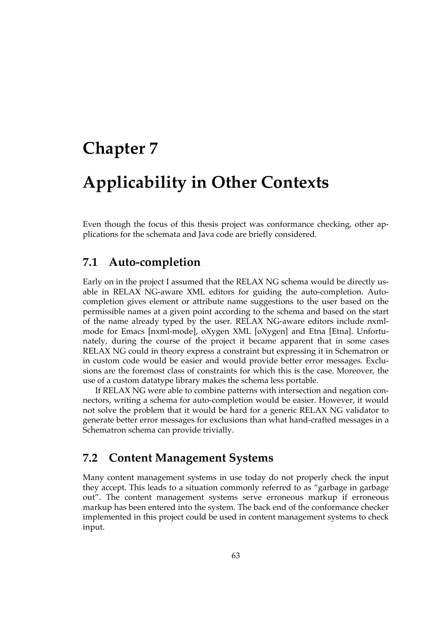# **Chapter 7**

# **Applicability in Other Contexts**

Even though the focus of this thesis project was conformance checking, other applications for the schemata and Java code are briefly considered.

### **7.1 Auto-completion**

Early on in the project I assumed that the RELAX NG schema would be directly usable in RELAX NG-aware XML editors for guiding the auto-completion. Autocompletion gives element or attribute name suggestions to the user based on the permissible names at a given point according to the schema and based on the start of the name already typed by the user. RELAX NG-aware editors include nxmlmode for Emacs [\[nxml-mode\]](#page-94-0), oXygen XML [\[oXygen\]](#page-94-0) and Etna [\[Etna\].](#page-88-0) Unfortunately, during the course of the project it became apparent that in some cases RELAX NG could in theory express a constraint but expressing it in Schematron or in custom code would be easier and would provide better error messages. Exclusions are the foremost class of constraints for which this is the case. Moreover, the use of a custom datatype library makes the schema less portable.

If RELAX NG were able to combine patterns with intersection and negation connectors, writing a schema for auto-completion would be easier. However, it would not solve the problem that it would be hard for a generic RELAX NG validator to generate better error messages for exclusions than what hand-crafted messages in a Schematron schema can provide trivially.

### **7.2 Content Management Systems**

Many content management systems in use today do not properly check the input they accept. This leads to a situation commonly referred to as "garbage in garbage out". The content management systems serve erroneous markup if erroneous markup has been entered into the system. The back end of the conformance checker implemented in this project could be used in content management systems to check input.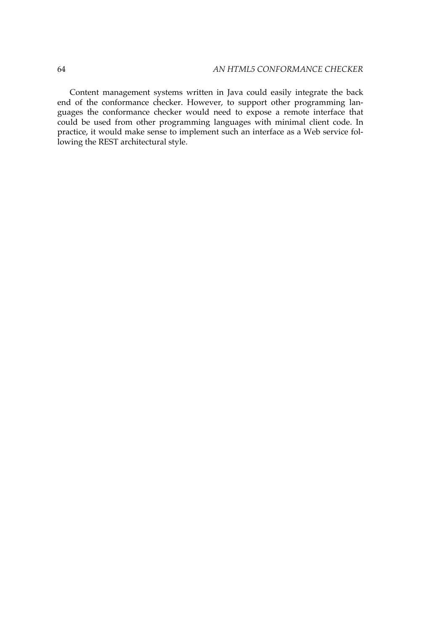Content management systems written in Java could easily integrate the back end of the conformance checker. However, to support other programming languages the conformance checker would need to expose a remote interface that could be used from other programming languages with minimal client code. In practice, it would make sense to implement such an interface as a Web service following the REST architectural style.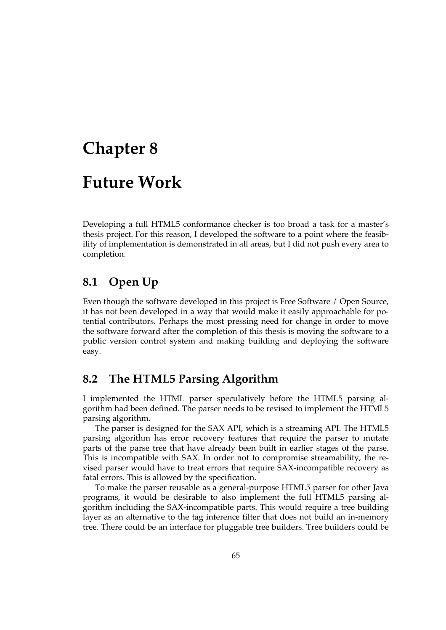# **Chapter 8**

# **Future Work**

Developing a full HTML5 conformance checker is too broad a task for a master's thesis project. For this reason, I developed the software to a point where the feasibility of implementation is demonstrated in all areas, but I did not push every area to completion.

### **8.1 Open Up**

Even though the software developed in this project is Free Software / Open Source, it has not been developed in a way that would make it easily approachable for potential contributors. Perhaps the most pressing need for change in order to move the software forward after the completion of this thesis is moving the software to a public version control system and making building and deploying the software easy.

### **8.2 The HTML5 Parsing Algorithm**

I implemented the HTML parser speculatively before the HTML5 parsing algorithm had been defined. The parser needs to be revised to implement the HTML5 parsing algorithm.

The parser is designed for the SAX API, which is a streaming API. The HTML5 parsing algorithm has error recovery features that require the parser to mutate parts of the parse tree that have already been built in earlier stages of the parse. This is incompatible with SAX. In order not to compromise streamability, the revised parser would have to treat errors that require SAX-incompatible recovery as fatal errors. This is allowed by the specification.

To make the parser reusable as a general-purpose HTML5 parser for other Java programs, it would be desirable to also implement the full HTML5 parsing algorithm including the SAX-incompatible parts. This would require a tree building layer as an alternative to the tag inference filter that does not build an in-memory tree. There could be an interface for pluggable tree builders. Tree builders could be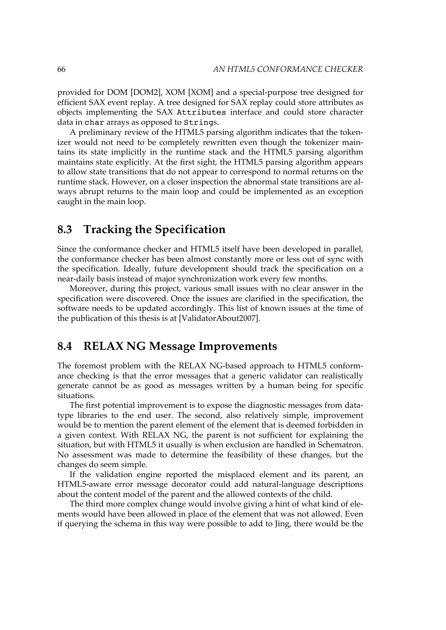provided for DOM [\[DOM2\],](#page-88-0) XOM [\[XOM\]](#page-103-0) and a special-purpose tree designed for efficient SAX event replay. A tree designed for SAX replay could store attributes as objects implementing the SAX Attributes interface and could store character data in char arrays as opposed to Strings.

A preliminary review of the HTML5 parsing algorithm indicates that the tokenizer would not need to be completely rewritten even though the tokenizer maintains its state implicitly in the runtime stack and the HTML5 parsing algorithm maintains state explicitly. At the first sight, the HTML5 parsing algorithm appears to allow state transitions that do not appear to correspond to normal returns on the runtime stack. However, on a closer inspection the abnormal state transitions are always abrupt returns to the main loop and could be implemented as an exception caught in the main loop.

### **8.3 Tracking the Specification**

Since the conformance checker and HTML5 itself have been developed in parallel, the conformance checker has been almost constantly more or less out of sync with the specification. Ideally, future development should track the specification on a near-daily basis instead of major synchronization work every few months.

Moreover, during this project, various small issues with no clear answer in the specification were discovered. Once the issues are clarified in the specification, the software needs to be updated accordingly. This list of known issues at the time of the publication of this thesis is at [\[ValidatorAbout2007\].](#page-100-0)

### **8.4 RELAX NG Message Improvements**

The foremost problem with the RELAX NG-based approach to HTML5 conformance checking is that the error messages that a generic validator can realistically generate cannot be as good as messages written by a human being for specific situations.

The first potential improvement is to expose the diagnostic messages from datatype libraries to the end user. The second, also relatively simple, improvement would be to mention the parent element of the element that is deemed forbidden in a given context. With RELAX NG, the parent is not sufficient for explaining the situation, but with HTML5 it usually is when exclusion are handled in Schematron. No assessment was made to determine the feasibility of these changes, but the changes do seem simple.

If the validation engine reported the misplaced element and its parent, an HTML5-aware error message decorator could add natural-language descriptions about the content model of the parent and the allowed contexts of the child.

The third more complex change would involve giving a hint of what kind of elements would have been allowed in place of the element that was not allowed. Even if querying the schema in this way were possible to add to Jing, there would be the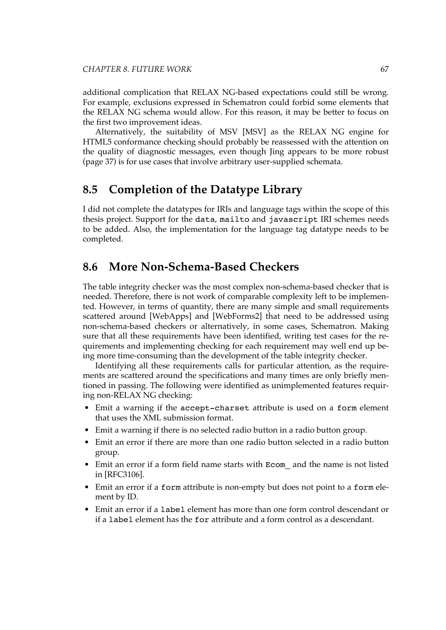additional complication that RELAX NG-based expectations could still be wrong. For example, exclusions expressed in Schematron could forbid some elements that the RELAX NG schema would allow. For this reason, it may be better to focus on the first two improvement ideas.

Alternatively, the suitability of MSV [\[MSV\]](#page-93-0) as the RELAX NG engine for HTML5 conformance checking should probably be reassessed with the attention on the quality of diagnostic messages, even though Jing [appears](#page-50-0) to be more robust [\(page 37\)](#page-50-0) is for use cases that involve arbitrary user-supplied schemata.

### **8.5 Completion of the Datatype Library**

I did not complete the datatypes for IRIs and language tags within the scope of this thesis project. Support for the data, mailto and javascript IRI schemes needs to be added. Also, the implementation for the language tag datatype needs to be completed.

### **8.6 More Non-Schema-Based Checkers**

The table integrity checker was the most complex non-schema-based checker that is needed. Therefore, there is not work of comparable complexity left to be implemented. However, in terms of quantity, there are many simple and small requirements scattered around [\[WebApps\]](#page-101-0) and [\[WebForms2\]](#page-101-0) that need to be addressed using non-schema-based checkers or alternatively, in some cases, Schematron. Making sure that all these requirements have been identified, writing test cases for the requirements and implementing checking for each requirement may well end up being more time-consuming than the development of the table integrity checker.

Identifying all these requirements calls for particular attention, as the requirements are scattered around the specifications and many times are only briefly mentioned in passing. The following were identified as unimplemented features requiring non-RELAX NG checking:

- Emit a warning if the accept-charset attribute is used on a form element that uses the XML submission format.
- Emit a warning if there is no selected radio button in a radio button group.
- Emit an error if there are more than one radio button selected in a radio button group.
- Emit an error if a form field name starts with Ecom\_ and the name is not listed in [\[RFC3106\].](#page-96-0)
- Emit an error if a form attribute is non-empty but does not point to a form element by ID.
- Emit an error if a label element has more than one form control descendant or if a label element has the for attribute and a form control as a descendant.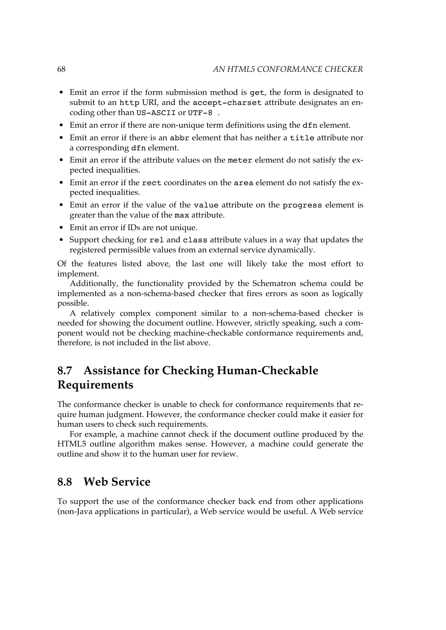- Emit an error if the form submission method is get, the form is designated to submit to an http URI, and the accept-charset attribute designates an encoding other than US-ASCII or UTF-8 .
- Emit an error if there are non-unique term definitions using the dfn element.
- Emit an error if there is an abbr element that has neither a title attribute nor a corresponding dfn element.
- Emit an error if the attribute values on the meter element do not satisfy the expected inequalities.
- Emit an error if the rect coordinates on the area element do not satisfy the expected inequalities.
- Emit an error if the value of the value attribute on the progress element is greater than the value of the max attribute.
- Emit an error if IDs are not unique.
- Support checking for rel and class attribute values in a way that updates the registered permissible values from an external service dynamically.

Of the features listed above, the last one will likely take the most effort to implement.

Additionally, the functionality provided by the Schematron schema could be implemented as a non-schema-based checker that fires errors as soon as logically possible.

A relatively complex component similar to a non-schema-based checker is needed for showing the document outline. However, strictly speaking, such a component would not be checking machine-checkable conformance requirements and, therefore, is not included in the list above.

### **8.7 Assistance for Checking Human-Checkable Requirements**

The conformance checker is unable to check for conformance requirements that require human judgment. However, the conformance checker could make it easier for human users to check such requirements.

For example, a machine cannot check if the document outline produced by the HTML5 outline algorithm makes sense. However, a machine could generate the outline and show it to the human user for review.

### **8.8 Web Service**

To support the use of the conformance checker back end from other applications (non-Java applications in particular), a Web service would be useful. A Web service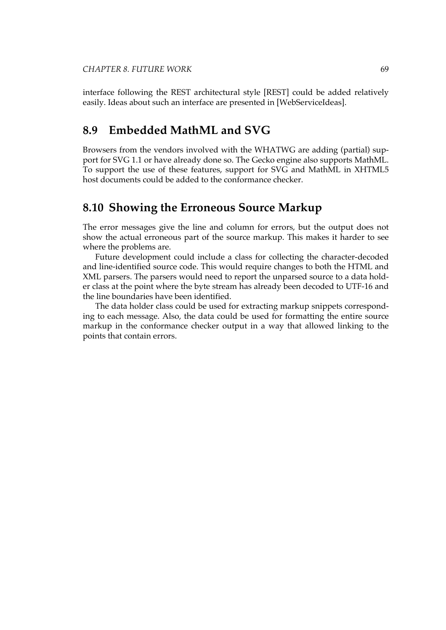interface following the REST architectural style [\[REST\]](#page-95-0) could be added relatively easily. Ideas about such an interface are presented in [\[WebServiceIdeas\].](#page-101-0)

### **8.9 Embedded MathML and SVG**

Browsers from the vendors involved with the WHATWG are adding (partial) support for SVG 1.1 or have already done so. The Gecko engine also supports MathML. To support the use of these features, support for SVG and MathML in XHTML5 host documents could be added to the conformance checker.

### **8.10 Showing the Erroneous Source Markup**

The error messages give the line and column for errors, but the output does not show the actual erroneous part of the source markup. This makes it harder to see where the problems are.

Future development could include a class for collecting the character-decoded and line-identified source code. This would require changes to both the HTML and XML parsers. The parsers would need to report the unparsed source to a data holder class at the point where the byte stream has already been decoded to UTF-16 and the line boundaries have been identified.

The data holder class could be used for extracting markup snippets corresponding to each message. Also, the data could be used for formatting the entire source markup in the conformance checker output in a way that allowed linking to the points that contain errors.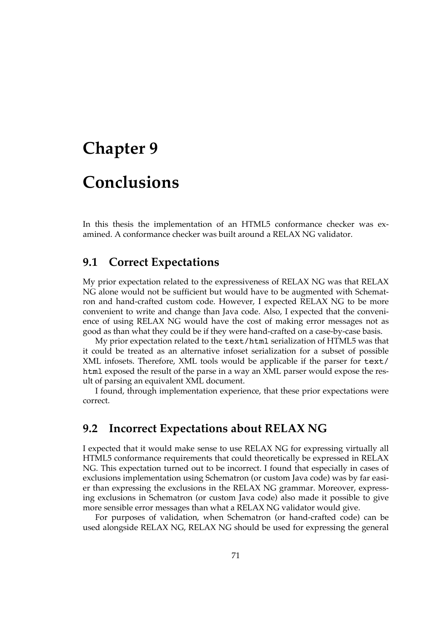# **Chapter 9 Conclusions**

In this thesis the implementation of an HTML5 conformance checker was examined. A conformance checker was built around a RELAX NG validator.

### **9.1 Correct Expectations**

My prior expectation related to the expressiveness of RELAX NG was that RELAX NG alone would not be sufficient but would have to be augmented with Schematron and hand-crafted custom code. However, I expected RELAX NG to be more convenient to write and change than Java code. Also, I expected that the convenience of using RELAX NG would have the cost of making error messages not as good as than what they could be if they were hand-crafted on a case-by-case basis.

My prior expectation related to the text/html serialization of HTML5 was that it could be treated as an alternative infoset serialization for a subset of possible XML infosets. Therefore, XML tools would be applicable if the parser for text/ html exposed the result of the parse in a way an XML parser would expose the result of parsing an equivalent XML document.

I found, through implementation experience, that these prior expectations were correct.

### **9.2 Incorrect Expectations about RELAX NG**

I expected that it would make sense to use RELAX NG for expressing virtually all HTML5 conformance requirements that could theoretically be expressed in RELAX NG. This expectation turned out to be incorrect. I found that especially in cases of exclusions implementation using Schematron (or custom Java code) was by far easier than expressing the exclusions in the RELAX NG grammar. Moreover, expressing exclusions in Schematron (or custom Java code) also made it possible to give more sensible error messages than what a RELAX NG validator would give.

For purposes of validation, when Schematron (or hand-crafted code) can be used alongside RELAX NG, RELAX NG should be used for expressing the general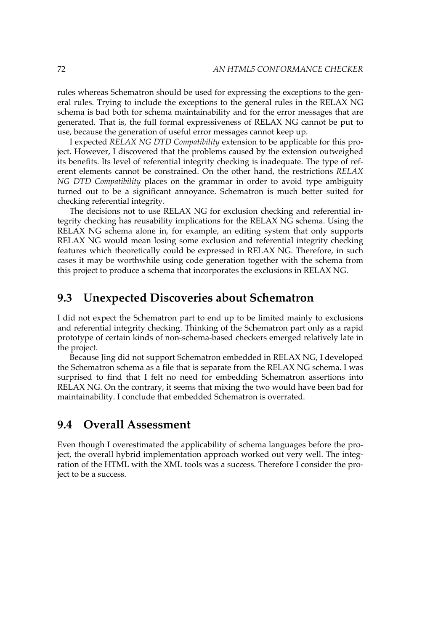rules whereas Schematron should be used for expressing the exceptions to the general rules. Trying to include the exceptions to the general rules in the RELAX NG schema is bad both for schema maintainability and for the error messages that are generated. That is, the full formal expressiveness of RELAX NG cannot be put to use, because the generation of useful error messages cannot keep up.

I expected *RELAX NG DTD Compatibility* extension to be applicable for this project. However, I discovered that the problems caused by the extension outweighed its benefits. Its level of referential integrity checking is inadequate. The type of referent elements cannot be constrained. On the other hand, the restrictions *RELAX NG DTD Compatibility* places on the grammar in order to avoid type ambiguity turned out to be a significant annoyance. Schematron is much better suited for checking referential integrity.

The decisions not to use RELAX NG for exclusion checking and referential integrity checking has reusability implications for the RELAX NG schema. Using the RELAX NG schema alone in, for example, an editing system that only supports RELAX NG would mean losing some exclusion and referential integrity checking features which theoretically could be expressed in RELAX NG. Therefore, in such cases it may be worthwhile using code generation together with the schema from this project to produce a schema that incorporates the exclusions in RELAX NG.

### **9.3 Unexpected Discoveries about Schematron**

I did not expect the Schematron part to end up to be limited mainly to exclusions and referential integrity checking. Thinking of the Schematron part only as a rapid prototype of certain kinds of non-schema-based checkers emerged relatively late in the project.

Because Jing did not support Schematron embedded in RELAX NG, I developed the Schematron schema as a file that is separate from the RELAX NG schema. I was surprised to find that I felt no need for embedding Schematron assertions into RELAX NG. On the contrary, it seems that mixing the two would have been bad for maintainability. I conclude that embedded Schematron is overrated.

### **9.4 Overall Assessment**

Even though I overestimated the applicability of schema languages before the project, the overall hybrid implementation approach worked out very well. The integration of the HTML with the XML tools was a success. Therefore I consider the project to be a success.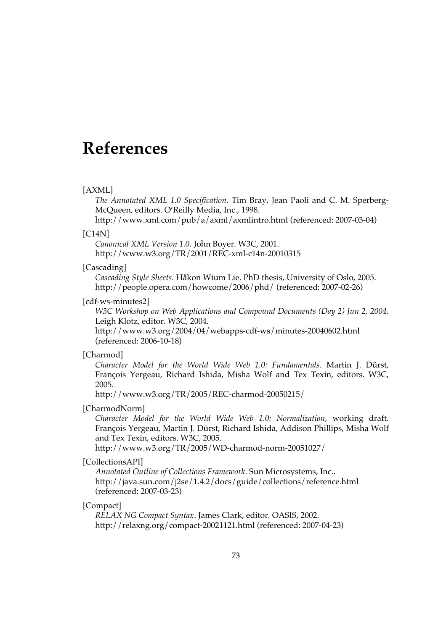# <span id="page-86-0"></span>**References**

#### [AXML]

*The Annotated XML 1.0 [Specification](http://www.xml.com/pub/a/axml/axmlintro.html)*. Tim Bray, Jean Paoli and C. M. Sperberg-McQueen, editors. O'Reilly Media, Inc., 1998.

<http://www.xml.com/pub/a/axml/axmlintro.html> (referenced: 2007-03-04)

#### [C14N]

*[Canonical XML Version 1.0](http://www.w3.org/TR/2001/REC-xml-c14n-20010315)*. John Boyer. W3C, 2001. <http://www.w3.org/TR/2001/REC-xml-c14n-20010315>

#### [Cascading]

*[Cascading Style Sheets](http://people.opera.com/howcome/2006/phd/)*. Håkon Wium Lie. PhD thesis, University of Oslo, 2005. <http://people.opera.com/howcome/2006/phd/> (referenced: 2007-02-26)

#### [cdf-ws-minutes2]

*W3C Workshop on Web [Applications](http://www.w3.org/2004/04/webapps-cdf-ws/minutes-20040602.html) and Compound Documents (Day 2) Jun 2, 2004*. Leigh Klotz, editor. W3C, 2004.

<http://www.w3.org/2004/04/webapps-cdf-ws/minutes-20040602.html> (referenced: 2006-10-18)

#### [Charmod]

*Character Model for the World Wide Web 1.0: [Fundamentals](http://www.w3.org/TR/2005/REC-charmod-20050215/)*. Martin J. Dürst, François Yergeau, Richard Ishida, Misha Wolf and Tex Texin, editors. W3C, 2005.

<http://www.w3.org/TR/2005/REC-charmod-20050215/>

#### [CharmodNorm]

*Character Model for the World Wide Web 1.0: [Normalization](http://www.w3.org/TR/2005/WD-charmod-norm-20051027/)*, working draft. François Yergeau, Martin J. Dürst, Richard Ishida, Addison Phillips, Misha Wolf and Tex Texin, editors. W3C, 2005.

<http://www.w3.org/TR/2005/WD-charmod-norm-20051027/>

#### [CollectionsAPI]

*[Annotated Outline of Collections Framework](http://java.sun.com/j2se/1.4.2/docs/guide/collections/reference.html)*. Sun Microsystems, Inc.. <http://java.sun.com/j2se/1.4.2/docs/guide/collections/reference.html> (referenced: 2007-03-23)

#### [Compact]

*[RELAX NG Compact Syntax](http://relaxng.org/compact-20021121.html)*. James Clark, editor. OASIS, 2002. <http://relaxng.org/compact-20021121.html> (referenced: 2007-04-23)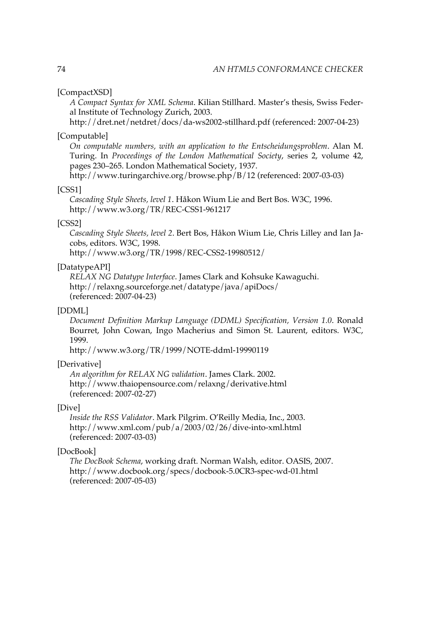#### [CompactXSD]

*A [Compact](http://dret.net/netdret/docs/da-ws2002-stillhard.pdf) Syntax for XML Schema*. Kilian Stillhard. Master's thesis, Swiss Federal Institute of Technology Zurich, 2003.

<http://dret.net/netdret/docs/da-ws2002-stillhard.pdf> (referenced: 2007-04-23)

#### [Computable]

*On computable numbers, with an application to the [Entscheidungsproblem](http://www.turingarchive.org/browse.php/B/12)*. Alan M. Turing. In *Proceedings of the London Mathematical Society*, series 2, volume 42, pages 230–265. London Mathematical Society, 1937.

<http://www.turingarchive.org/browse.php/B/12> (referenced: 2007-03-03)

#### [CSS1]

*[Cascading Style Sheets, level 1](http://www.w3.org/TR/REC-CSS1-961217)*. Håkon Wium Lie and Bert Bos. W3C, 1996. <http://www.w3.org/TR/REC-CSS1-961217>

#### [CSS2]

*[Cascading](http://www.w3.org/TR/1998/REC-CSS2-19980512/) Style Sheets, level 2*. Bert Bos, Håkon Wium Lie, Chris Lilley and Ian Jacobs, editors. W3C, 1998.

<http://www.w3.org/TR/1998/REC-CSS2-19980512/>

#### [DatatypeAPI]

*[RELAX NG Datatype Interface](http://relaxng.sourceforge.net/datatype/java/apiDocs/)*. James Clark and Kohsuke Kawaguchi. <http://relaxng.sourceforge.net/datatype/java/apiDocs/> (referenced: 2007-04-23)

#### [DDML]

*Document Definition Markup Language (DDML) [Specification,](http://www.w3.org/TR/1999/NOTE-ddml-19990119) Version 1.0*. Ronald Bourret, John Cowan, Ingo Macherius and Simon St. Laurent, editors. W3C, 1999.

<http://www.w3.org/TR/1999/NOTE-ddml-19990119>

#### [Derivative]

*[An algorithm for RELAX NG validation](http://www.thaiopensource.com/relaxng/derivative.html)*. James Clark. 2002. <http://www.thaiopensource.com/relaxng/derivative.html> (referenced: 2007-02-27)

#### [Dive]

*[Inside the RSS Validator](http://www.xml.com/pub/a/2003/02/26/dive-into-xml.html)*. Mark Pilgrim. O'Reilly Media, Inc., 2003. <http://www.xml.com/pub/a/2003/02/26/dive-into-xml.html> (referenced: 2007-03-03)

#### [DocBook]

*[The DocBook Schema](http://www.docbook.org/specs/docbook-5.0CR3-spec-wd-01.html)*, working draft. Norman Walsh, editor. OASIS, 2007. <http://www.docbook.org/specs/docbook-5.0CR3-spec-wd-01.html> (referenced: 2007-05-03)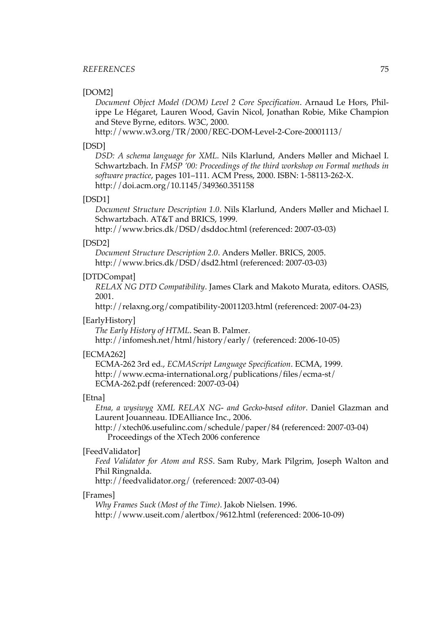#### <span id="page-88-0"></span>*REFERENCES* 75

#### [DOM2]

*Document Object Model (DOM) Level 2 Core [Specification](http://www.w3.org/TR/2000/REC-DOM-Level-2-Core-20001113/)*. Arnaud Le Hors, Philippe Le Hégaret, Lauren Wood, Gavin Nicol, Jonathan Robie, Mike Champion and Steve Byrne, editors. W3C, 2000.

<http://www.w3.org/TR/2000/REC-DOM-Level-2-Core-20001113/>

#### [DSD]

*DSD: A schema [language](http://doi.acm.org/10.1145/349360.351158) for XML*. Nils Klarlund, Anders Møller and Michael I. Schwartzbach. In *FMSP '00: Proceedings of the third workshop on Formal methods in software practice*, pages 101–111. ACM Press, 2000. ISBN: 1-58113-262-X. <http://doi.acm.org/10.1145/349360.351158>

#### [DSD1]

*Document Structure [Description](http://www.brics.dk/DSD/dsddoc.html) 1.0*. Nils Klarlund, Anders Møller and Michael I. Schwartzbach. AT&T and BRICS, 1999.

<http://www.brics.dk/DSD/dsddoc.html> (referenced: 2007-03-03)

#### [DSD2]

*[Document Structure Description 2.0](http://www.brics.dk/DSD/dsd2.html)*. Anders Møller. BRICS, 2005. <http://www.brics.dk/DSD/dsd2.html> (referenced: 2007-03-03)

#### [DTDCompat]

*RELAX NG DTD [Compatibility](http://relaxng.org/compatibility-20011203.html)*. James Clark and Makoto Murata, editors. OASIS, 2001.

<http://relaxng.org/compatibility-20011203.html> (referenced: 2007-04-23)

#### [EarlyHistory]

*[The Early History of HTML](http://infomesh.net/html/history/early/)*. Sean B. Palmer.

<http://infomesh.net/html/history/early/> (referenced: 2006-10-05)

#### [ECMA262]

ECMA-262 3rd ed., *[ECMAScript Language Specification](http://www.ecma-international.org/publications/files/ecma-st/ECMA-262.pdf)*. ECMA, 1999. [http://www.ecma-international.org/publications/files/ecma-st/](http://www.ecma-international.org/publications/files/ecma-st/ECMA-262.pdf) [ECMA-262.pdf](http://www.ecma-international.org/publications/files/ecma-st/ECMA-262.pdf) (referenced: 2007-03-04)

#### [Etna]

*Etna, a wysiwyg XML RELAX NG- and [Gecko-based](http://xtech06.usefulinc.com/schedule/paper/84) editor*. Daniel Glazman and Laurent Jouanneau. IDEAlliance Inc., 2006.

<http://xtech06.usefulinc.com/schedule/paper/84> (referenced: 2007-03-04) Proceedings of the XTech 2006 conference

#### [FeedValidator]

*Feed [Validator](http://feedvalidator.org/) for Atom and RSS*. Sam Ruby, Mark Pilgrim, Joseph Walton and Phil Ringnalda.

<http://feedvalidator.org/> (referenced: 2007-03-04)

#### [Frames]

*[Why Frames Suck \(Most of the Time\)](http://www.useit.com/alertbox/9612.html)*. Jakob Nielsen. 1996. <http://www.useit.com/alertbox/9612.html> (referenced: 2006-10-09)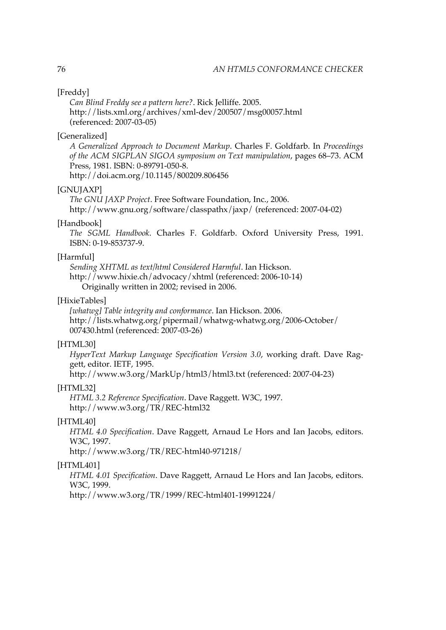#### <span id="page-89-0"></span>[Freddy]

*[Can Blind Freddy see a pattern here?](http://lists.xml.org/archives/xml-dev/200507/msg00057.html)*. Rick Jelliffe. 2005. <http://lists.xml.org/archives/xml-dev/200507/msg00057.html> (referenced: 2007-03-05)

#### [Generalized]

*A [Generalized](http://doi.acm.org/10.1145/800209.806456) Approach to Document Markup*. Charles F. Goldfarb. In *Proceedings of the ACM SIGPLAN SIGOA symposium on Text manipulation*, pages 68–73. ACM Press, 1981. ISBN: 0-89791-050-8. <http://doi.acm.org/10.1145/800209.806456>

#### [GNUJAXP]

*[The GNU JAXP Project](http://www.gnu.org/software/classpathx/jaxp/)*. Free Software Foundation, Inc., 2006. <http://www.gnu.org/software/classpathx/jaxp/> (referenced: 2007-04-02)

#### [Handbook]

*The SGML Handbook*. Charles F. Goldfarb. Oxford University Press, 1991. ISBN: 0-19-853737-9.

#### [Harmful]

*[Sending XHTML as text/html Considered Harmful](http://www.hixie.ch/advocacy/xhtml)*. Ian Hickson. <http://www.hixie.ch/advocacy/xhtml> (referenced: 2006-10-14) Originally written in 2002; revised in 2006.

#### [HixieTables]

*[\[whatwg\] Table integrity and conformance](http://lists.whatwg.org/pipermail/whatwg-whatwg.org/2006-October/007430.html)*. Ian Hickson. 2006. [http://lists.whatwg.org/pipermail/whatwg-whatwg.org/2006-October/](http://lists.whatwg.org/pipermail/whatwg-whatwg.org/2006-October/007430.html) [007430.html](http://lists.whatwg.org/pipermail/whatwg-whatwg.org/2006-October/007430.html) (referenced: 2007-03-26)

#### [HTML30]

*HyperText Markup Language [Specification](http://www.w3.org/MarkUp/html3/html3.txt) Version 3.0*, working draft. Dave Raggett, editor. IETF, 1995.

<http://www.w3.org/MarkUp/html3/html3.txt> (referenced: 2007-04-23)

#### [HTML32]

*[HTML 3.2 Reference Specification](http://www.w3.org/TR/REC-html32)*. Dave Raggett. W3C, 1997. <http://www.w3.org/TR/REC-html32>

#### [HTML40]

*HTML 4.0 [Specification](http://www.w3.org/TR/REC-html40-971218/)*. Dave Raggett, Arnaud Le Hors and Ian Jacobs, editors. W3C, 1997.

<http://www.w3.org/TR/REC-html40-971218/>

#### [HTML401]

*HTML 4.01 [Specification](http://www.w3.org/TR/1999/REC-html401-19991224/)*. Dave Raggett, Arnaud Le Hors and Ian Jacobs, editors. W3C, 1999.

<http://www.w3.org/TR/1999/REC-html401-19991224/>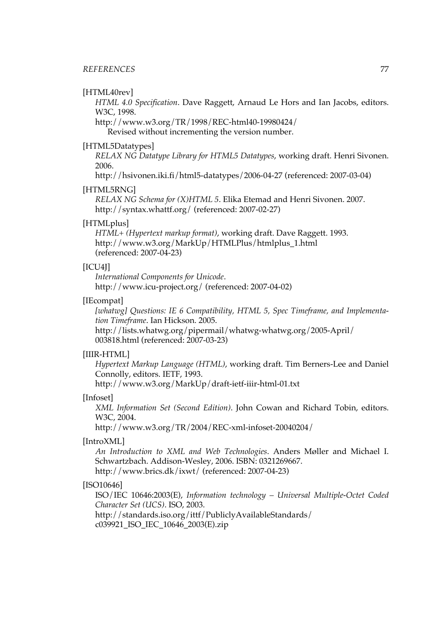#### [HTML40rev]

*HTML 4.0 [Specification](http://www.w3.org/TR/1998/REC-html40-19980424/)*. Dave Raggett, Arnaud Le Hors and Ian Jacobs, editors. W3C, 1998.

<http://www.w3.org/TR/1998/REC-html40-19980424/> Revised without incrementing the version number.

#### [HTML5Datatypes]

*RELAX NG Datatype Library for HTML5 [Datatypes](http://hsivonen.iki.fi/html5-datatypes/2006-04-27)*, working draft. Henri Sivonen. 2006.

<http://hsivonen.iki.fi/html5-datatypes/2006-04-27> (referenced: 2007-03-04)

#### [HTML5RNG]

*[RELAX NG Schema for \(X\)HTML 5](http://syntax.whattf.org/)*. Elika Etemad and Henri Sivonen. 2007. <http://syntax.whattf.org/> (referenced: 2007-02-27)

#### [HTMLplus]

*[HTML+ \(Hypertext markup format\)](http://www.w3.org/MarkUp/HTMLPlus/htmlplus_1.html)*, working draft. Dave Raggett. 1993. [http://www.w3.org/MarkUp/HTMLPlus/htmlplus\\_1.html](http://www.w3.org/MarkUp/HTMLPlus/htmlplus_1.html) (referenced: 2007-04-23)

#### [ICU4J]

*[International Components for Unicode](http://www.icu-project.org/)*. <http://www.icu-project.org/> (referenced: 2007-04-02)

#### [IEcompat]

*[whatwg] Questions: IE 6 [Compatibility,](http://lists.whatwg.org/pipermail/whatwg-whatwg.org/2005-April/003818.html) HTML 5, Spec Timeframe, and Implementa[tion Timeframe](http://lists.whatwg.org/pipermail/whatwg-whatwg.org/2005-April/003818.html)*. Ian Hickson. 2005. [http://lists.whatwg.org/pipermail/whatwg-whatwg.org/2005-April/](http://lists.whatwg.org/pipermail/whatwg-whatwg.org/2005-April/003818.html)

[003818.html](http://lists.whatwg.org/pipermail/whatwg-whatwg.org/2005-April/003818.html) (referenced: 2007-03-23)

#### [IIIR-HTML]

*[Hypertext](http://www.w3.org/MarkUp/draft-ietf-iiir-html-01.txt) Markup Language (HTML)*, working draft. Tim Berners-Lee and Daniel Connolly, editors. IETF, 1993.

<http://www.w3.org/MarkUp/draft-ietf-iiir-html-01.txt>

#### [Infoset]

*XML [Information](http://www.w3.org/TR/2004/REC-xml-infoset-20040204/) Set (Second Edition)*. John Cowan and Richard Tobin, editors. W3C, 2004.

<http://www.w3.org/TR/2004/REC-xml-infoset-20040204/>

#### [IntroXML]

*An Introduction to XML and Web [Technologies](http://www.brics.dk/ixwt/)*. Anders Møller and Michael I. Schwartzbach. Addison-Wesley, 2006. ISBN: 0321269667.

<http://www.brics.dk/ixwt/> (referenced: 2007-04-23)

#### [ISO10646]

ISO/IEC 10646:2003(E), *Information technology – Universal [Multiple-Octet](http://standards.iso.org/ittf/PubliclyAvailableStandards/c039921_ISO_IEC_10646_2003(E).zip) Coded [Character Set \(UCS\)](http://standards.iso.org/ittf/PubliclyAvailableStandards/c039921_ISO_IEC_10646_2003(E).zip)*. ISO, 2003.

[http://standards.iso.org/ittf/PubliclyAvailableStandards/](http://standards.iso.org/ittf/PubliclyAvailableStandards/c039921_ISO_IEC_10646_2003(E).zip) [c039921\\_ISO\\_IEC\\_10646\\_2003\(E\).zip](http://standards.iso.org/ittf/PubliclyAvailableStandards/c039921_ISO_IEC_10646_2003(E).zip)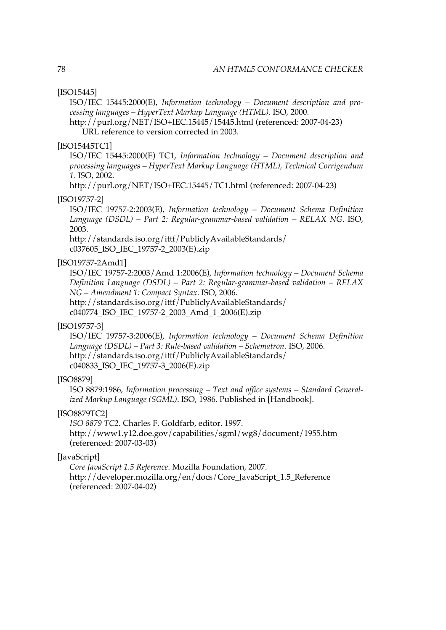[ISO15445]

ISO/IEC 15445:2000(E), *[Information](http://purl.org/NET/ISO+IEC.15445/15445.html) technology – Document description and pro[cessing languages – HyperText Markup Language \(HTML\)](http://purl.org/NET/ISO+IEC.15445/15445.html)*. ISO, 2000.

<http://purl.org/NET/ISO+IEC.15445/15445.html> (referenced: 2007-04-23) URL reference to version corrected in 2003.

#### [ISO15445TC1]

ISO/IEC 15445:2000(E) TC1, *[Information](http://purl.org/NET/ISO+IEC.15445/TC1.html) technology – Document description and processing languages – HyperText Markup Language (HTML), Technical [Corrigendum](http://purl.org/NET/ISO+IEC.15445/TC1.html) [1](http://purl.org/NET/ISO+IEC.15445/TC1.html)*. ISO, 2002.

<http://purl.org/NET/ISO+IEC.15445/TC1.html> (referenced: 2007-04-23)

#### [ISO19757-2]

ISO/IEC 19757-2:2003(E), *[Information](http://standards.iso.org/ittf/PubliclyAvailableStandards/c037605_ISO_IEC_19757-2_2003(E).zip) technology – Document Schema Definition Language (DSDL) – Part 2: [Regular-grammar-based](http://standards.iso.org/ittf/PubliclyAvailableStandards/c037605_ISO_IEC_19757-2_2003(E).zip) validation – RELAX NG*. ISO, 2003.

[http://standards.iso.org/ittf/PubliclyAvailableStandards/](http://standards.iso.org/ittf/PubliclyAvailableStandards/c037605_ISO_IEC_19757-2_2003(E).zip) [c037605\\_ISO\\_IEC\\_19757-2\\_2003\(E\).zip](http://standards.iso.org/ittf/PubliclyAvailableStandards/c037605_ISO_IEC_19757-2_2003(E).zip)

#### [ISO19757-2Amd1]

ISO/IEC 19757-2:2003/Amd 1:2006(E), *[Information](http://standards.iso.org/ittf/PubliclyAvailableStandards/c040774_ISO_IEC_19757-2_2003_Amd_1_2006(E).zip) technology – Document Schema Definition Language (DSDL) – Part 2: [Regular-grammar-based](http://standards.iso.org/ittf/PubliclyAvailableStandards/c040774_ISO_IEC_19757-2_2003_Amd_1_2006(E).zip) validation – RELAX [NG – Amendment 1: Compact Syntax](http://standards.iso.org/ittf/PubliclyAvailableStandards/c040774_ISO_IEC_19757-2_2003_Amd_1_2006(E).zip)*. ISO, 2006. [http://standards.iso.org/ittf/PubliclyAvailableStandards/](http://standards.iso.org/ittf/PubliclyAvailableStandards/c040774_ISO_IEC_19757-2_2003_Amd_1_2006(E).zip)

[c040774\\_ISO\\_IEC\\_19757-2\\_2003\\_Amd\\_1\\_2006\(E\).zip](http://standards.iso.org/ittf/PubliclyAvailableStandards/c040774_ISO_IEC_19757-2_2003_Amd_1_2006(E).zip)

#### [ISO19757-3]

ISO/IEC 19757-3:2006(E), *[Information](http://standards.iso.org/ittf/PubliclyAvailableStandards/c040833_ISO_IEC_19757-3_2006(E).zip) technology – Document Schema Definition [Language \(DSDL\) – Part 3: Rule-based validation – Schematron](http://standards.iso.org/ittf/PubliclyAvailableStandards/c040833_ISO_IEC_19757-3_2006(E).zip)*. ISO, 2006. [http://standards.iso.org/ittf/PubliclyAvailableStandards/](http://standards.iso.org/ittf/PubliclyAvailableStandards/c040833_ISO_IEC_19757-3_2006(E).zip) [c040833\\_ISO\\_IEC\\_19757-3\\_2006\(E\).zip](http://standards.iso.org/ittf/PubliclyAvailableStandards/c040833_ISO_IEC_19757-3_2006(E).zip)

#### [ISO8879]

ISO 8879:1986, *Information processing – Text and office systems – Standard Generalized Markup Language (SGML)*. ISO, 1986. Published in [\[Handbook\]](#page-89-0).

#### [ISO8879TC2]

*[ISO 8879 TC2](http://www1.y12.doe.gov/capabilities/sgml/wg8/document/1955.htm)*. Charles F. Goldfarb, editor. 1997. <http://www1.y12.doe.gov/capabilities/sgml/wg8/document/1955.htm> (referenced: 2007-03-03)

#### [JavaScript]

*[Core JavaScript 1.5 Reference](http://developer.mozilla.org/en/docs/Core_JavaScript_1.5_Reference)*. Mozilla Foundation, 2007. [http://developer.mozilla.org/en/docs/Core\\_JavaScript\\_1.5\\_Reference](http://developer.mozilla.org/en/docs/Core_JavaScript_1.5_Reference) (referenced: 2007-04-02)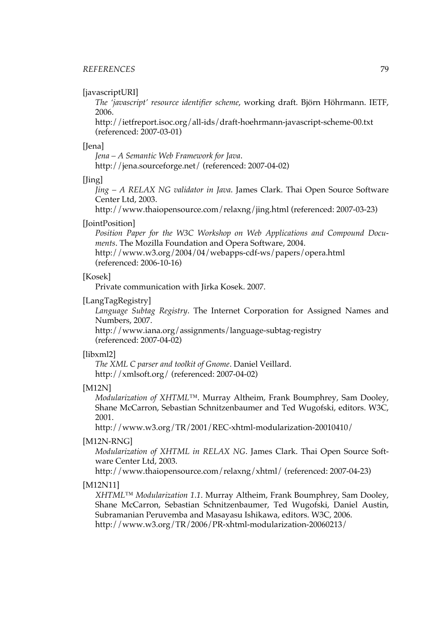#### [javascriptURI]

*The ['javascript'](http://ietfreport.isoc.org/all-ids/draft-hoehrmann-javascript-scheme-00.txt) resource identifier scheme*, working draft. Björn Höhrmann. IETF, 2006.

<http://ietfreport.isoc.org/all-ids/draft-hoehrmann-javascript-scheme-00.txt> (referenced: 2007-03-01)

#### [Jena]

*[Jena – A Semantic Web Framework for Java](http://jena.sourceforge.net/)*. <http://jena.sourceforge.net/> (referenced: 2007-04-02)

#### [Jing]

*Jing – A RELAX NG [validator](http://www.thaiopensource.com/relaxng/jing.html) in Java*. James Clark. Thai Open Source Software Center Ltd, 2003.

<http://www.thaiopensource.com/relaxng/jing.html> (referenced: 2007-03-23)

#### [JointPosition]

*Position Paper for the W3C Workshop on Web [Applications](http://www.w3.org/2004/04/webapps-cdf-ws/papers/opera.html) and Compound Docu[ments](http://www.w3.org/2004/04/webapps-cdf-ws/papers/opera.html)*. The Mozilla Foundation and Opera Software, 2004.

<http://www.w3.org/2004/04/webapps-cdf-ws/papers/opera.html> (referenced: 2006-10-16)

#### [Kosek]

Private communication with Jirka Kosek. 2007.

#### [LangTagRegistry]

*[Language](http://www.iana.org/assignments/language-subtag-registry) Subtag Registry*. The Internet Corporation for Assigned Names and Numbers, 2007.

<http://www.iana.org/assignments/language-subtag-registry> (referenced: 2007-04-02)

#### [libxml2]

*[The XML C parser and toolkit of Gnome](http://xmlsoft.org/)*. Daniel Veillard. <http://xmlsoft.org/> (referenced: 2007-04-02)

#### [M12N]

*[Modularization](http://www.w3.org/TR/2001/REC-xhtml-modularization-20010410/) of XHTML™*. Murray Altheim, Frank Boumphrey, Sam Dooley, Shane McCarron, Sebastian Schnitzenbaumer and Ted Wugofski, editors. W3C, 2001.

<http://www.w3.org/TR/2001/REC-xhtml-modularization-20010410/>

#### [M12N-RNG]

*[Modularization](http://www.thaiopensource.com/relaxng/xhtml/) of XHTML in RELAX NG*. James Clark. Thai Open Source Software Center Ltd, 2003.

<http://www.thaiopensource.com/relaxng/xhtml/> (referenced: 2007-04-23)

#### [M12N11]

*XHTML™ [Modularization](http://www.w3.org/TR/2006/PR-xhtml-modularization-20060213/) 1.1*. Murray Altheim, Frank Boumphrey, Sam Dooley, Shane McCarron, Sebastian Schnitzenbaumer, Ted Wugofski, Daniel Austin, Subramanian Peruvemba and Masayasu Ishikawa, editors. W3C, 2006. <http://www.w3.org/TR/2006/PR-xhtml-modularization-20060213/>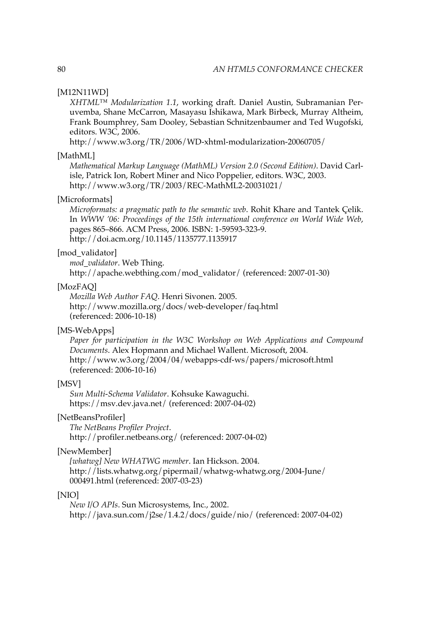#### <span id="page-93-0"></span>[M12N11WD]

*XHTML™ [Modularization](http://www.w3.org/TR/2006/WD-xhtml-modularization-20060705/) 1.1*, working draft. Daniel Austin, Subramanian Peruvemba, Shane McCarron, Masayasu Ishikawa, Mark Birbeck, Murray Altheim, Frank Boumphrey, Sam Dooley, Sebastian Schnitzenbaumer and Ted Wugofski, editors. W3C, 2006.

<http://www.w3.org/TR/2006/WD-xhtml-modularization-20060705/>

#### [MathML]

*[Mathematical](http://www.w3.org/TR/2003/REC-MathML2-20031021/) Markup Language (MathML) Version 2.0 (Second Edition)*. David Carlisle, Patrick Ion, Robert Miner and Nico Poppelier, editors. W3C, 2003. <http://www.w3.org/TR/2003/REC-MathML2-20031021/>

#### [Microformats]

*[Microformats:](http://doi.acm.org/10.1145/1135777.1135917) a pragmatic path to the semantic web*. Rohit Khare and Tantek Çelik. In *WWW '06: Proceedings of the 15th international conference on World Wide Web*, pages 865–866. ACM Press, 2006. ISBN: 1-59593-323-9. <http://doi.acm.org/10.1145/1135777.1135917>

#### [mod\_validator]

*[mod\\_validator](http://apache.webthing.com/mod_validator/)*. Web Thing.

[http://apache.webthing.com/mod\\_validator/](http://apache.webthing.com/mod_validator/) (referenced: 2007-01-30)

#### [MozFAQ]

*[Mozilla Web Author FAQ](http://www.mozilla.org/docs/web-developer/faq.html)*. Henri Sivonen. 2005. <http://www.mozilla.org/docs/web-developer/faq.html> (referenced: 2006-10-18)

#### [MS-WebApps]

*Paper for [participation](http://www.w3.org/2004/04/webapps-cdf-ws/papers/microsoft.html) in the W3C Workshop on Web Applications and Compound [Documents](http://www.w3.org/2004/04/webapps-cdf-ws/papers/microsoft.html)*. Alex Hopmann and Michael Wallent. Microsoft, 2004. <http://www.w3.org/2004/04/webapps-cdf-ws/papers/microsoft.html> (referenced: 2006-10-16)

#### [MSV]

*[Sun Multi-Schema Validator](https://msv.dev.java.net/)*. Kohsuke Kawaguchi. <https://msv.dev.java.net/> (referenced: 2007-04-02)

#### [NetBeansProfiler]

*[The NetBeans Profiler Project](http://profiler.netbeans.org/)*. <http://profiler.netbeans.org/> (referenced: 2007-04-02)

#### [NewMember]

*[\[whatwg\] New WHATWG member](http://lists.whatwg.org/pipermail/whatwg-whatwg.org/2004-June/000491.html)*. Ian Hickson. 2004. [http://lists.whatwg.org/pipermail/whatwg-whatwg.org/2004-June/](http://lists.whatwg.org/pipermail/whatwg-whatwg.org/2004-June/000491.html) [000491.html](http://lists.whatwg.org/pipermail/whatwg-whatwg.org/2004-June/000491.html) (referenced: 2007-03-23)

#### [NIO]

*[New I/O APIs](http://java.sun.com/j2se/1.4.2/docs/guide/nio/)*. Sun Microsystems, Inc., 2002. <http://java.sun.com/j2se/1.4.2/docs/guide/nio/> (referenced: 2007-04-02)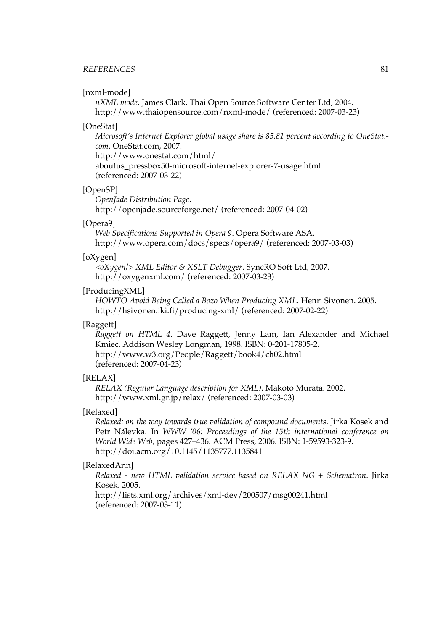#### <span id="page-94-0"></span>*REFERENCES* 81

#### [nxml-mode]

*[nXML mode](http://www.thaiopensource.com/nxml-mode/)*. James Clark. Thai Open Source Software Center Ltd, 2004. <http://www.thaiopensource.com/nxml-mode/> (referenced: 2007-03-23)

#### [OneStat]

*[Microsoft's](http://www.onestat.com/html/aboutus_pressbox50-microsoft-internet-explorer-7-usage.html) Internet Explorer global usage share is 85.81 percent according to OneStat. [com](http://www.onestat.com/html/aboutus_pressbox50-microsoft-internet-explorer-7-usage.html)*. OneStat.com, 2007.

[http://www.onestat.com/html/](http://www.onestat.com/html/aboutus_pressbox50-microsoft-internet-explorer-7-usage.html)

[aboutus\\_pressbox50-microsoft-internet-explorer-7-usage.html](http://www.onestat.com/html/aboutus_pressbox50-microsoft-internet-explorer-7-usage.html) (referenced: 2007-03-22)

#### [OpenSP]

*[OpenJade Distribution Page](http://openjade.sourceforge.net/)*. <http://openjade.sourceforge.net/> (referenced: 2007-04-02)

#### [Opera9]

*[Web Specifications Supported in Opera 9](http://www.opera.com/docs/specs/opera9/)*. Opera Software ASA. <http://www.opera.com/docs/specs/opera9/> (referenced: 2007-03-03)

#### [oXygen]

*[<oXygen/> XML Editor & XSLT Debugger](http://oxygenxml.com/)*. SyncRO Soft Ltd, 2007. <http://oxygenxml.com/> (referenced: 2007-03-23)

#### [ProducingXML]

*[HOWTO Avoid Being Called a Bozo When Producing XML](http://hsivonen.iki.fi/producing-xml/)*. Henri Sivonen. 2005. <http://hsivonen.iki.fi/producing-xml/> (referenced: 2007-02-22)

#### [Raggett]

*[Raggett](http://www.w3.org/People/Raggett/book4/ch02.html) on HTML 4*. Dave Raggett, Jenny Lam, Ian Alexander and Michael Kmiec. Addison Wesley Longman, 1998. ISBN: 0-201-17805-2. <http://www.w3.org/People/Raggett/book4/ch02.html> (referenced: 2007-04-23)

#### [RELAX]

*[RELAX \(Regular Language description for XML\)](http://www.xml.gr.jp/relax/)*. Makoto Murata. 2002. <http://www.xml.gr.jp/relax/> (referenced: 2007-03-03)

#### [Relaxed]

*Relaxed: on the way towards true validation of compound [documents](http://doi.acm.org/10.1145/1135777.1135841)*. Jirka Kosek and Petr Nálevka. In *WWW '06: Proceedings of the 15th international conference on World Wide Web*, pages 427–436. ACM Press, 2006. ISBN: 1-59593-323-9. <http://doi.acm.org/10.1145/1135777.1135841>

#### [RelaxedAnn]

*Relaxed - new HTML validation service based on RELAX NG + [Schematron](http://lists.xml.org/archives/xml-dev/200507/msg00241.html)*. Jirka Kosek. 2005.

<http://lists.xml.org/archives/xml-dev/200507/msg00241.html> (referenced: 2007-03-11)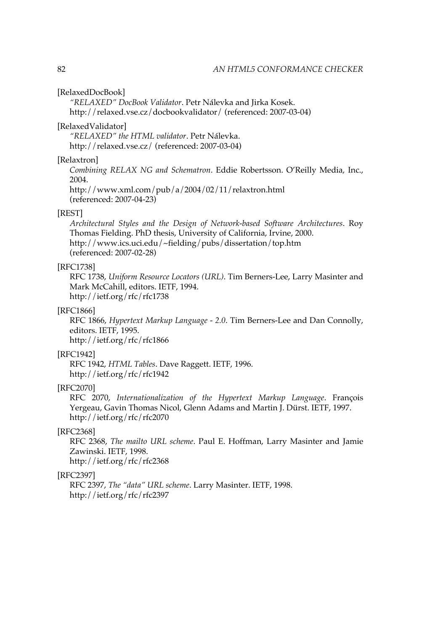#### <span id="page-95-0"></span>[RelaxedDocBook]

*["RELAXED" DocBook Validator](http://relaxed.vse.cz/docbookvalidator/)*. Petr Nálevka and Jirka Kosek. <http://relaxed.vse.cz/docbookvalidator/> (referenced: 2007-03-04)

#### [RelaxedValidator]

*["RELAXED" the HTML validator](http://relaxed.vse.cz/)*. Petr Nálevka. <http://relaxed.vse.cz/> (referenced: 2007-03-04)

#### [Relaxtron]

*Combining RELAX NG and [Schematron](http://www.xml.com/pub/a/2004/02/11/relaxtron.html)*. Eddie Robertsson. O'Reilly Media, Inc., 2004.

<http://www.xml.com/pub/a/2004/02/11/relaxtron.html> (referenced: 2007-04-23)

#### [REST]

*Architectural Styles and the Design of [Network-based](http://www.ics.uci.edu/~fielding/pubs/dissertation/top.htm) Software Architectures*. Roy Thomas Fielding. PhD thesis, University of California, Irvine, 2000. <http://www.ics.uci.edu/~fielding/pubs/dissertation/top.htm> (referenced: 2007-02-28)

#### [RFC1738]

RFC 1738, *Uniform [Resource](http://ietf.org/rfc/rfc1738) Locators (URL)*. Tim Berners-Lee, Larry Masinter and Mark McCahill, editors. IETF, 1994. <http://ietf.org/rfc/rfc1738>

#### [RFC1866]

RFC 1866, *[Hypertext](http://ietf.org/rfc/rfc1866) Markup Language - 2.0*. Tim Berners-Lee and Dan Connolly, editors. IETF, 1995. <http://ietf.org/rfc/rfc1866>

#### [RFC1942]

RFC 1942, *[HTML Tables](http://ietf.org/rfc/rfc1942)*. Dave Raggett. IETF, 1996. <http://ietf.org/rfc/rfc1942>

#### [RFC2070]

RFC 2070, *[Internationalization](http://ietf.org/rfc/rfc2070) of the Hypertext Markup Language*. François Yergeau, Gavin Thomas Nicol, Glenn Adams and Martin J. Dürst. IETF, 1997. <http://ietf.org/rfc/rfc2070>

#### [RFC2368]

RFC 2368, *The mailto URL [scheme](http://ietf.org/rfc/rfc2368)*. Paul E. Hoffman, Larry Masinter and Jamie Zawinski. IETF, 1998. <http://ietf.org/rfc/rfc2368>

#### [RFC2397]

RFC 2397, *[The "data" URL scheme](http://ietf.org/rfc/rfc2397)*. Larry Masinter. IETF, 1998. <http://ietf.org/rfc/rfc2397>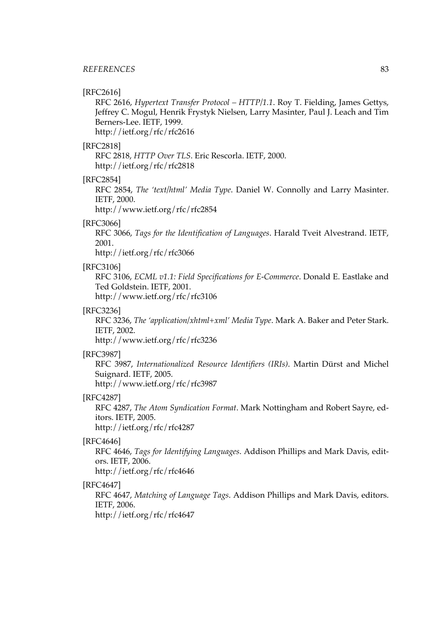#### <span id="page-96-0"></span>[RFC2616]

RFC 2616, *Hypertext Transfer Protocol – [HTTP/1.1](http://ietf.org/rfc/rfc2616)*. Roy T. Fielding, James Gettys, Jeffrey C. Mogul, Henrik Frystyk Nielsen, Larry Masinter, Paul J. Leach and Tim Berners-Lee. IETF, 1999.

<http://ietf.org/rfc/rfc2616>

#### [RFC2818]

RFC 2818, *[HTTP Over TLS](http://ietf.org/rfc/rfc2818)*. Eric Rescorla. IETF, 2000. <http://ietf.org/rfc/rfc2818>

#### [RFC2854]

RFC 2854, *The ['text/html'](http://www.ietf.org/rfc/rfc2854) Media Type*. Daniel W. Connolly and Larry Masinter. IETF, 2000.

<http://www.ietf.org/rfc/rfc2854>

#### [RFC3066]

RFC 3066, *Tags for the [Identification](http://ietf.org/rfc/rfc3066) of Languages*. Harald Tveit Alvestrand. IETF, 2001.

<http://ietf.org/rfc/rfc3066>

#### [RFC3106]

RFC 3106, *ECML v1.1: Field [Specifications](http://www.ietf.org/rfc/rfc3106) for E-Commerce*. Donald E. Eastlake and Ted Goldstein. IETF, 2001.

<http://www.ietf.org/rfc/rfc3106>

#### [RFC3236]

RFC 3236, *The ['application/xhtml+xml'](http://www.ietf.org/rfc/rfc3236) Media Type*. Mark A. Baker and Peter Stark. IETF, 2002.

<http://www.ietf.org/rfc/rfc3236>

#### [RFC3987]

RFC 3987, *[Internationalized](http://www.ietf.org/rfc/rfc3987) Resource Identifiers (IRIs)*. Martin Dürst and Michel Suignard. IETF, 2005. <http://www.ietf.org/rfc/rfc3987>

#### [RFC4287]

RFC 4287, *The Atom [Syndication](http://ietf.org/rfc/rfc4287) Format*. Mark Nottingham and Robert Sayre, editors. IETF, 2005.

<http://ietf.org/rfc/rfc4287>

#### [RFC4646]

RFC 4646, *Tags for [Identifying](http://ietf.org/rfc/rfc4646) Languages*. Addison Phillips and Mark Davis, editors. IETF, 2006.

<http://ietf.org/rfc/rfc4646>

#### [RFC4647]

RFC 4647, *[Matching](http://ietf.org/rfc/rfc4647) of Language Tags*. Addison Phillips and Mark Davis, editors. IETF, 2006.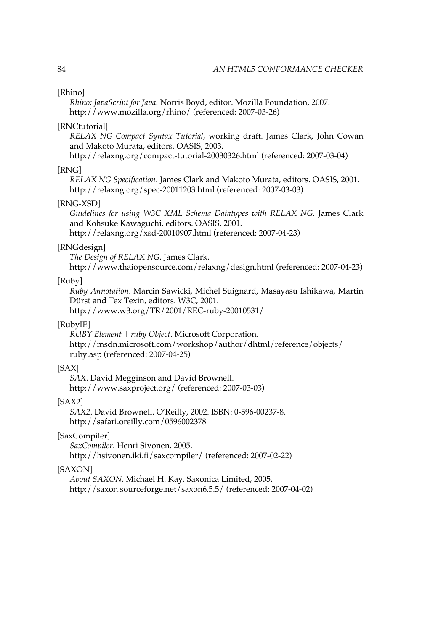#### [Rhino]

*[Rhino: JavaScript for Java](http://www.mozilla.org/rhino/)*. Norris Boyd, editor. Mozilla Foundation, 2007. <http://www.mozilla.org/rhino/> (referenced: 2007-03-26)

#### [RNCtutorial]

*RELAX NG [Compact](http://relaxng.org/compact-tutorial-20030326.html) Syntax Tutorial*, working draft. James Clark, John Cowan and Makoto Murata, editors. OASIS, 2003.

<http://relaxng.org/compact-tutorial-20030326.html> (referenced: 2007-03-04)

#### [RNG]

*[RELAX NG Specification](http://relaxng.org/spec-20011203.html)*. James Clark and Makoto Murata, editors. OASIS, 2001. <http://relaxng.org/spec-20011203.html> (referenced: 2007-03-03)

#### [RNG-XSD]

*[Guidelines](http://relaxng.org/xsd-20010907.html) for using W3C XML Schema Datatypes with RELAX NG*. James Clark and Kohsuke Kawaguchi, editors. OASIS, 2001.

<http://relaxng.org/xsd-20010907.html> (referenced: 2007-04-23)

#### [RNGdesign]

*[The Design of RELAX NG](http://www.thaiopensource.com/relaxng/design.html)*. James Clark.

<http://www.thaiopensource.com/relaxng/design.html> (referenced: 2007-04-23)

#### [Ruby]

*Ruby [Annotation](http://www.w3.org/TR/2001/REC-ruby-20010531/)*. Marcin Sawicki, Michel Suignard, Masayasu Ishikawa, Martin Dürst and Tex Texin, editors. W3C, 2001.

<http://www.w3.org/TR/2001/REC-ruby-20010531/>

#### [RubyIE]

*[RUBY Element | ruby Object](http://msdn.microsoft.com/workshop/author/dhtml/reference/objects/ruby.asp)*. Microsoft Corporation. [http://msdn.microsoft.com/workshop/author/dhtml/reference/objects/](http://msdn.microsoft.com/workshop/author/dhtml/reference/objects/ruby.asp) [ruby.asp](http://msdn.microsoft.com/workshop/author/dhtml/reference/objects/ruby.asp) (referenced: 2007-04-25)

#### [SAX]

*[SAX](http://www.saxproject.org/)*. David Megginson and David Brownell. <http://www.saxproject.org/> (referenced: 2007-03-03)

#### [SAX2]

*[SAX2](http://safari.oreilly.com/0596002378)*. David Brownell. O'Reilly, 2002. ISBN: 0-596-00237-8. <http://safari.oreilly.com/0596002378>

#### [SaxCompiler]

*[SaxCompiler](http://hsivonen.iki.fi/saxcompiler/)*. Henri Sivonen. 2005. <http://hsivonen.iki.fi/saxcompiler/> (referenced: 2007-02-22)

#### [SAXON]

*[About SAXON](http://saxon.sourceforge.net/saxon6.5.5/)*. Michael H. Kay. Saxonica Limited, 2005. <http://saxon.sourceforge.net/saxon6.5.5/> (referenced: 2007-04-02)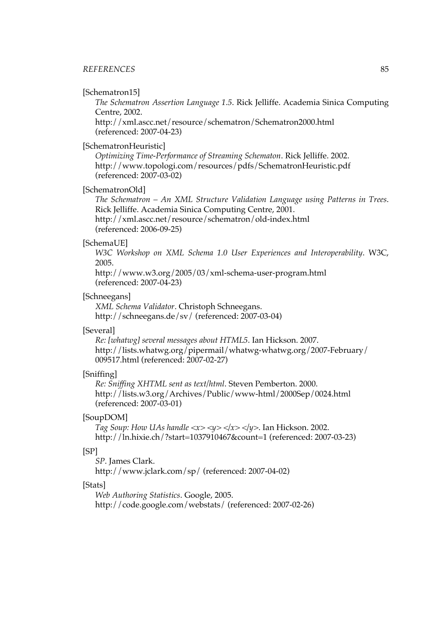#### <span id="page-98-0"></span>*REFERENCES* 85

#### [Schematron15]

*The [Schematron](http://xml.ascc.net/resource/schematron/Schematron2000.html) Assertion Language 1.5*. Rick Jelliffe. Academia Sinica Computing Centre, 2002.

<http://xml.ascc.net/resource/schematron/Schematron2000.html> (referenced: 2007-04-23)

#### [SchematronHeuristic]

*[Optimizing Time-Performance of Streaming Schematon](http://www.topologi.com/resources/pdfs/SchematronHeuristic.pdf)*. Rick Jelliffe. 2002. <http://www.topologi.com/resources/pdfs/SchematronHeuristic.pdf> (referenced: 2007-03-02)

#### [SchematronOld]

*The [Schematron](http://xml.ascc.net/resource/schematron/old-index.html) – An XML Structure Validation Language using Patterns in Trees*. Rick Jelliffe. Academia Sinica Computing Centre, 2001. <http://xml.ascc.net/resource/schematron/old-index.html> (referenced: 2006-09-25)

#### [SchemaUE]

*W3C Workshop on XML Schema 1.0 User Experiences and [Interoperability](http://www.w3.org/2005/03/xml-schema-user-program.html)*. W3C, 2005.

<http://www.w3.org/2005/03/xml-schema-user-program.html> (referenced: 2007-04-23)

#### [Schneegans]

*[XML Schema Validator](http://schneegans.de/sv/)*. Christoph Schneegans. <http://schneegans.de/sv/> (referenced: 2007-03-04)

#### [Several]

*[Re: \[whatwg\] several messages about HTML5](http://lists.whatwg.org/pipermail/whatwg-whatwg.org/2007-February/009517.html)*. Ian Hickson. 2007. [http://lists.whatwg.org/pipermail/whatwg-whatwg.org/2007-February/](http://lists.whatwg.org/pipermail/whatwg-whatwg.org/2007-February/009517.html) [009517.html](http://lists.whatwg.org/pipermail/whatwg-whatwg.org/2007-February/009517.html) (referenced: 2007-02-27)

#### [Sniffing]

*[Re: Sniffing XHTML sent as text/html](http://lists.w3.org/Archives/Public/www-html/2000Sep/0024.html)*. Steven Pemberton. 2000. <http://lists.w3.org/Archives/Public/www-html/2000Sep/0024.html> (referenced: 2007-03-01)

#### [SoupDOM]

*Tag Soup: How UAs handle*  $\langle x \rangle \langle y \rangle \langle x \rangle \langle y \rangle$ . Ian Hickson. 2002. <http://ln.hixie.ch/?start=1037910467&count=1> (referenced: 2007-03-23)

#### [SP]

*[SP](http://www.jclark.com/sp/)*. James Clark. <http://www.jclark.com/sp/> (referenced: 2007-04-02)

#### [Stats]

*[Web Authoring Statistics](http://code.google.com/webstats/)*. Google, 2005.

<http://code.google.com/webstats/> (referenced: 2007-02-26)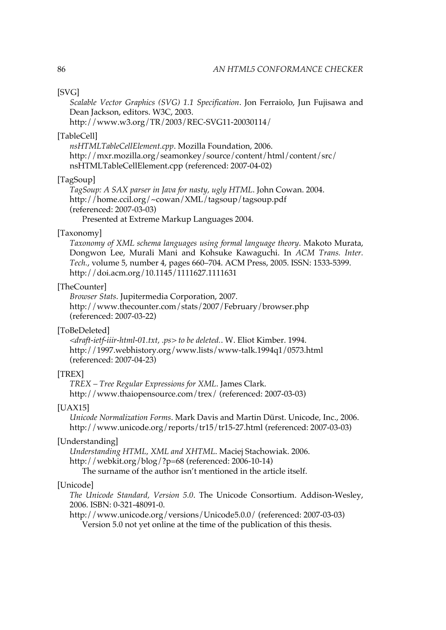#### [SVG]

*Scalable Vector Graphics (SVG) 1.1 [Specification](http://www.w3.org/TR/2003/REC-SVG11-20030114/)*. Jon Ferraiolo, Jun Fujisawa and Dean Jackson, editors. W3C, 2003.

<http://www.w3.org/TR/2003/REC-SVG11-20030114/>

#### [TableCell]

*[nsHTMLTableCellElement.cpp](http://mxr.mozilla.org/seamonkey/source/content/html/content/src/nsHTMLTableCellElement.cpp)*. Mozilla Foundation, 2006. [http://mxr.mozilla.org/seamonkey/source/content/html/content/src/](http://mxr.mozilla.org/seamonkey/source/content/html/content/src/nsHTMLTableCellElement.cpp) [nsHTMLTableCellElement.cpp](http://mxr.mozilla.org/seamonkey/source/content/html/content/src/nsHTMLTableCellElement.cpp) (referenced: 2007-04-02)

#### [TagSoup]

*[TagSoup: A SAX parser in Java for nasty, ugly HTML](http://home.ccil.org/~cowan/XML/tagsoup/tagsoup.pdf)*. John Cowan. 2004. <http://home.ccil.org/~cowan/XML/tagsoup/tagsoup.pdf> (referenced: 2007-03-03)

Presented at Extreme Markup Languages 2004.

#### [Taxonomy]

*[Taxonomy](http://doi.acm.org/10.1145/1111627.1111631) of XML schema languages using formal language theory*. Makoto Murata, Dongwon Lee, Murali Mani and Kohsuke Kawaguchi. In *ACM Trans. Inter. Tech.*, volume 5, number 4, pages 660–704. ACM Press, 2005. ISSN: 1533-5399. <http://doi.acm.org/10.1145/1111627.1111631>

#### [TheCounter]

*[Browser Stats](http://www.thecounter.com/stats/2007/February/browser.php)*. Jupitermedia Corporation, 2007. <http://www.thecounter.com/stats/2007/February/browser.php> (referenced: 2007-03-22)

#### [ToBeDeleted]

*[<draft-ietf-iiir-html-01.txt, .ps> to be deleted.](http://1997.webhistory.org/www.lists/www-talk.1994q1/0573.html)*. W. Eliot Kimber. 1994. <http://1997.webhistory.org/www.lists/www-talk.1994q1/0573.html> (referenced: 2007-04-23)

#### [TREX]

*[TREX – Tree Regular Expressions for XML](http://www.thaiopensource.com/trex/)*. James Clark. <http://www.thaiopensource.com/trex/> (referenced: 2007-03-03)

#### [UAX15]

*[Unicode Normalization Forms](http://www.unicode.org/reports/tr15/tr15-27.html)*. Mark Davis and Martin Dürst. Unicode, Inc., 2006. <http://www.unicode.org/reports/tr15/tr15-27.html> (referenced: 2007-03-03)

#### [Understanding]

*[Understanding HTML, XML and XHTML](http://webkit.org/blog/?p=68)*. Maciej Stachowiak. 2006.

<http://webkit.org/blog/?p=68> (referenced: 2006-10-14)

The surname of the author isn't mentioned in the article itself.

#### [Unicode]

*The Unicode [Standard,](http://www.unicode.org/versions/Unicode5.0.0/) Version 5.0*. The Unicode Consortium. Addison-Wesley, 2006. ISBN: 0-321-48091-0.

<http://www.unicode.org/versions/Unicode5.0.0/> (referenced: 2007-03-03) Version 5.0 not yet online at the time of the publication of this thesis.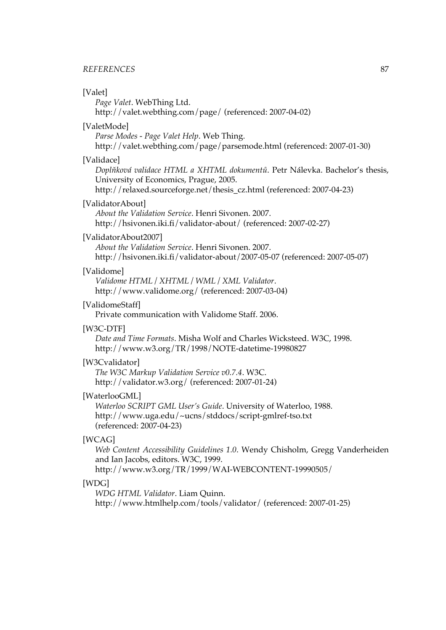#### <span id="page-100-0"></span>*REFERENCES* 87

#### [Valet]

*[Page Valet](http://valet.webthing.com/page/)*. WebThing Ltd.

<http://valet.webthing.com/page/> (referenced: 2007-04-02)

#### [ValetMode]

*[Parse Modes - Page Valet Help](http://valet.webthing.com/page/parsemode.html)*. Web Thing.

<http://valet.webthing.com/page/parsemode.html> (referenced: 2007-01-30)

#### [Validace]

*Doplňková validace HTML a XHTML [dokumentů](http://relaxed.sourceforge.net/thesis_cz.html)*. Petr Nálevka. Bachelor's thesis, University of Economics, Prague, 2005.

[http://relaxed.sourceforge.net/thesis\\_cz.html](http://relaxed.sourceforge.net/thesis_cz.html) (referenced: 2007-04-23)

#### [ValidatorAbout]

*[About the Validation Service](http://hsivonen.iki.fi/validator-about/)*. Henri Sivonen. 2007. <http://hsivonen.iki.fi/validator-about/> (referenced: 2007-02-27)

#### [ValidatorAbout2007]

*[About the Validation Service](http://hsivonen.iki.fi/validator-about/2007-05-07)*. Henri Sivonen. 2007. <http://hsivonen.iki.fi/validator-about/2007-05-07> (referenced: 2007-05-07)

#### [Validome]

*[Validome HTML / XHTML / WML / XML Validator](http://www.validome.org/)*. <http://www.validome.org/> (referenced: 2007-03-04)

#### [ValidomeStaff]

Private communication with Validome Staff. 2006.

#### [W3C-DTF]

*[Date and Time Formats](http://www.w3.org/TR/1998/NOTE-datetime-19980827)*. Misha Wolf and Charles Wicksteed. W3C, 1998. <http://www.w3.org/TR/1998/NOTE-datetime-19980827>

#### [W3Cvalidator]

*[The W3C Markup Validation Service v0.7.4](http://validator.w3.org/)*. W3C. <http://validator.w3.org/> (referenced: 2007-01-24)

#### [WaterlooGML]

*[Waterloo SCRIPT GML User's Guide](http://www.uga.edu/~ucns/stddocs/script-gmlref-tso.txt)*. University of Waterloo, 1988. <http://www.uga.edu/~ucns/stddocs/script-gmlref-tso.txt> (referenced: 2007-04-23)

#### [WCAG]

*Web Content [Accessibility](http://www.w3.org/TR/1999/WAI-WEBCONTENT-19990505/) Guidelines 1.0*. Wendy Chisholm, Gregg Vanderheiden and Ian Jacobs, editors. W3C, 1999.

<http://www.w3.org/TR/1999/WAI-WEBCONTENT-19990505/>

#### [WDG]

*[WDG HTML Validator](http://www.htmlhelp.com/tools/validator/)*. Liam Quinn.

<http://www.htmlhelp.com/tools/validator/> (referenced: 2007-01-25)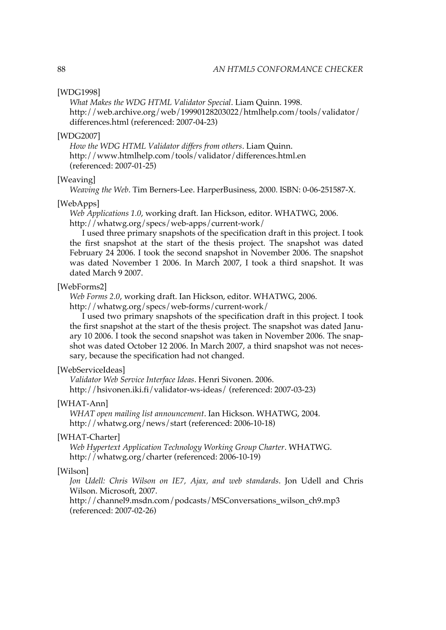#### <span id="page-101-0"></span>[WDG1998]

*[What Makes the WDG HTML Validator Special](http://web.archive.org/web/19990128203022/htmlhelp.com/tools/validator/differences.html)*. Liam Quinn. 1998. [http://web.archive.org/web/19990128203022/htmlhelp.com/tools/validator/](http://web.archive.org/web/19990128203022/htmlhelp.com/tools/validator/differences.html) [differences.html](http://web.archive.org/web/19990128203022/htmlhelp.com/tools/validator/differences.html) (referenced: 2007-04-23)

#### [WDG2007]

*[How the WDG HTML Validator differs from others](http://www.htmlhelp.com/tools/validator/differences.html.en)*. Liam Quinn. <http://www.htmlhelp.com/tools/validator/differences.html.en> (referenced: 2007-01-25)

#### [Weaving]

*Weaving the Web*. Tim Berners-Lee. HarperBusiness, 2000. ISBN: 0-06-251587-X.

#### [WebApps]

*[Web Applications 1.0](http://whatwg.org/specs/web-apps/current-work/)*, working draft. Ian Hickson, editor. WHATWG, 2006. <http://whatwg.org/specs/web-apps/current-work/>

I used three primary snapshots of the specification draft in this project. I took the first snapshot at the start of the thesis project. The snapshot was dated February 24 2006. I took the second snapshot in November 2006. The snapshot was dated November 1 2006. In March 2007, I took a third snapshot. It was dated March 9 2007.

#### [WebForms2]

*[Web Forms 2.0](http://whatwg.org/specs/web-forms/current-work/)*, working draft. Ian Hickson, editor. WHATWG, 2006.

<http://whatwg.org/specs/web-forms/current-work/>

I used two primary snapshots of the specification draft in this project. I took the first snapshot at the start of the thesis project. The snapshot was dated January 10 2006. I took the second snapshot was taken in November 2006. The snapshot was dated October 12 2006. In March 2007, a third snapshot was not necessary, because the specification had not changed.

#### [WebServiceIdeas]

*[Validator Web Service Interface Ideas](http://hsivonen.iki.fi/validator-ws-ideas/)*. Henri Sivonen. 2006. <http://hsivonen.iki.fi/validator-ws-ideas/> (referenced: 2007-03-23)

#### [WHAT-Ann]

*[WHAT open mailing list announcement](http://whatwg.org/news/start)*. Ian Hickson. WHATWG, 2004. <http://whatwg.org/news/start> (referenced: 2006-10-18)

#### [WHAT-Charter]

*[Web Hypertext Application Technology Working Group Charter](http://whatwg.org/charter)*. WHATWG. <http://whatwg.org/charter> (referenced: 2006-10-19)

#### [Wilson]

*Jon Udell: Chris Wilson on IE7, Ajax, and web [standards](http://channel9.msdn.com/podcasts/MSConversations_wilson_ch9.mp3)*. Jon Udell and Chris Wilson. Microsoft, 2007.

[http://channel9.msdn.com/podcasts/MSConversations\\_wilson\\_ch9.mp3](http://channel9.msdn.com/podcasts/MSConversations_wilson_ch9.mp3) (referenced: 2007-02-26)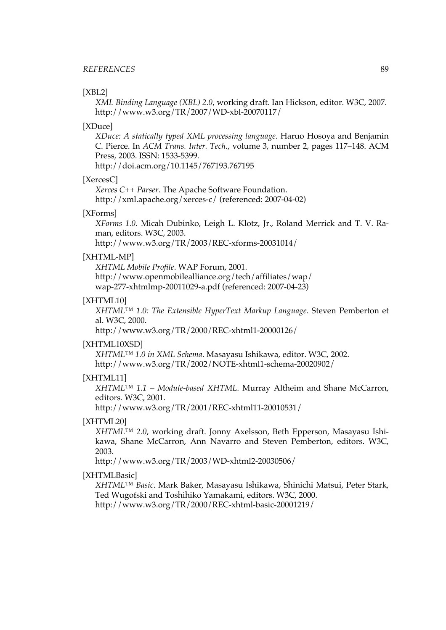#### [XBL2]

*[XML Binding Language \(XBL\) 2.0](http://www.w3.org/TR/2007/WD-xbl-20070117/)*, working draft. Ian Hickson, editor. W3C, 2007. <http://www.w3.org/TR/2007/WD-xbl-20070117/>

#### [XDuce]

*XDuce: A statically typed XML [processing](http://doi.acm.org/10.1145/767193.767195) language*. Haruo Hosoya and Benjamin C. Pierce. In *ACM Trans. Inter. Tech.*, volume 3, number 2, pages 117–148. ACM Press, 2003. ISSN: 1533-5399.

<http://doi.acm.org/10.1145/767193.767195>

#### [XercesC]

*[Xerces C++ Parser](http://xml.apache.org/xerces-c/)*. The Apache Software Foundation. <http://xml.apache.org/xerces-c/> (referenced: 2007-04-02)

#### [XForms]

*[XForms](http://www.w3.org/TR/2003/REC-xforms-20031014/) 1.0*. Micah Dubinko, Leigh L. Klotz, Jr., Roland Merrick and T. V. Raman, editors. W3C, 2003.

<http://www.w3.org/TR/2003/REC-xforms-20031014/>

#### [XHTML-MP]

*[XHTML Mobile Profile](http://www.openmobilealliance.org/tech/affiliates/wap/wap-277-xhtmlmp-20011029-a.pdf)*. WAP Forum, 2001. [http://www.openmobilealliance.org/tech/affiliates/wap/](http://www.openmobilealliance.org/tech/affiliates/wap/wap-277-xhtmlmp-20011029-a.pdf) [wap-277-xhtmlmp-20011029-a.pdf](http://www.openmobilealliance.org/tech/affiliates/wap/wap-277-xhtmlmp-20011029-a.pdf) (referenced: 2007-04-23)

#### [XHTML10]

*[XHTML™](http://www.w3.org/TR/2000/REC-xhtml1-20000126/) 1.0: The Extensible HyperText Markup Language*. Steven Pemberton et al. W3C, 2000.

<http://www.w3.org/TR/2000/REC-xhtml1-20000126/>

#### [XHTML10XSD]

*[XHTML™ 1.0 in XML Schema](http://www.w3.org/TR/2002/NOTE-xhtml1-schema-20020902/)*. Masayasu Ishikawa, editor. W3C, 2002. <http://www.w3.org/TR/2002/NOTE-xhtml1-schema-20020902/>

#### [XHTML11]

*XHTML™ 1.1 – [Module-based](http://www.w3.org/TR/2001/REC-xhtml11-20010531/) XHTML*. Murray Altheim and Shane McCarron, editors. W3C, 2001.

<http://www.w3.org/TR/2001/REC-xhtml11-20010531/>

#### [XHTML20]

*[XHTML™](http://www.w3.org/TR/2003/WD-xhtml2-20030506/) 2.0*, working draft. Jonny Axelsson, Beth Epperson, Masayasu Ishikawa, Shane McCarron, Ann Navarro and Steven Pemberton, editors. W3C, 2003.

<http://www.w3.org/TR/2003/WD-xhtml2-20030506/>

#### [XHTMLBasic]

*[XHTML™](http://www.w3.org/TR/2000/REC-xhtml-basic-20001219/) Basic*. Mark Baker, Masayasu Ishikawa, Shinichi Matsui, Peter Stark, Ted Wugofski and Toshihiko Yamakami, editors. W3C, 2000. <http://www.w3.org/TR/2000/REC-xhtml-basic-20001219/>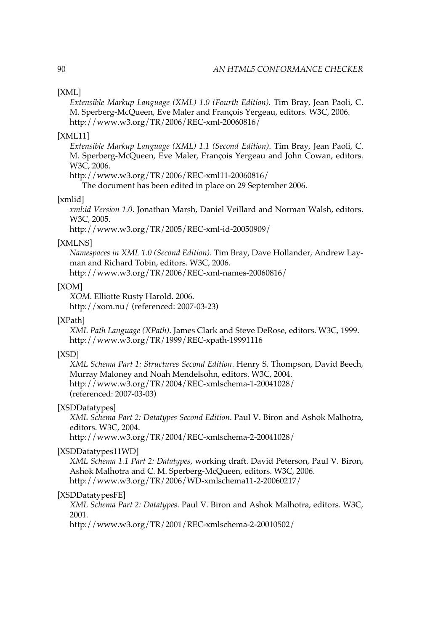#### <span id="page-103-0"></span>[XML]

*[Extensible](http://www.w3.org/TR/2006/REC-xml-20060816/) Markup Language (XML) 1.0 (Fourth Edition)*. Tim Bray, Jean Paoli, C. M. Sperberg-McQueen, Eve Maler and François Yergeau, editors. W3C, 2006. <http://www.w3.org/TR/2006/REC-xml-20060816/>

#### [XML11]

*[Extensible](http://www.w3.org/TR/2006/REC-xml11-20060816/) Markup Language (XML) 1.1 (Second Edition)*. Tim Bray, Jean Paoli, C. M. Sperberg-McQueen, Eve Maler, François Yergeau and John Cowan, editors. W3C, 2006.

<http://www.w3.org/TR/2006/REC-xml11-20060816/>

The document has been edited in place on 29 September 2006.

#### [xmlid]

*xml:id [Version](http://www.w3.org/TR/2005/REC-xml-id-20050909/) 1.0*. Jonathan Marsh, Daniel Veillard and Norman Walsh, editors. W3C, 2005.

<http://www.w3.org/TR/2005/REC-xml-id-20050909/>

#### [XMLNS]

*[Namespaces](http://www.w3.org/TR/2006/REC-xml-names-20060816/) in XML 1.0 (Second Edition)*. Tim Bray, Dave Hollander, Andrew Layman and Richard Tobin, editors. W3C, 2006.

<http://www.w3.org/TR/2006/REC-xml-names-20060816/>

#### [XOM]

*[XOM](http://xom.nu/)*. Elliotte Rusty Harold. 2006. <http://xom.nu/> (referenced: 2007-03-23)

#### [XPath]

*[XML Path Language \(XPath\)](http://www.w3.org/TR/1999/REC-xpath-19991116)*. James Clark and Steve DeRose, editors. W3C, 1999. <http://www.w3.org/TR/1999/REC-xpath-19991116>

#### [XSD]

*XML Schema Part 1: [Structures](http://www.w3.org/TR/2004/REC-xmlschema-1-20041028/) Second Edition*. Henry S. Thompson, David Beech, Murray Maloney and Noah Mendelsohn, editors. W3C, 2004. <http://www.w3.org/TR/2004/REC-xmlschema-1-20041028/> (referenced: 2007-03-03)

#### [XSDDatatypes]

*XML Schema Part 2: [Datatypes](http://www.w3.org/TR/2004/REC-xmlschema-2-20041028/) Second Edition*. Paul V. Biron and Ashok Malhotra, editors. W3C, 2004.

<http://www.w3.org/TR/2004/REC-xmlschema-2-20041028/>

#### [XSDDatatypes11WD]

*XML Schema 1.1 Part 2: [Datatypes](http://www.w3.org/TR/2006/WD-xmlschema11-2-20060217/)*, working draft. David Peterson, Paul V. Biron, Ashok Malhotra and C. M. Sperberg-McQueen, editors. W3C, 2006. <http://www.w3.org/TR/2006/WD-xmlschema11-2-20060217/>

#### [XSDDatatypesFE]

*XML Schema Part 2: [Datatypes](http://www.w3.org/TR/2001/REC-xmlschema-2-20010502/)*. Paul V. Biron and Ashok Malhotra, editors. W3C, 2001.

<http://www.w3.org/TR/2001/REC-xmlschema-2-20010502/>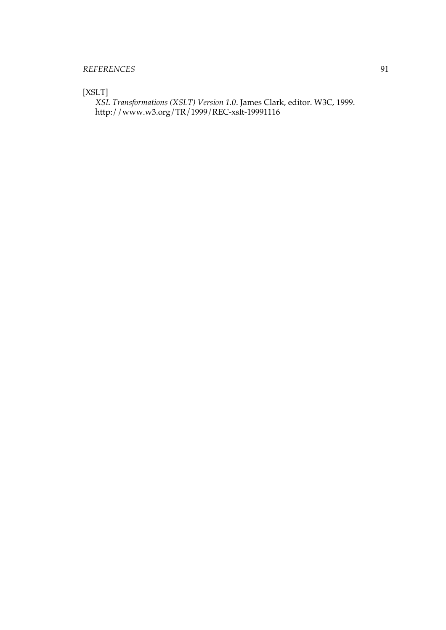<span id="page-104-0"></span>[XSLT]

*[XSL Transformations \(XSLT\) Version 1.0](http://www.w3.org/TR/1999/REC-xslt-19991116)*. James Clark, editor. W3C, 1999. <http://www.w3.org/TR/1999/REC-xslt-19991116>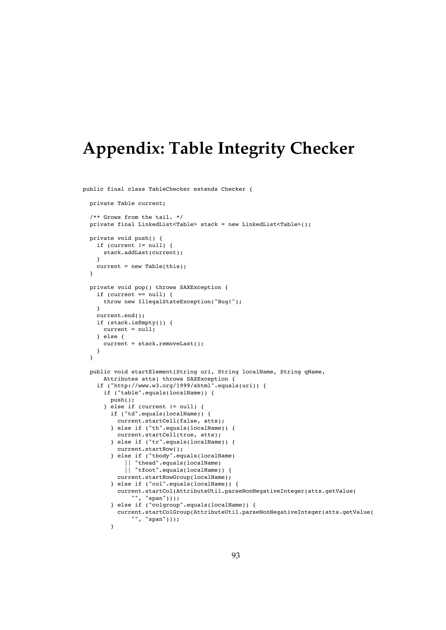# **Appendix: Table Integrity Checker**

```
public final class TableChecker extends Checker {
 private Table current;
  /** Grows from the tail. */
 private final LinkedList<Table> stack = new LinkedList<Table>();
  private void push() {
    if (current != null) {
     stack.addLast(current);
    }
    current = new Table(this);}
  private void pop() throws SAXException {
    if (current == null) {
     throw new IllegalStateException("Bug!");
    }
   current.end();
   if (stack.isEmpty()) {
     current = null;
    } else {
     current = stack.removeLast();
    }
 }
  public void startElement(String uri, String localName, String qName,
     Attributes atts) throws SAXException {
    if ("http://www.w3.org/1999/xhtml".equals(uri)) {
     if ("table".equals(localName)) {
        push();
      } else if (current != null) {
        if ("td".equals(localName)) {
          current.startCell(false, atts);
        } else if ("th".equals(localName)) {
          current.startCell(true, atts);
        } else if ("tr".equals(localName)) {
          current.startRow();
        } else if ("tbody".equals(localName)
            || "thead".equals(localName)
            || "tfoot".equals(localName)) {
         current.startRowGroup(localName);
        } else if ("col".equals(localName)) {
          current.startCol(AttributeUtil.parseNonNegativeInteger(atts.getValue(
              "", "span")));
        } else if ("colgroup".equals(localName)) {
          current.startColGroup(AttributeUtil.parseNonNegativeInteger(atts.getValue(
              "", "span")));
        }
```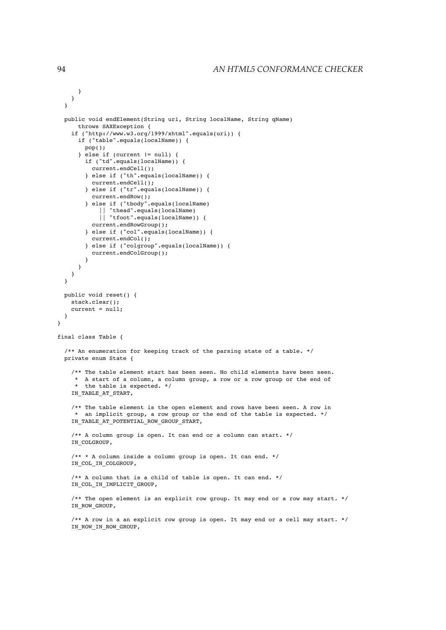```
}
   }
  }
  public void endElement(String uri, String localName, String qName)
     throws SAXException {
    if ("http://www.w3.org/1999/xhtml".equals(uri)) {
      if ("table".equals(localName)) {
        pop();
      } else if (current != null) {
        if ("td".equals(localName)) {
         current.endCell();
        } else if ("th".equals(localName)) {
          current.endCell();
        } else if ("tr".equals(localName)) {
          current.endRow();
        } else if ("tbody".equals(localName)
            || "thead".equals(localName)
            || "tfoot".equals(localName)) {
          current.endRowGroup();
        } else if ("col".equals(localName)) {
          current.endCol();
        } else if ("colgroup".equals(localName)) {
          current.endColGroup();
        }
      }
   }
  }
  public void reset() {
   stack.clear();
    current = null;}
}
final class Table {
  /** An enumeration for keeping track of the parsing state of a table. */
  private enum State {
    /** The table element start has been seen. No child elements have been seen.
     * A start of a column, a column group, a row or a row group or the end of
     * the table is expected. */
    IN_TABLE_AT_START,
    /** The table element is the open element and rows have been seen. A row in
    * an implicit group, a row group or the end of the table is expected. */
    IN_TABLE_AT_POTENTIAL_ROW_GROUP_START,
    /** A column group is open. It can end or a column can start. */
    IN COLGROUP,
    /** * A column inside a column group is open. It can end. */
    IN COL IN COLGROUP,
    /** A column that is a child of table is open. It can end. */
    IN COL IN IMPLICIT GROUP,
    /** The open element is an explicit row group. It may end or a row may start. */
    IN ROW GROUP,
    /** A row in a an explicit row group is open. It may end or a cell may start. */
    IN_ROW_IN_ROW_GROUP,
```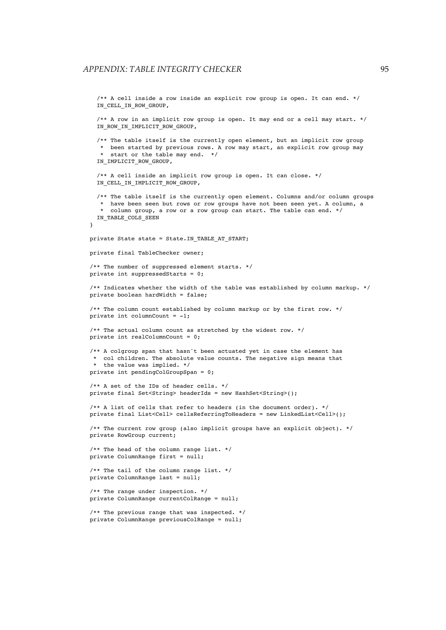```
/** A cell inside a row inside an explicit row group is open. It can end. */
  IN CELL IN ROW GROUP,
  /** A row in an implicit row group is open. It may end or a cell may start. */
  IN_ROW_IN_IMPLICIT_ROW_GROUP,
  /** The table itself is the currently open element, but an implicit row group
   * been started by previous rows. A row may start, an explicit row group may
   * start or the table may end. */
  IN_IMPLICIT_ROW_GROUP,
  /** A cell inside an implicit row group is open. It can close. */
  IN_CELL_IN_IMPLICIT_ROW_GROUP,
  /** The table itself is the currently open element. Columns and/or column groups
   * have been seen but rows or row groups have not been seen yet. A column, a
  * column group, a row or a row group can start. The table can end. */
 IN TABLE COLS SEEN
}
private State state = State. IN TABLE AT START;
private final TableChecker owner;
/** The number of suppressed element starts. */
private int suppressedStarts = 0;
/** Indicates whether the width of the table was established by column markup. */
private boolean hardWidth = false;
/** The column count established by column markup or by the first row. */
private int columnCount = -1;
/** The actual column count as stretched by the widest row. */
private int realColumnCount = 0;
/** A colgroup span that hasn't been actuated yet in case the element has
* col children. The absolute value counts. The negative sign means that
* the value was implied. */
private int pendingColGroupSpan = 0;
/** A set of the IDs of header cells. */
private final Set<String> headerIds = new HashSet<String>();
/** A list of cells that refer to headers (in the document order). */
private final List<Cell> cellsReferringToHeaders = new LinkedList<Cell>();
/** The current row group (also implicit groups have an explicit object). */
private RowGroup current;
/** The head of the column range list. */
private ColumnRange first = null/** The tail of the column range list. */
private ColumnRange last = null;
/** The range under inspection. */
private ColumnRange currentColRange = null;
/** The previous range that was inspected. */
private ColumnRange previousColRange = null;
```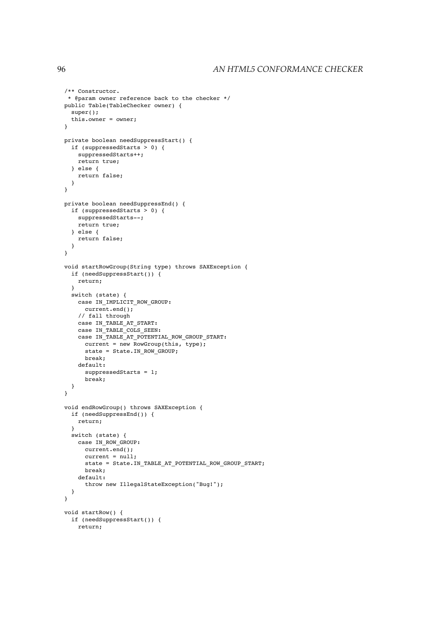```
/** Constructor.
 * @param owner reference back to the checker */
public Table(TableChecker owner) {
 super();
 this.owner = owner;
}
private boolean needSuppressStart() {
 if (suppressedStarts > 0) {
   suppressedStarts++;
   return true;
 } else {
   return false;
 }
}
private boolean needSuppressEnd() {
 if (suppressedStarts > 0) {
   suppressedStarts--;
   return true;
 } else {
   return false;
 }
}
void startRowGroup(String type) throws SAXException {
  if (needSuppressStart()) {
   return;
 }
 switch (state) {
   case IN_IMPLICIT_ROW_GROUP:
     current.end();
   // fall through
   case IN_TABLE_AT_START:
   case IN TABLE COLS SEEN:
   case IN_TABLE_AT_POTENTIAL_ROW_GROUP_START:
     current = new RowGroup(this, type);
     state = State. IN ROW GROUP;
     break;
   default:
     suppressedStarts = 1;
     break;
  }
}
void endRowGroup() throws SAXException {
 if (needSuppressEnd()) {
   return;
  }
 switch (state) {
   case IN ROW GROUP:
     current.end();
     current = null:state = State.IN_TABLE_AT_POTENTIAL_ROW_GROUP_START;
     break;
   default:
      throw new IllegalStateException("Bug!");
 }
}
void startRow() {
 if (needSuppressStart()) {
   return;
```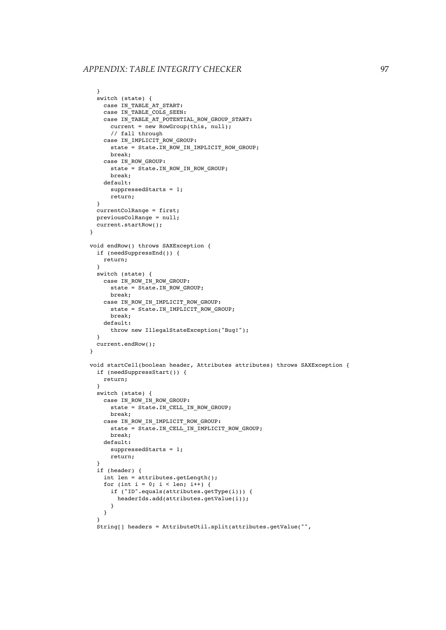```
}
  switch (state) {
   case IN_TABLE_AT_START:
   case IN TABLE COLS SEEN:
   case IN_TABLE_AT_POTENTIAL_ROW_GROUP_START:
     current = new RowGroup(this, null);// fall through
   case IN_IMPLICIT_ROW_GROUP:
     state = State.IN ROW IN IMPLICIT ROW GROUP;
     break;
   case IN ROW GROUP:
     state = State. IN_ROW_IN_ROW_GROUP;
     break;
   default:
     suppressedStarts = 1;
      return;
  }
 .<br>currentColRange = first;
 previousColRange = null;
 current.startRow();
\mathbf{I}void endRow() throws SAXException {
 if (needSuppressEnd()) {
   return;
  }
 switch (state) {
   case IN_ROW_IN_ROW_GROUP:
     state = State.IN ROW GROUP;
     break;
   case IN_ROW_IN_IMPLICIT_ROW_GROUP:
     state = State.IN IMPLICIT ROW GROUP;
     break;
   default:
     throw new IllegalStateException("Bug!");
  }
  current.endRow();
}
void startCell(boolean header, Attributes attributes) throws SAXException {
 if (needSuppressStart()) {
   return;
  }
  switch (state) {
   case IN_ROW_IN_ROW_GROUP:
     state = State. IN CELL IN ROW GROUP;
     break;
   case IN_ROW_IN_IMPLICIT_ROW_GROUP:
     state = State. IN CELL IN IMPLICIT ROW GROUP;
     break;
   default:
     suppressedStarts = 1;
     return;
  }
  if (header) {
   int len = attributes.getLength();
    for (int i = 0; i < len; i++) {
      if ("ID".equals(attributes.getType(i))) {
       headerIds.add(attributes.getValue(i));
      }
   }
  }
  String[] headers = AttributeUtil.split(attributes.getValue("",
```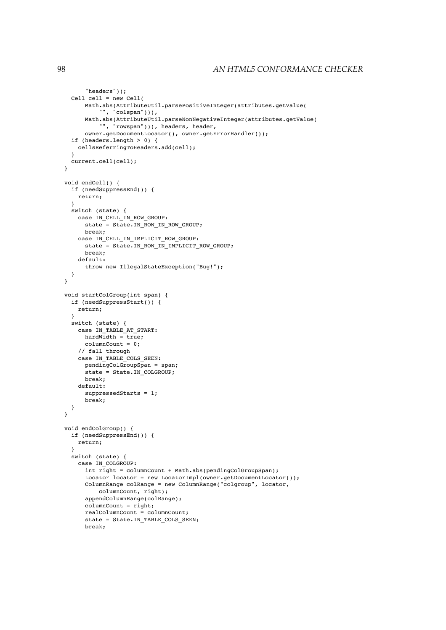```
"headers"));
 Cell cell = new Cell(
     Math.abs(AttributeUtil.parsePositiveInteger(attributes.getValue(
          "", "colspan"))),
      Math.abs(AttributeUtil.parseNonNegativeInteger(attributes.getValue(
         "", "rowspan"))), headers, header,
      owner.getDocumentLocator(), owner.getErrorHandler());
  if (headers.length > 0) {
   cellsReferringToHeaders.add(cell);
  }
  current.cell(cell);
}
void endCell() {
  if (needSuppressEnd()) {
   return;
  }
 switch (state) {
   case IN CELL IN ROW GROUP:
     state = State.IN ROW IN ROW GROUP;
     break;
   case IN_CELL_IN_IMPLICIT_ROW_GROUP:
      state = State.IN ROW IN IMPLICIT ROW GROUP;
     break;
   default:
      throw new IllegalStateException("Bug!");
 }
}
void startColGroup(int span) {
  if (needSuppressStart()) {
   return;
  }
  switch (state) {
   case IN_TABLE_AT_START:
     hardWidth = true;columnCount = 0;
   // fall through
   case IN_TABLE_COLS_SEEN:
     pendingColGroupSpan = span;
     state = State.IN_COLGROUP;
     break;
   default:
     suppressedStarts = 1;
      break;
 }
}
void endColGroup() {
 if (needSuppressEnd()) {
   return;
  }
 switch (state) {
   case IN_COLGROUP:
      int right = columnCount + Math.abs(pendingColGroupSpan);
      Locator locator = new LocatorImpl(owner.getDocumentLocator());
      ColumnRange colRange = new ColumnRange("colgroup", locator,
          columnCount, right);
      appendColumnRange(colRange);
      columnCount = right;
      realColumnCount = columnCount;
      state = State.IN_TABLE_COLS_SEEN;
      break;
```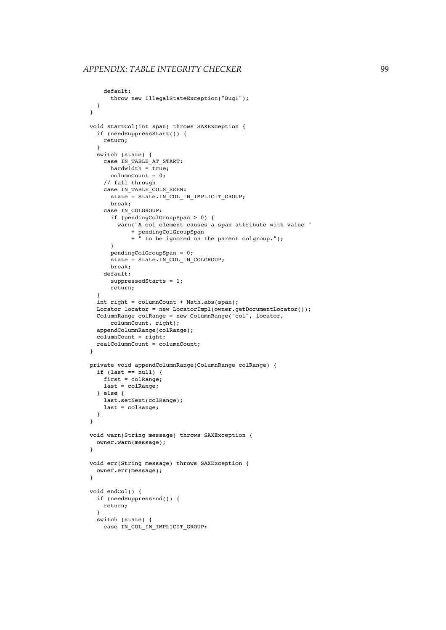```
defail++throw new IllegalStateException("Bug!");
  }
}
void startCol(int span) throws SAXException {
  if (needSuppressStart()) {
   return;
  }
  switch (state) {
    case IN TABLE AT START:
     A = -<br>hardWidth = true;
      columnCount = 0;
    // fall through
    case IN TABLE COLS SEEN:
      state = State.IN_COL_IN_IMPLICIT_GROUP;
     break;
    case IN_COLGROUP:
      if (pendingColGroupSpan > 0) {
        warn("A col element causes a span attribute with value "
            + pendingColGroupSpan
            + " to be ignored on the parent colgroup.");
      }
      pendingColGroupSpan = 0;
      state = State. IN COL IN COLGROUP;
      break;
    default:
      suppressedStarts = 1;
      return;
  }
  int right = columnCount + Math.abs(span);
  Locator locator = new LocatorImpl(owner.getDocumentLocator());
  ColumnRange colRange = new ColumnRange("col", locator,
      columnCount, right);
  appendColumnRange(colRange);
  columnCount = right;
  realColumnCount = columnCount;
}
private void appendColumnRange(ColumnRange colRange) {
  if (last == null) {
    first = colRange;
    last = colRange;
  } else {
    last.setNext(colRange);
    last = colRange;
  }
}
void warn(String message) throws SAXException {
  owner.warn(message);
\mathbf{I}void err(String message) throws SAXException {
 owner.err(message);
}
void endCol() {
  if (needSuppressEnd()) {
    return;
  }
  switch (state) {
    case IN_COL_IN_IMPLICIT_GROUP:
```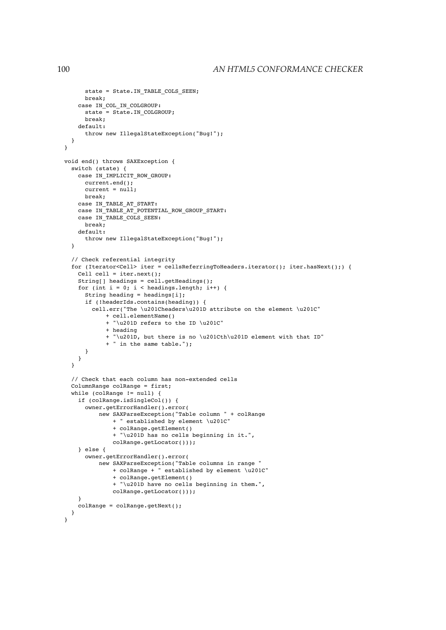```
state = State.IN_TABLE_COLS_SEEN;
     break;
   case IN COL IN COLGROUP:
     state = State.IN_COLGROUP;
     break;
   default:
      throw new IllegalStateException("Bug!");
 }
}
void end() throws SAXException {
 switch (state) {
   case IN_IMPLICIT_ROW_GROUP:
     current.end();
     current = null;
     break;
   case IN TABLE AT START:
   case IN_TABLE_AT_POTENTIAL_ROW_GROUP_START:
   case IN TABLE COLS SEEN:
     break;
   default:
      throw new IllegalStateException("Bug!");
  }
  // Check referential integrity
  for (Iterator<Cell> iter = cellsReferringToHeaders.iterator(); iter.hasNext();) {
   Cell cell = iter.next();
   String[] headings = cell.getHeadings();
   for (int i = 0; i < headings.length; i++) {
     String heading = headings[i];
      if (!headerIds.contains(heading)) {
        cell.err("The \u201Cheaders\u201D attribute on the element \u201C"
            + cell.elementName()
            + "\u201D refers to the ID \u201C"
            + heading
            + "\u201D, but there is no \u201Cth\u201D element with that ID"
            + " in the same table.");
     }
   }
  }
  // Check that each column has non-extended cells
  ColumnRange colRange = first;
  while (colRange != null) {
   if (colRange.isSingleCol()) {
      owner.getErrorHandler().error(
          new SAXParseException("Table column " + colRange
             + " established by element \u201C"
              + colRange.getElement()
              + "\u201D has no cells beginning in it.",
              colRange.getLocator()));
   } else {
      owner.getErrorHandler().error(
          new SAXParseException("Table columns in range "
             + colRange + " established by element \u201C"
              + colRange.getElement()
              + "\u201D have no cells beginning in them.",
              colRange.getLocator()));
    }
   colRange = colRange.getNext();
 }
}
```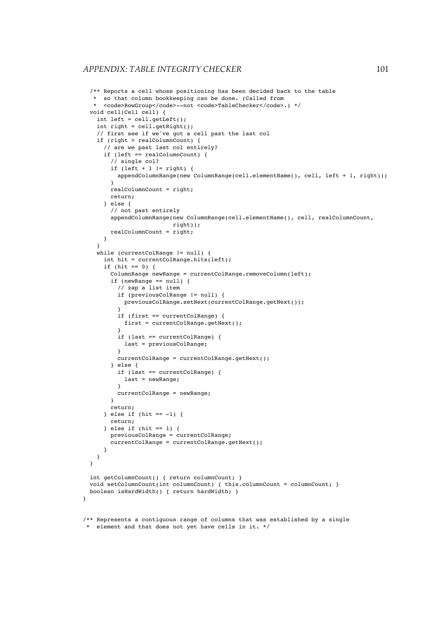```
/** Reports a cell whose positioning has been decided back to the table
   * so that column bookkeeping can be done. (Called from
     * <code>RowGroup</code>--not <code>TableChecker</code>.) */
  void cell(Cell cell) {
   int left = cell.getLeft();
    int right = cell.getRight();
    // first see if we've got a cell past the last col
    if (right > realColumnCount) {
      // are we past last col entirely?
     if (left == realColumnCount) {
        // single col?
        if (left + 1 != right) {
          appendColumnRange(new ColumnRange(cell.elementName(), cell, left + 1, right));
        }
        realColumnCount = right;
        return;
      } else {
        // not past entirely
        appendColumnRange(new ColumnRange(cell.elementName(), cell, realColumnCount,
                         right));
       realColumnCount = right;
     }
    \overline{\mathbf{a}}while (currentColRange != null) {
      int hit = currentColRange.hits(left);
      if (hit == 0) {
        ColumnRange newRange = currentColRange.removeColumn(left);
        if (newRange == null) {
          // zap a list item
          if (previousColRange != null) {
           previousColRange.setNext(currentColRange.getNext());
          }
          if (first == currentColRange) {
            first = currentColRange.getNext();
          }
          if (last == currentColRange) {
           last = previousColRange;
          }
          currentColRange = currentColRange.getNext();
        } else {
          if (last == currentColRange) {
            last = newRange;
          }
         currentColRange = newRange;
        }
        return;
      \} else if (hit == -1) {
       return;
      \} else if (hit == 1) {
       previousColRange = currentColRange;
        currentColRange = currentColRange.getNext();
     }
   }
  }
  int getColumnCount() { return columnCount; }
  void setColumnCount(int columnCount) { this.columnCount = columnCount; }
 boolean isHardWidth() { return hardWidth; }
/** Represents a contiguous range of columns that was established by a single
```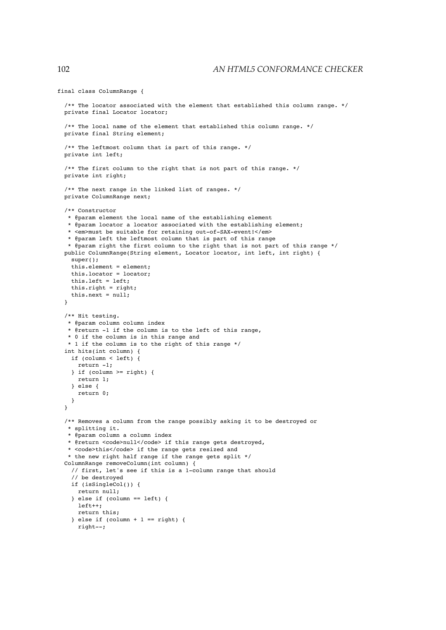```
final class ColumnRange {
 /** The locator associated with the element that established this column range. */
 private final Locator locator;
 /** The local name of the element that established this column range. */
 private final String element;
 /** The leftmost column that is part of this range. */
 private int left;
 /** The first column to the right that is not part of this range. */
 private int right;
 /** The next range in the linked list of ranges. */
 private ColumnRange next;
 /** Constructor
  * @param element the local name of the establishing element
  * @param locator a locator associated with the establishing element;
  * <em>must be suitable for retaining out-of-SAX-event!</em>
  * @param left the leftmost column that is part of this range
  * @param right the first column to the right that is not part of this range */
 public ColumnRange(String element, Locator locator, int left, int right) {
   super();
   this.element = element;
   this.locator = locator;
   this.left = left;
   this.right = right;
   this.next = null;
 }
 /** Hit testing.
  * @param column column index
   * @return -1 if the column is to the left of this range,
  * 0 if the column is in this range and
  * 1 if the column is to the right of this range */
 int hits(int column) {
   if (column < left) {
     return -1;
   \} if (column >= right) {
     return 1;
   } else {
     return 0;
   }
 }
 /** Removes a column from the range possibly asking it to be destroyed or
   * splitting it.
  * @param column a column index
  * @return <code>null</code> if this range gets destroyed,
  * <code>this</code> if the range gets resized and
  * the new right half range if the range gets split */
 ColumnRange removeColumn(int column) {
   // first, let's see if this is a 1-column range that should
   // be destroyed
   if (isSingleCol()) {
     return null;
    } else if (column == left) {
     left++;
     return this;
   } else if (column + 1 == right) {
     right--;
```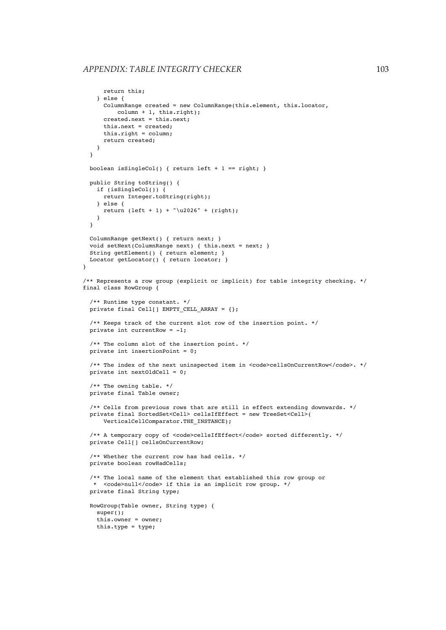```
return this;
    } else {
     ColumnRange created = new ColumnRange(this.element, this.locator,
         column + 1, this.right);
     created.next = this.next;
     this.next = created;
     this.right = column;
     return created;
   }
  }
 boolean isSingleCol() { return left + 1 == right; }
 public String toString() {
   if (isSingleCol()) {
     return Integer.toString(right);
   } else {
     return (left + 1) + "\u2026" + (right);
    }
 }
  ColumnRange getNext() { return next; }
  void setNext(ColumnRange next) { this.next = next; }
 String getElement() { return element; }
 Locator getLocator() { return locator; }
}
/** Represents a row group (explicit or implicit) for table integrity checking. */
final class RowGroup {
  /** Runtime type constant. */
 private final Cell[] EMPTY CELL ARRAY = \{\};
  /** Keeps track of the current slot row of the insertion point. */
 private int currentRow = -1;
  /** The column slot of the insertion point. */
 private int insertionPoint = 0;
  /** The index of the next uninspected item in <code>cellsOnCurrentRow</code>. */
 private int nextOldCell = 0;
  /** The owning table. */
 private final Table owner;
  /** Cells from previous rows that are still in effect extending downwards. */
 private final SortedSet<Cell> cellsIfEffect = new TreeSet<Cell>(
     VerticalCellComparator.THE_INSTANCE);
  /** A temporary copy of <code>cellsIfEffect</code> sorted differently. */
  private Cell[] cellsOnCurrentRow;
  /** Whether the current row has had cells. */
 private boolean rowHadCells;
  /** The local name of the element that established this row group or
  * <code>null</code> if this is an implicit row group. */
  private final String type;
  RowGroup(Table owner, String type) {
   super();
    this.owner = owner;
    this.type = type;
```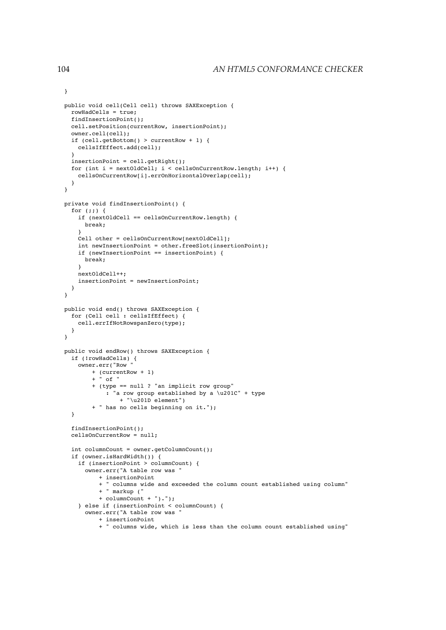```
public void cell(Cell cell) throws SAXException {
  rowHadCells = true;
  findInsertionPoint();
 cell.setPosition(currentRow, insertionPoint);
 owner.cell(cell);
  if (cell.getBottom() > currentRow + 1) {
   cellsIfEffect.add(cell);
  }
 insertionPoint = cell.getRight();
 for (int i = nextOldCell; i < cellsOnCurrentRow.length; i++) {
   cellsOnCurrentRow[i].errOnHorizontalOverlap(cell);
 }
}
private void findInsertionPoint() {
 for (;;) {
   if (nextOldCell == cellsOnCurrentRow.length) {
     break;
   \mathbf{I}Cell other = cellsOnCurrentRow[nextOldCell];
    int newInsertionPoint = other.freeSlot(insertionPoint);
    if (newInsertionPoint == insertionPoint) {
     break;
    }
   nextOldCell++;
   insertionPoint = newInsertionPoint;
 }
}
public void end() throws SAXException {
  for (Cell cell : cellsIfEffect) {
   cell.errIfNotRowspanZero(type);
 }
}
public void endRow() throws SAXException {
 if (!rowHadCells) {
   owner.err("Row "
        + (currentRow + 1)
        + " of "
       + (type == null ? "an implicit row group"
            : "a row group established by a \u201C" + type
               + "\u201D element")
        + " has no cells beginning on it.");
  }
  findInsertionPoint();
 cellsOnCurrentRow = null;
  int columnCount = owner.getColumnCount();
  if (owner.isHardWidth()) {
   if (insertionPoint > columnCount) {
     owner.err("A table row was "
          + insertionPoint
          + " columns wide and exceeded the column count established using column"
          + " markup ("
          + columnCount + ").");
    } else if (insertionPoint < columnCount) {
      owner.err("A table row was "
          + insertionPoint
          + " columns wide, which is less than the column count established using"
```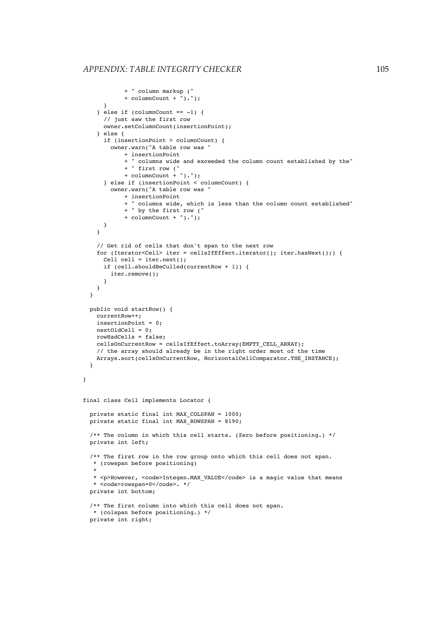```
+ " column markup ("
            + columnCount + ").");
     }
    } else if (columnCount == -1) {
     // just saw the first row
     owner.setColumnCount(insertionPoint);
    } else {
     if (insertionPoint > columnCount) {
        owner.warn("A table row was "
            + insertionPoint
            + " columns wide and exceeded the column count established by the"
            + " first row ("
            + columnCount + ").");
      } else if (insertionPoint < columnCount) {
        owner.warn("A table row was "
            + insertionPoint
            + " columns wide, which is less than the column count established"
            + " by the first row ("
            + columnCount + ").");
     }
    }
    // Get rid of cells that don't span to the next row
    for (Iterator<Cell> iter = cellsIfEffect.iterator(); iter.hasNext();) {
     Cell cell = iter.next();
     if (cell.shouldBeCulled(currentRow + 1)) {
       iter.remove();
     }
   }
 }
 public void startRow() {
   currentRow++;
    insertionPoint = 0;
   nextOldCell = 0;
   rowHadCells = false;
    cellsOnCurrentRow = cellsIfEffect.toArray(EMPTY_CELL_ARRAY);
    // the array should already be in the right order most of the time
   Arrays.sort(cellsOnCurrentRow, HorizontalCellComparator.THE_INSTANCE);
  }
final class Cell implements Locator {
 private static final int MAX_COLSPAN = 1000;
 private static final int MAX_ROWSPAN = 8190;
  /** The column in which this cell starts. (Zero before positioning.) */
 private int left;
  /** The first row in the row group onto which this cell does not span.
  * (rowspan before positioning)
   *
   * <p>However, <code>Integen.MAX_VALUE</code> is a magic value that means
  * <code>rowspan=0</code>. */
  private int bottom;
  /** The first column into which this cell does not span.
   * (colspan before positioning.) */
  private int right;
```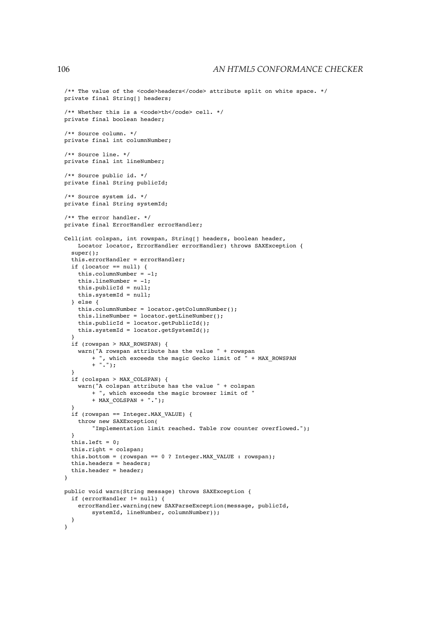```
/** The value of the <code>headers</code> attribute split on white space. */
private final String[] headers;
/** Whether this is a <code>th</code> cell. */
private final boolean header;
/** Source column. */
private final int columnNumber;
/** Source line. */
private final int lineNumber;
/** Source public id. */
private final String publicId;
/** Source system id. */
private final String systemId;
/** The error handler. */
private final ErrorHandler errorHandler;
Cell(int colspan, int rowspan, String[] headers, boolean header,
   Locator locator, ErrorHandler errorHandler) throws SAXException {
  super();
  this.errorHandler = errorHandler;
  if (locator == null) {
   this.columnNumber = -1;this.lineNumber = -1;
   this.publicId = null;
   this.systemId = null;
  } else {
   this.columnNumber = locator.getColumnNumber();
   this.lineNumber = locator.getLineNumber();
    this.publicId = locator.getPublicId();
   this.systemId = locator.getSystemId();
  }
  if (rowspan > MAX_ROWSPAN) {
   warn("A rowspan attribute has the value " + rowspan
       + ", which exceeds the magic Gecko limit of " + MAX_ROWSPAN
        + ".");
  }
  if (colspan > MAX_COLSPAN) {
    warn("A colspan attribute has the value " + colspan
       + ", which exceeds the magic browser limit of "
       + MAX_COLSPAN + ".");
  }
  if (rowspan == Integer.MAX_VALUE) {
    throw new SAXException(
        "Implementation limit reached. Table row counter overflowed.");
  }
  this.left = 0;this.right = colspan;
  this.bottom = (rowspan == 0 ? Integer.MAX VALUE : rowspan);
  this.headers = headers;
  this.header = header;
\mathbf{I}public void warn(String message) throws SAXException {
  if (errorHandler != null) {
   errorHandler.warning(new SAXParseException(message, publicId,
       systemId, lineNumber, columnNumber));
  }
}
```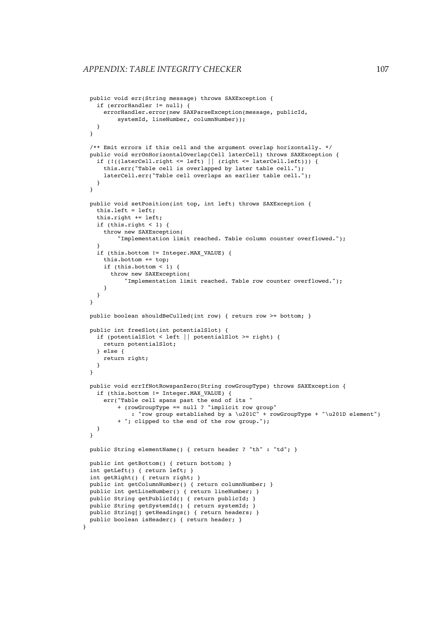```
public void err(String message) throws SAXException {
  if (errorHandler != null) {
    errorHandler.error(new SAXParseException(message, publicId,
        systemId, lineNumber, columnNumber));
 }
}
/** Emit errors if this cell and the argument overlap horizontally. */
public void errOnHorizontalOverlap(Cell laterCell) throws SAXException {
  if (!((laterCell.right <= left) || (right <= laterCell.left))) {
   this.err("Table cell is overlapped by later table cell.");
   laterCell.err("Table cell overlaps an earlier table cell.");
 }
}
public void setPosition(int top, int left) throws SAXException {
  this.left = left;
  this.right += left;
  if (this.right < 1) {
   throw new SAXException(
        "Implementation limit reached. Table column counter overflowed.");
  }
  if (this.bottom != Integer.MAX_VALUE) {
    this.bottom += top;
    if (this.bottom < 1) {
      throw new SAXException(
          "Implementation limit reached. Table row counter overflowed.");
    }
 }
}
public boolean shouldBeCulled(int row) { return row >= bottom; }
public int freeSlot(int potentialSlot) {
  if (potentialSlot < left || potentialSlot >= right) {
   return potentialSlot;
  } else {
   return right;
  }
}
public void errIfNotRowspanZero(String rowGroupType) throws SAXException {
  if (this.bottom != Integer.MAX_VALUE) {
    err("Table cell spans past the end of its "
        + (rowGroupType == null ? "implicit row group"
           : "row group established by a \u201C" + rowGroupType + "\u201D element")
        + "; clipped to the end of the row group.");
 }
\mathbf{I}public String elementName() { return header ? "th" : "td"; }
public int getBottom() { return bottom; }
int getLeft() { return left; }
int getRight() { return right; }
public int getColumnNumber() { return columnNumber; }
public int getLineNumber() { return lineNumber; }
public String getPublicId() { return publicId; }
public String getSystemId() { return systemId; }
public String[] getHeadings() { return headers; }
public boolean isHeader() { return header; }
```